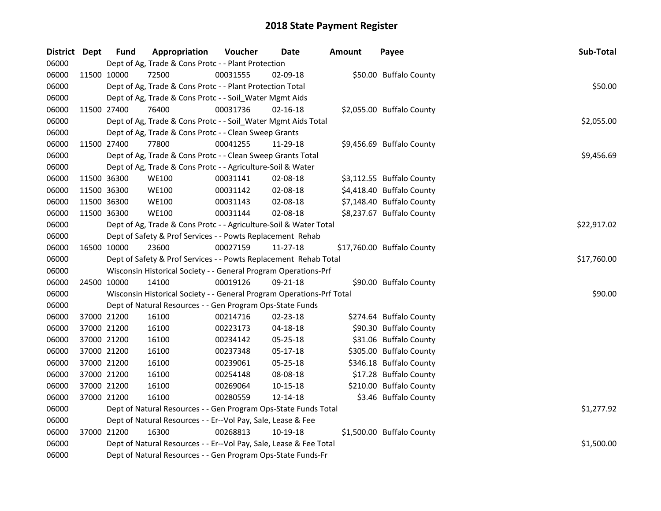| District Dept | <b>Fund</b> | Appropriation                                                         | Voucher  | Date           | <b>Amount</b> | Payee                      | Sub-Total   |
|---------------|-------------|-----------------------------------------------------------------------|----------|----------------|---------------|----------------------------|-------------|
| 06000         |             | Dept of Ag, Trade & Cons Protc - - Plant Protection                   |          |                |               |                            |             |
| 06000         | 11500 10000 | 72500                                                                 | 00031555 | 02-09-18       |               | \$50.00 Buffalo County     |             |
| 06000         |             | Dept of Ag, Trade & Cons Protc - - Plant Protection Total             |          |                |               |                            | \$50.00     |
| 06000         |             | Dept of Ag, Trade & Cons Protc - - Soil_Water Mgmt Aids               |          |                |               |                            |             |
| 06000         | 11500 27400 | 76400                                                                 | 00031736 | $02 - 16 - 18$ |               | \$2,055.00 Buffalo County  |             |
| 06000         |             | Dept of Ag, Trade & Cons Protc - - Soil_Water Mgmt Aids Total         |          |                |               |                            | \$2,055.00  |
| 06000         |             | Dept of Ag, Trade & Cons Protc - - Clean Sweep Grants                 |          |                |               |                            |             |
| 06000         | 11500 27400 | 77800                                                                 | 00041255 | 11-29-18       |               | \$9,456.69 Buffalo County  |             |
| 06000         |             | Dept of Ag, Trade & Cons Protc - - Clean Sweep Grants Total           |          |                |               |                            | \$9,456.69  |
| 06000         |             | Dept of Ag, Trade & Cons Protc - - Agriculture-Soil & Water           |          |                |               |                            |             |
| 06000         | 11500 36300 | <b>WE100</b>                                                          | 00031141 | 02-08-18       |               | \$3,112.55 Buffalo County  |             |
| 06000         | 11500 36300 | <b>WE100</b>                                                          | 00031142 | 02-08-18       |               | \$4,418.40 Buffalo County  |             |
| 06000         | 11500 36300 | <b>WE100</b>                                                          | 00031143 | 02-08-18       |               | \$7,148.40 Buffalo County  |             |
| 06000         | 11500 36300 | <b>WE100</b>                                                          | 00031144 | 02-08-18       |               | \$8,237.67 Buffalo County  |             |
| 06000         |             | Dept of Ag, Trade & Cons Protc - - Agriculture-Soil & Water Total     |          |                |               |                            | \$22,917.02 |
| 06000         |             | Dept of Safety & Prof Services - - Powts Replacement Rehab            |          |                |               |                            |             |
| 06000         | 16500 10000 | 23600                                                                 | 00027159 | 11-27-18       |               | \$17,760.00 Buffalo County |             |
| 06000         |             | Dept of Safety & Prof Services - - Powts Replacement Rehab Total      |          |                |               |                            | \$17,760.00 |
| 06000         |             | Wisconsin Historical Society - - General Program Operations-Prf       |          |                |               |                            |             |
| 06000         | 24500 10000 | 14100                                                                 | 00019126 | 09-21-18       |               | \$90.00 Buffalo County     |             |
| 06000         |             | Wisconsin Historical Society - - General Program Operations-Prf Total |          |                |               |                            | \$90.00     |
| 06000         |             | Dept of Natural Resources - - Gen Program Ops-State Funds             |          |                |               |                            |             |
| 06000         | 37000 21200 | 16100                                                                 | 00214716 | 02-23-18       |               | \$274.64 Buffalo County    |             |
| 06000         | 37000 21200 | 16100                                                                 | 00223173 | 04-18-18       |               | \$90.30 Buffalo County     |             |
| 06000         | 37000 21200 | 16100                                                                 | 00234142 | 05-25-18       |               | \$31.06 Buffalo County     |             |
| 06000         | 37000 21200 | 16100                                                                 | 00237348 | 05-17-18       |               | \$305.00 Buffalo County    |             |
| 06000         | 37000 21200 | 16100                                                                 | 00239061 | 05-25-18       |               | \$346.18 Buffalo County    |             |
| 06000         | 37000 21200 | 16100                                                                 | 00254148 | 08-08-18       |               | \$17.28 Buffalo County     |             |
| 06000         | 37000 21200 | 16100                                                                 | 00269064 | 10-15-18       |               | \$210.00 Buffalo County    |             |
| 06000         | 37000 21200 | 16100                                                                 | 00280559 | 12-14-18       |               | \$3.46 Buffalo County      |             |
| 06000         |             | Dept of Natural Resources - - Gen Program Ops-State Funds Total       |          |                |               |                            | \$1,277.92  |
| 06000         |             | Dept of Natural Resources - - Er--Vol Pay, Sale, Lease & Fee          |          |                |               |                            |             |
| 06000         | 37000 21200 | 16300                                                                 | 00268813 | 10-19-18       |               | \$1,500.00 Buffalo County  |             |
| 06000         |             | Dept of Natural Resources - - Er--Vol Pay, Sale, Lease & Fee Total    |          |                |               |                            | \$1,500.00  |
| 06000         |             | Dept of Natural Resources - - Gen Program Ops-State Funds-Fr          |          |                |               |                            |             |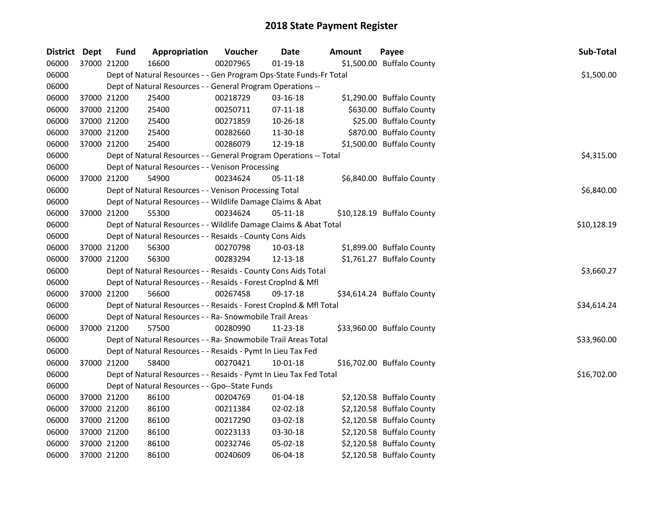| District Dept |             | <b>Fund</b> | Appropriation                                                      | Voucher  | <b>Date</b>    | <b>Amount</b> | Payee                      | Sub-Total   |
|---------------|-------------|-------------|--------------------------------------------------------------------|----------|----------------|---------------|----------------------------|-------------|
| 06000         |             | 37000 21200 | 16600                                                              | 00207965 | $01-19-18$     |               | \$1,500.00 Buffalo County  |             |
| 06000         |             |             | Dept of Natural Resources - - Gen Program Ops-State Funds-Fr Total |          |                |               |                            | \$1,500.00  |
| 06000         |             |             | Dept of Natural Resources - - General Program Operations --        |          |                |               |                            |             |
| 06000         | 37000 21200 |             | 25400                                                              | 00218729 | 03-16-18       |               | \$1,290.00 Buffalo County  |             |
| 06000         | 37000 21200 |             | 25400                                                              | 00250711 | $07-11-18$     |               | \$630.00 Buffalo County    |             |
| 06000         | 37000 21200 |             | 25400                                                              | 00271859 | 10-26-18       |               | \$25.00 Buffalo County     |             |
| 06000         | 37000 21200 |             | 25400                                                              | 00282660 | 11-30-18       |               | \$870.00 Buffalo County    |             |
| 06000         |             | 37000 21200 | 25400                                                              | 00286079 | 12-19-18       |               | \$1,500.00 Buffalo County  |             |
| 06000         |             |             | Dept of Natural Resources - - General Program Operations -- Total  |          |                |               |                            | \$4,315.00  |
| 06000         |             |             | Dept of Natural Resources - - Venison Processing                   |          |                |               |                            |             |
| 06000         |             | 37000 21200 | 54900                                                              | 00234624 | 05-11-18       |               | \$6,840.00 Buffalo County  |             |
| 06000         |             |             | Dept of Natural Resources - - Venison Processing Total             |          |                |               |                            | \$6,840.00  |
| 06000         |             |             | Dept of Natural Resources - - Wildlife Damage Claims & Abat        |          |                |               |                            |             |
| 06000         |             | 37000 21200 | 55300                                                              | 00234624 | 05-11-18       |               | \$10,128.19 Buffalo County |             |
| 06000         |             |             | Dept of Natural Resources - - Wildlife Damage Claims & Abat Total  |          |                |               |                            | \$10,128.19 |
| 06000         |             |             | Dept of Natural Resources - - Resaids - County Cons Aids           |          |                |               |                            |             |
| 06000         | 37000 21200 |             | 56300                                                              | 00270798 | 10-03-18       |               | \$1,899.00 Buffalo County  |             |
| 06000         |             | 37000 21200 | 56300                                                              | 00283294 | 12-13-18       |               | \$1,761.27 Buffalo County  |             |
| 06000         |             |             | Dept of Natural Resources - - Resaids - County Cons Aids Total     |          |                |               |                            | \$3,660.27  |
| 06000         |             |             | Dept of Natural Resources - - Resaids - Forest Croplnd & Mfl       |          |                |               |                            |             |
| 06000         |             | 37000 21200 | 56600                                                              | 00267458 | 09-17-18       |               | \$34,614.24 Buffalo County |             |
| 06000         |             |             | Dept of Natural Resources - - Resaids - Forest Croplnd & Mfl Total |          |                |               |                            | \$34,614.24 |
| 06000         |             |             | Dept of Natural Resources - - Ra- Snowmobile Trail Areas           |          |                |               |                            |             |
| 06000         |             | 37000 21200 | 57500                                                              | 00280990 | 11-23-18       |               | \$33,960.00 Buffalo County |             |
| 06000         |             |             | Dept of Natural Resources - - Ra- Snowmobile Trail Areas Total     |          |                |               |                            | \$33,960.00 |
| 06000         |             |             | Dept of Natural Resources - - Resaids - Pymt In Lieu Tax Fed       |          |                |               |                            |             |
| 06000         |             | 37000 21200 | 58400                                                              | 00270421 | $10 - 01 - 18$ |               | \$16,702.00 Buffalo County |             |
| 06000         |             |             | Dept of Natural Resources - - Resaids - Pymt In Lieu Tax Fed Total |          |                |               |                            | \$16,702.00 |
| 06000         |             |             | Dept of Natural Resources - - Gpo--State Funds                     |          |                |               |                            |             |
| 06000         | 37000 21200 |             | 86100                                                              | 00204769 | 01-04-18       |               | \$2,120.58 Buffalo County  |             |
| 06000         | 37000 21200 |             | 86100                                                              | 00211384 | 02-02-18       |               | \$2,120.58 Buffalo County  |             |
| 06000         | 37000 21200 |             | 86100                                                              | 00217290 | 03-02-18       |               | \$2,120.58 Buffalo County  |             |
| 06000         | 37000 21200 |             | 86100                                                              | 00223133 | 03-30-18       |               | \$2,120.58 Buffalo County  |             |
| 06000         | 37000 21200 |             | 86100                                                              | 00232746 | 05-02-18       |               | \$2,120.58 Buffalo County  |             |
| 06000         |             | 37000 21200 | 86100                                                              | 00240609 | 06-04-18       |               | \$2,120.58 Buffalo County  |             |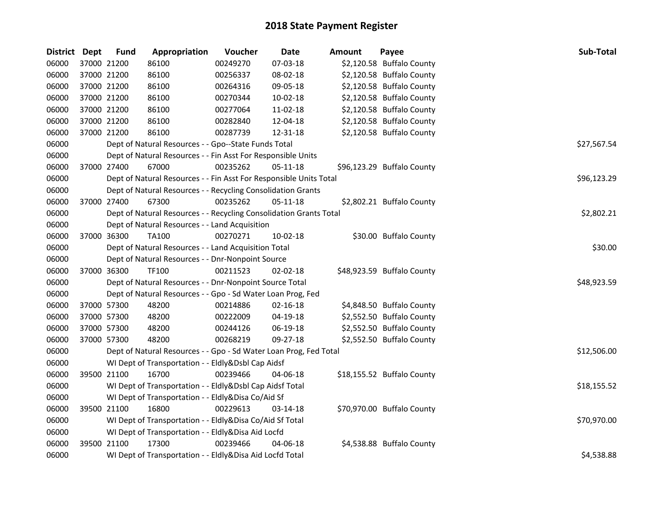| District Dept |             | <b>Fund</b> | Appropriation                                                      | Voucher  | <b>Date</b>    | Amount | Payee                      | <b>Sub-Total</b> |
|---------------|-------------|-------------|--------------------------------------------------------------------|----------|----------------|--------|----------------------------|------------------|
| 06000         |             | 37000 21200 | 86100                                                              | 00249270 | 07-03-18       |        | \$2,120.58 Buffalo County  |                  |
| 06000         |             | 37000 21200 | 86100                                                              | 00256337 | 08-02-18       |        | \$2,120.58 Buffalo County  |                  |
| 06000         | 37000 21200 |             | 86100                                                              | 00264316 | 09-05-18       |        | \$2,120.58 Buffalo County  |                  |
| 06000         | 37000 21200 |             | 86100                                                              | 00270344 | 10-02-18       |        | \$2,120.58 Buffalo County  |                  |
| 06000         | 37000 21200 |             | 86100                                                              | 00277064 | 11-02-18       |        | \$2,120.58 Buffalo County  |                  |
| 06000         | 37000 21200 |             | 86100                                                              | 00282840 | 12-04-18       |        | \$2,120.58 Buffalo County  |                  |
| 06000         | 37000 21200 |             | 86100                                                              | 00287739 | 12-31-18       |        | \$2,120.58 Buffalo County  |                  |
| 06000         |             |             | Dept of Natural Resources - - Gpo--State Funds Total               |          |                |        |                            | \$27,567.54      |
| 06000         |             |             | Dept of Natural Resources - - Fin Asst For Responsible Units       |          |                |        |                            |                  |
| 06000         |             | 37000 27400 | 67000                                                              | 00235262 | 05-11-18       |        | \$96,123.29 Buffalo County |                  |
| 06000         |             |             | Dept of Natural Resources - - Fin Asst For Responsible Units Total |          |                |        |                            | \$96,123.29      |
| 06000         |             |             | Dept of Natural Resources - - Recycling Consolidation Grants       |          |                |        |                            |                  |
| 06000         | 37000 27400 |             | 67300                                                              | 00235262 | 05-11-18       |        | \$2,802.21 Buffalo County  |                  |
| 06000         |             |             | Dept of Natural Resources - - Recycling Consolidation Grants Total |          |                |        |                            | \$2,802.21       |
| 06000         |             |             | Dept of Natural Resources - - Land Acquisition                     |          |                |        |                            |                  |
| 06000         | 37000 36300 |             | <b>TA100</b>                                                       | 00270271 | 10-02-18       |        | \$30.00 Buffalo County     |                  |
| 06000         |             |             | Dept of Natural Resources - - Land Acquisition Total               |          |                |        |                            | \$30.00          |
| 06000         |             |             | Dept of Natural Resources - - Dnr-Nonpoint Source                  |          |                |        |                            |                  |
| 06000         | 37000 36300 |             | TF100                                                              | 00211523 | 02-02-18       |        | \$48,923.59 Buffalo County |                  |
| 06000         |             |             | Dept of Natural Resources - - Dnr-Nonpoint Source Total            |          |                |        |                            | \$48,923.59      |
| 06000         |             |             | Dept of Natural Resources - - Gpo - Sd Water Loan Prog, Fed        |          |                |        |                            |                  |
| 06000         | 37000 57300 |             | 48200                                                              | 00214886 | $02 - 16 - 18$ |        | \$4,848.50 Buffalo County  |                  |
| 06000         | 37000 57300 |             | 48200                                                              | 00222009 | 04-19-18       |        | \$2,552.50 Buffalo County  |                  |
| 06000         | 37000 57300 |             | 48200                                                              | 00244126 | 06-19-18       |        | \$2,552.50 Buffalo County  |                  |
| 06000         | 37000 57300 |             | 48200                                                              | 00268219 | 09-27-18       |        | \$2,552.50 Buffalo County  |                  |
| 06000         |             |             | Dept of Natural Resources - - Gpo - Sd Water Loan Prog, Fed Total  |          |                |        |                            | \$12,506.00      |
| 06000         |             |             | WI Dept of Transportation - - Eldly&Dsbl Cap Aidsf                 |          |                |        |                            |                  |
| 06000         | 39500 21100 |             | 16700                                                              | 00239466 | 04-06-18       |        | \$18,155.52 Buffalo County |                  |
| 06000         |             |             | WI Dept of Transportation - - Eldly&Dsbl Cap Aidsf Total           |          |                |        |                            | \$18,155.52      |
| 06000         |             |             | WI Dept of Transportation - - Eldly&Disa Co/Aid Sf                 |          |                |        |                            |                  |
| 06000         | 39500 21100 |             | 16800                                                              | 00229613 | 03-14-18       |        | \$70,970.00 Buffalo County |                  |
| 06000         |             |             | WI Dept of Transportation - - Eldly&Disa Co/Aid Sf Total           |          |                |        |                            | \$70,970.00      |
| 06000         |             |             | WI Dept of Transportation - - Eldly&Disa Aid Locfd                 |          |                |        |                            |                  |
| 06000         | 39500 21100 |             | 17300                                                              | 00239466 | 04-06-18       |        | \$4,538.88 Buffalo County  |                  |
| 06000         |             |             | WI Dept of Transportation - - Eldly&Disa Aid Locfd Total           |          |                |        |                            | \$4,538.88       |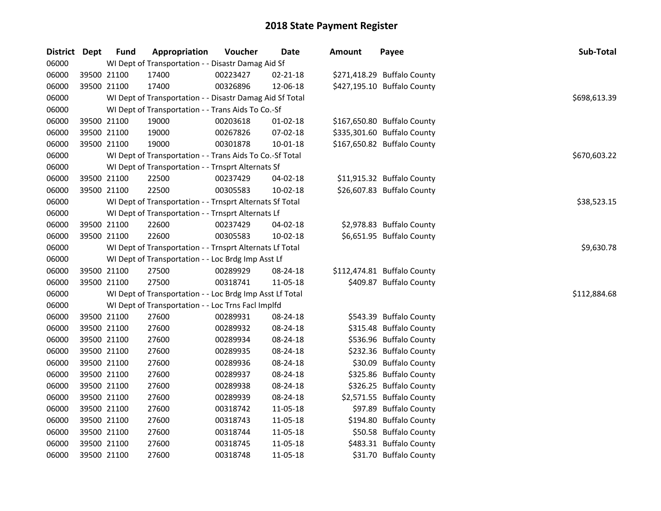| District Dept | <b>Fund</b> | Appropriation                                            | Voucher  | <b>Date</b>    | <b>Amount</b> | Payee                       | Sub-Total    |
|---------------|-------------|----------------------------------------------------------|----------|----------------|---------------|-----------------------------|--------------|
| 06000         |             | WI Dept of Transportation - - Disastr Damag Aid Sf       |          |                |               |                             |              |
| 06000         | 39500 21100 | 17400                                                    | 00223427 | 02-21-18       |               | \$271,418.29 Buffalo County |              |
| 06000         | 39500 21100 | 17400                                                    | 00326896 | 12-06-18       |               | \$427,195.10 Buffalo County |              |
| 06000         |             | WI Dept of Transportation - - Disastr Damag Aid Sf Total |          |                |               |                             | \$698,613.39 |
| 06000         |             | WI Dept of Transportation - - Trans Aids To Co.-Sf       |          |                |               |                             |              |
| 06000         | 39500 21100 | 19000                                                    | 00203618 | $01 - 02 - 18$ |               | \$167,650.80 Buffalo County |              |
| 06000         | 39500 21100 | 19000                                                    | 00267826 | $07 - 02 - 18$ |               | \$335,301.60 Buffalo County |              |
| 06000         | 39500 21100 | 19000                                                    | 00301878 | 10-01-18       |               | \$167,650.82 Buffalo County |              |
| 06000         |             | WI Dept of Transportation - - Trans Aids To Co.-Sf Total |          |                |               |                             | \$670,603.22 |
| 06000         |             | WI Dept of Transportation - - Trnsprt Alternats Sf       |          |                |               |                             |              |
| 06000         | 39500 21100 | 22500                                                    | 00237429 | 04-02-18       |               | \$11,915.32 Buffalo County  |              |
| 06000         | 39500 21100 | 22500                                                    | 00305583 | 10-02-18       |               | \$26,607.83 Buffalo County  |              |
| 06000         |             | WI Dept of Transportation - - Trnsprt Alternats Sf Total |          |                |               |                             | \$38,523.15  |
| 06000         |             | WI Dept of Transportation - - Trnsprt Alternats Lf       |          |                |               |                             |              |
| 06000         | 39500 21100 | 22600                                                    | 00237429 | 04-02-18       |               | \$2,978.83 Buffalo County   |              |
| 06000         | 39500 21100 | 22600                                                    | 00305583 | 10-02-18       |               | \$6,651.95 Buffalo County   |              |
| 06000         |             | WI Dept of Transportation - - Trnsprt Alternats Lf Total |          |                |               |                             | \$9,630.78   |
| 06000         |             | WI Dept of Transportation - - Loc Brdg Imp Asst Lf       |          |                |               |                             |              |
| 06000         | 39500 21100 | 27500                                                    | 00289929 | 08-24-18       |               | \$112,474.81 Buffalo County |              |
| 06000         | 39500 21100 | 27500                                                    | 00318741 | 11-05-18       |               | \$409.87 Buffalo County     |              |
| 06000         |             | WI Dept of Transportation - - Loc Brdg Imp Asst Lf Total |          |                |               |                             | \$112,884.68 |
| 06000         |             | WI Dept of Transportation - - Loc Trns Facl Implfd       |          |                |               |                             |              |
| 06000         | 39500 21100 | 27600                                                    | 00289931 | 08-24-18       |               | \$543.39 Buffalo County     |              |
| 06000         | 39500 21100 | 27600                                                    | 00289932 | 08-24-18       |               | \$315.48 Buffalo County     |              |
| 06000         | 39500 21100 | 27600                                                    | 00289934 | 08-24-18       |               | \$536.96 Buffalo County     |              |
| 06000         | 39500 21100 | 27600                                                    | 00289935 | 08-24-18       |               | \$232.36 Buffalo County     |              |
| 06000         | 39500 21100 | 27600                                                    | 00289936 | 08-24-18       |               | \$30.09 Buffalo County      |              |
| 06000         | 39500 21100 | 27600                                                    | 00289937 | 08-24-18       |               | \$325.86 Buffalo County     |              |
| 06000         | 39500 21100 | 27600                                                    | 00289938 | 08-24-18       |               | \$326.25 Buffalo County     |              |
| 06000         | 39500 21100 | 27600                                                    | 00289939 | 08-24-18       |               | \$2,571.55 Buffalo County   |              |
| 06000         | 39500 21100 | 27600                                                    | 00318742 | 11-05-18       |               | \$97.89 Buffalo County      |              |
| 06000         | 39500 21100 | 27600                                                    | 00318743 | 11-05-18       |               | \$194.80 Buffalo County     |              |
| 06000         | 39500 21100 | 27600                                                    | 00318744 | 11-05-18       |               | \$50.58 Buffalo County      |              |
| 06000         | 39500 21100 | 27600                                                    | 00318745 | 11-05-18       |               | \$483.31 Buffalo County     |              |
| 06000         | 39500 21100 | 27600                                                    | 00318748 | 11-05-18       |               | \$31.70 Buffalo County      |              |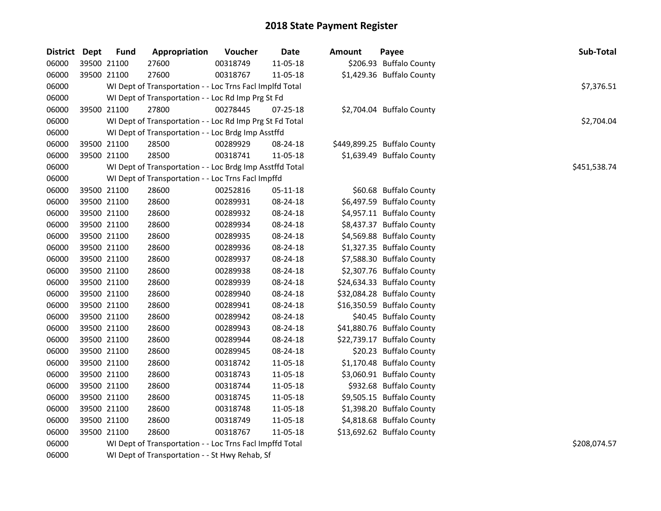| District Dept | <b>Fund</b> | Appropriation                                            | Voucher  | Date     | <b>Amount</b> | Payee                       | Sub-Total    |
|---------------|-------------|----------------------------------------------------------|----------|----------|---------------|-----------------------------|--------------|
| 06000         | 39500 21100 | 27600                                                    | 00318749 | 11-05-18 |               | \$206.93 Buffalo County     |              |
| 06000         | 39500 21100 | 27600                                                    | 00318767 | 11-05-18 |               | \$1,429.36 Buffalo County   |              |
| 06000         |             | WI Dept of Transportation - - Loc Trns Facl Implfd Total |          |          |               |                             | \$7,376.51   |
| 06000         |             | WI Dept of Transportation - - Loc Rd Imp Prg St Fd       |          |          |               |                             |              |
| 06000         | 39500 21100 | 27800                                                    | 00278445 | 07-25-18 |               | \$2,704.04 Buffalo County   |              |
| 06000         |             | WI Dept of Transportation - - Loc Rd Imp Prg St Fd Total |          |          |               |                             | \$2,704.04   |
| 06000         |             | WI Dept of Transportation - - Loc Brdg Imp Asstffd       |          |          |               |                             |              |
| 06000         | 39500 21100 | 28500                                                    | 00289929 | 08-24-18 |               | \$449,899.25 Buffalo County |              |
| 06000         | 39500 21100 | 28500                                                    | 00318741 | 11-05-18 |               | \$1,639.49 Buffalo County   |              |
| 06000         |             | WI Dept of Transportation - - Loc Brdg Imp Asstffd Total |          |          |               |                             | \$451,538.74 |
| 06000         |             | WI Dept of Transportation - - Loc Trns Facl Impffd       |          |          |               |                             |              |
| 06000         | 39500 21100 | 28600                                                    | 00252816 | 05-11-18 |               | \$60.68 Buffalo County      |              |
| 06000         | 39500 21100 | 28600                                                    | 00289931 | 08-24-18 |               | \$6,497.59 Buffalo County   |              |
| 06000         | 39500 21100 | 28600                                                    | 00289932 | 08-24-18 |               | \$4,957.11 Buffalo County   |              |
| 06000         | 39500 21100 | 28600                                                    | 00289934 | 08-24-18 |               | \$8,437.37 Buffalo County   |              |
| 06000         | 39500 21100 | 28600                                                    | 00289935 | 08-24-18 |               | \$4,569.88 Buffalo County   |              |
| 06000         | 39500 21100 | 28600                                                    | 00289936 | 08-24-18 |               | \$1,327.35 Buffalo County   |              |
| 06000         | 39500 21100 | 28600                                                    | 00289937 | 08-24-18 |               | \$7,588.30 Buffalo County   |              |
| 06000         | 39500 21100 | 28600                                                    | 00289938 | 08-24-18 |               | \$2,307.76 Buffalo County   |              |
| 06000         | 39500 21100 | 28600                                                    | 00289939 | 08-24-18 |               | \$24,634.33 Buffalo County  |              |
| 06000         | 39500 21100 | 28600                                                    | 00289940 | 08-24-18 |               | \$32,084.28 Buffalo County  |              |
| 06000         | 39500 21100 | 28600                                                    | 00289941 | 08-24-18 |               | \$16,350.59 Buffalo County  |              |
| 06000         | 39500 21100 | 28600                                                    | 00289942 | 08-24-18 |               | \$40.45 Buffalo County      |              |
| 06000         | 39500 21100 | 28600                                                    | 00289943 | 08-24-18 |               | \$41,880.76 Buffalo County  |              |
| 06000         | 39500 21100 | 28600                                                    | 00289944 | 08-24-18 |               | \$22,739.17 Buffalo County  |              |
| 06000         | 39500 21100 | 28600                                                    | 00289945 | 08-24-18 |               | \$20.23 Buffalo County      |              |
| 06000         | 39500 21100 | 28600                                                    | 00318742 | 11-05-18 |               | \$1,170.48 Buffalo County   |              |
| 06000         | 39500 21100 | 28600                                                    | 00318743 | 11-05-18 |               | \$3,060.91 Buffalo County   |              |
| 06000         | 39500 21100 | 28600                                                    | 00318744 | 11-05-18 |               | \$932.68 Buffalo County     |              |
| 06000         | 39500 21100 | 28600                                                    | 00318745 | 11-05-18 |               | \$9,505.15 Buffalo County   |              |
| 06000         | 39500 21100 | 28600                                                    | 00318748 | 11-05-18 |               | \$1,398.20 Buffalo County   |              |
| 06000         | 39500 21100 | 28600                                                    | 00318749 | 11-05-18 |               | \$4,818.68 Buffalo County   |              |
| 06000         | 39500 21100 | 28600                                                    | 00318767 | 11-05-18 |               | \$13,692.62 Buffalo County  |              |
| 06000         |             | WI Dept of Transportation - - Loc Trns Facl Impffd Total |          |          |               |                             | \$208,074.57 |
| 06000         |             | WI Dept of Transportation - - St Hwy Rehab, Sf           |          |          |               |                             |              |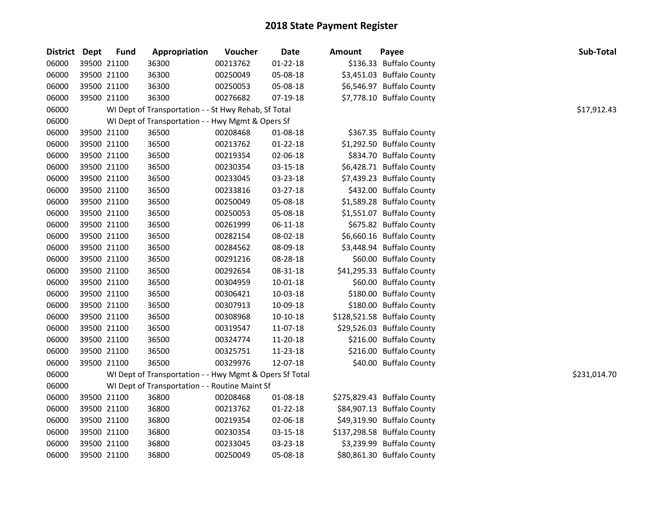| District Dept |             | <b>Fund</b> | Appropriation                                           | Voucher  | <b>Date</b>    | <b>Amount</b> | Payee                       | Sub-Total    |
|---------------|-------------|-------------|---------------------------------------------------------|----------|----------------|---------------|-----------------------------|--------------|
| 06000         | 39500 21100 |             | 36300                                                   | 00213762 | $01 - 22 - 18$ |               | \$136.33 Buffalo County     |              |
| 06000         | 39500 21100 |             | 36300                                                   | 00250049 | 05-08-18       |               | \$3,451.03 Buffalo County   |              |
| 06000         | 39500 21100 |             | 36300                                                   | 00250053 | 05-08-18       |               | \$6,546.97 Buffalo County   |              |
| 06000         | 39500 21100 |             | 36300                                                   | 00276682 | 07-19-18       |               | \$7,778.10 Buffalo County   |              |
| 06000         |             |             | WI Dept of Transportation - - St Hwy Rehab, Sf Total    |          |                |               |                             | \$17,912.43  |
| 06000         |             |             | WI Dept of Transportation - - Hwy Mgmt & Opers Sf       |          |                |               |                             |              |
| 06000         | 39500 21100 |             | 36500                                                   | 00208468 | 01-08-18       |               | \$367.35 Buffalo County     |              |
| 06000         | 39500 21100 |             | 36500                                                   | 00213762 | 01-22-18       |               | \$1,292.50 Buffalo County   |              |
| 06000         | 39500 21100 |             | 36500                                                   | 00219354 | 02-06-18       |               | \$834.70 Buffalo County     |              |
| 06000         | 39500 21100 |             | 36500                                                   | 00230354 | 03-15-18       |               | \$6,428.71 Buffalo County   |              |
| 06000         | 39500 21100 |             | 36500                                                   | 00233045 | 03-23-18       |               | \$7,439.23 Buffalo County   |              |
| 06000         | 39500 21100 |             | 36500                                                   | 00233816 | 03-27-18       |               | \$432.00 Buffalo County     |              |
| 06000         | 39500 21100 |             | 36500                                                   | 00250049 | 05-08-18       |               | \$1,589.28 Buffalo County   |              |
| 06000         | 39500 21100 |             | 36500                                                   | 00250053 | 05-08-18       |               | \$1,551.07 Buffalo County   |              |
| 06000         | 39500 21100 |             | 36500                                                   | 00261999 | 06-11-18       |               | \$675.82 Buffalo County     |              |
| 06000         | 39500 21100 |             | 36500                                                   | 00282154 | 08-02-18       |               | \$6,660.16 Buffalo County   |              |
| 06000         | 39500 21100 |             | 36500                                                   | 00284562 | 08-09-18       |               | \$3,448.94 Buffalo County   |              |
| 06000         | 39500 21100 |             | 36500                                                   | 00291216 | 08-28-18       |               | \$60.00 Buffalo County      |              |
| 06000         | 39500 21100 |             | 36500                                                   | 00292654 | 08-31-18       |               | \$41,295.33 Buffalo County  |              |
| 06000         | 39500 21100 |             | 36500                                                   | 00304959 | 10-01-18       |               | \$60.00 Buffalo County      |              |
| 06000         | 39500 21100 |             | 36500                                                   | 00306421 | 10-03-18       |               | \$180.00 Buffalo County     |              |
| 06000         | 39500 21100 |             | 36500                                                   | 00307913 | 10-09-18       |               | \$180.00 Buffalo County     |              |
| 06000         | 39500 21100 |             | 36500                                                   | 00308968 | 10-10-18       |               | \$128,521.58 Buffalo County |              |
| 06000         | 39500 21100 |             | 36500                                                   | 00319547 | 11-07-18       |               | \$29,526.03 Buffalo County  |              |
| 06000         | 39500 21100 |             | 36500                                                   | 00324774 | 11-20-18       |               | \$216.00 Buffalo County     |              |
| 06000         | 39500 21100 |             | 36500                                                   | 00325751 | 11-23-18       |               | \$216.00 Buffalo County     |              |
| 06000         | 39500 21100 |             | 36500                                                   | 00329976 | 12-07-18       |               | \$40.00 Buffalo County      |              |
| 06000         |             |             | WI Dept of Transportation - - Hwy Mgmt & Opers Sf Total |          |                |               |                             | \$231,014.70 |
| 06000         |             |             | WI Dept of Transportation - - Routine Maint Sf          |          |                |               |                             |              |
| 06000         | 39500 21100 |             | 36800                                                   | 00208468 | 01-08-18       |               | \$275,829.43 Buffalo County |              |
| 06000         | 39500 21100 |             | 36800                                                   | 00213762 | $01 - 22 - 18$ |               | \$84,907.13 Buffalo County  |              |
| 06000         | 39500 21100 |             | 36800                                                   | 00219354 | 02-06-18       |               | \$49,319.90 Buffalo County  |              |
| 06000         | 39500 21100 |             | 36800                                                   | 00230354 | 03-15-18       |               | \$137,298.58 Buffalo County |              |
| 06000         | 39500 21100 |             | 36800                                                   | 00233045 | 03-23-18       |               | \$3,239.99 Buffalo County   |              |
| 06000         | 39500 21100 |             | 36800                                                   | 00250049 | 05-08-18       |               | \$80,861.30 Buffalo County  |              |
|               |             |             |                                                         |          |                |               |                             |              |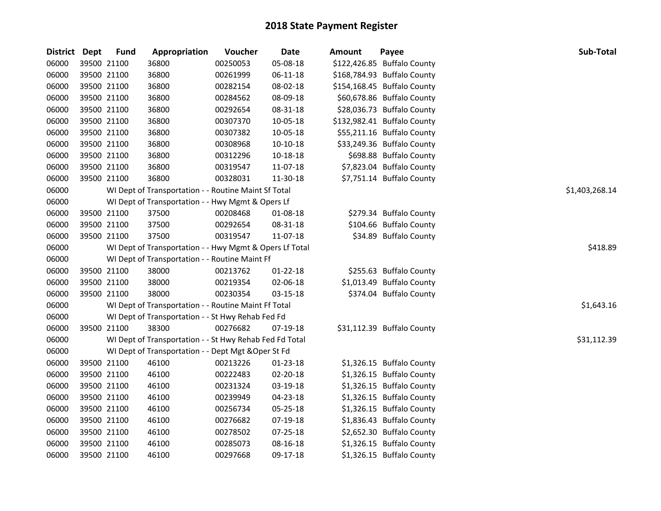| <b>District</b> | <b>Dept</b> | <b>Fund</b> | Appropriation                                           | Voucher  | Date           | <b>Amount</b> | Payee                       | <b>Sub-Total</b> |
|-----------------|-------------|-------------|---------------------------------------------------------|----------|----------------|---------------|-----------------------------|------------------|
| 06000           | 39500 21100 |             | 36800                                                   | 00250053 | 05-08-18       |               | \$122,426.85 Buffalo County |                  |
| 06000           | 39500 21100 |             | 36800                                                   | 00261999 | $06 - 11 - 18$ |               | \$168,784.93 Buffalo County |                  |
| 06000           | 39500 21100 |             | 36800                                                   | 00282154 | 08-02-18       |               | \$154,168.45 Buffalo County |                  |
| 06000           | 39500 21100 |             | 36800                                                   | 00284562 | 08-09-18       |               | \$60,678.86 Buffalo County  |                  |
| 06000           | 39500 21100 |             | 36800                                                   | 00292654 | 08-31-18       |               | \$28,036.73 Buffalo County  |                  |
| 06000           | 39500 21100 |             | 36800                                                   | 00307370 | 10-05-18       |               | \$132,982.41 Buffalo County |                  |
| 06000           | 39500 21100 |             | 36800                                                   | 00307382 | 10-05-18       |               | \$55,211.16 Buffalo County  |                  |
| 06000           | 39500 21100 |             | 36800                                                   | 00308968 | $10-10-18$     |               | \$33,249.36 Buffalo County  |                  |
| 06000           | 39500 21100 |             | 36800                                                   | 00312296 | 10-18-18       |               | \$698.88 Buffalo County     |                  |
| 06000           | 39500 21100 |             | 36800                                                   | 00319547 | 11-07-18       |               | \$7,823.04 Buffalo County   |                  |
| 06000           | 39500 21100 |             | 36800                                                   | 00328031 | 11-30-18       |               | \$7,751.14 Buffalo County   |                  |
| 06000           |             |             | WI Dept of Transportation - - Routine Maint Sf Total    |          |                |               |                             | \$1,403,268.14   |
| 06000           |             |             | WI Dept of Transportation - - Hwy Mgmt & Opers Lf       |          |                |               |                             |                  |
| 06000           | 39500 21100 |             | 37500                                                   | 00208468 | 01-08-18       |               | \$279.34 Buffalo County     |                  |
| 06000           | 39500 21100 |             | 37500                                                   | 00292654 | 08-31-18       |               | \$104.66 Buffalo County     |                  |
| 06000           | 39500 21100 |             | 37500                                                   | 00319547 | 11-07-18       |               | \$34.89 Buffalo County      |                  |
| 06000           |             |             | WI Dept of Transportation - - Hwy Mgmt & Opers Lf Total |          |                |               |                             | \$418.89         |
| 06000           |             |             | WI Dept of Transportation - - Routine Maint Ff          |          |                |               |                             |                  |
| 06000           | 39500 21100 |             | 38000                                                   | 00213762 | $01 - 22 - 18$ |               | \$255.63 Buffalo County     |                  |
| 06000           | 39500 21100 |             | 38000                                                   | 00219354 | 02-06-18       |               | \$1,013.49 Buffalo County   |                  |
| 06000           | 39500 21100 |             | 38000                                                   | 00230354 | 03-15-18       |               | \$374.04 Buffalo County     |                  |
| 06000           |             |             | WI Dept of Transportation - - Routine Maint Ff Total    |          |                |               |                             | \$1,643.16       |
| 06000           |             |             | WI Dept of Transportation - - St Hwy Rehab Fed Fd       |          |                |               |                             |                  |
| 06000           | 39500 21100 |             | 38300                                                   | 00276682 | 07-19-18       |               | \$31,112.39 Buffalo County  |                  |
| 06000           |             |             | WI Dept of Transportation - - St Hwy Rehab Fed Fd Total |          |                |               |                             | \$31,112.39      |
| 06000           |             |             | WI Dept of Transportation - - Dept Mgt & Oper St Fd     |          |                |               |                             |                  |
| 06000           | 39500 21100 |             | 46100                                                   | 00213226 | 01-23-18       |               | \$1,326.15 Buffalo County   |                  |
| 06000           | 39500 21100 |             | 46100                                                   | 00222483 | 02-20-18       |               | \$1,326.15 Buffalo County   |                  |
| 06000           | 39500 21100 |             | 46100                                                   | 00231324 | 03-19-18       |               | \$1,326.15 Buffalo County   |                  |
| 06000           | 39500 21100 |             | 46100                                                   | 00239949 | 04-23-18       |               | \$1,326.15 Buffalo County   |                  |
| 06000           | 39500 21100 |             | 46100                                                   | 00256734 | 05-25-18       |               | \$1,326.15 Buffalo County   |                  |
| 06000           | 39500 21100 |             | 46100                                                   | 00276682 | 07-19-18       |               | \$1,836.43 Buffalo County   |                  |
| 06000           | 39500 21100 |             | 46100                                                   | 00278502 | 07-25-18       |               | \$2,652.30 Buffalo County   |                  |
| 06000           | 39500 21100 |             | 46100                                                   | 00285073 | 08-16-18       |               | \$1,326.15 Buffalo County   |                  |
| 06000           | 39500 21100 |             | 46100                                                   | 00297668 | 09-17-18       |               | \$1,326.15 Buffalo County   |                  |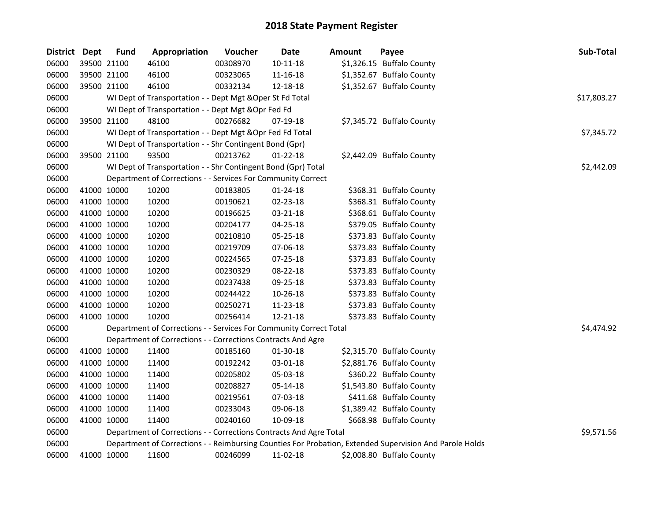| District Dept |             | <b>Fund</b> | Appropriation                                                      | Voucher  | Date           | Amount | Payee                                                                                                   | <b>Sub-Total</b> |
|---------------|-------------|-------------|--------------------------------------------------------------------|----------|----------------|--------|---------------------------------------------------------------------------------------------------------|------------------|
| 06000         |             | 39500 21100 | 46100                                                              | 00308970 | $10 - 11 - 18$ |        | \$1,326.15 Buffalo County                                                                               |                  |
| 06000         |             | 39500 21100 | 46100                                                              | 00323065 | 11-16-18       |        | \$1,352.67 Buffalo County                                                                               |                  |
| 06000         |             | 39500 21100 | 46100                                                              | 00332134 | 12-18-18       |        | \$1,352.67 Buffalo County                                                                               |                  |
| 06000         |             |             | WI Dept of Transportation - - Dept Mgt & Oper St Fd Total          |          |                |        |                                                                                                         | \$17,803.27      |
| 06000         |             |             | WI Dept of Transportation - - Dept Mgt & Opr Fed Fd                |          |                |        |                                                                                                         |                  |
| 06000         |             | 39500 21100 | 48100                                                              | 00276682 | 07-19-18       |        | \$7,345.72 Buffalo County                                                                               |                  |
| 06000         |             |             | WI Dept of Transportation - - Dept Mgt & Opr Fed Fd Total          |          |                |        |                                                                                                         | \$7,345.72       |
| 06000         |             |             | WI Dept of Transportation - - Shr Contingent Bond (Gpr)            |          |                |        |                                                                                                         |                  |
| 06000         |             | 39500 21100 | 93500                                                              | 00213762 | $01 - 22 - 18$ |        | \$2,442.09 Buffalo County                                                                               |                  |
| 06000         |             |             | WI Dept of Transportation - - Shr Contingent Bond (Gpr) Total      |          |                |        |                                                                                                         | \$2,442.09       |
| 06000         |             |             | Department of Corrections - - Services For Community Correct       |          |                |        |                                                                                                         |                  |
| 06000         |             | 41000 10000 | 10200                                                              | 00183805 | $01 - 24 - 18$ |        | \$368.31 Buffalo County                                                                                 |                  |
| 06000         |             | 41000 10000 | 10200                                                              | 00190621 | 02-23-18       |        | \$368.31 Buffalo County                                                                                 |                  |
| 06000         |             | 41000 10000 | 10200                                                              | 00196625 | 03-21-18       |        | \$368.61 Buffalo County                                                                                 |                  |
| 06000         |             | 41000 10000 | 10200                                                              | 00204177 | 04-25-18       |        | \$379.05 Buffalo County                                                                                 |                  |
| 06000         |             | 41000 10000 | 10200                                                              | 00210810 | 05-25-18       |        | \$373.83 Buffalo County                                                                                 |                  |
| 06000         |             | 41000 10000 | 10200                                                              | 00219709 | 07-06-18       |        | \$373.83 Buffalo County                                                                                 |                  |
| 06000         |             | 41000 10000 | 10200                                                              | 00224565 | 07-25-18       |        | \$373.83 Buffalo County                                                                                 |                  |
| 06000         |             | 41000 10000 | 10200                                                              | 00230329 | 08-22-18       |        | \$373.83 Buffalo County                                                                                 |                  |
| 06000         |             | 41000 10000 | 10200                                                              | 00237438 | 09-25-18       |        | \$373.83 Buffalo County                                                                                 |                  |
| 06000         |             | 41000 10000 | 10200                                                              | 00244422 | $10-26-18$     |        | \$373.83 Buffalo County                                                                                 |                  |
| 06000         |             | 41000 10000 | 10200                                                              | 00250271 | 11-23-18       |        | \$373.83 Buffalo County                                                                                 |                  |
| 06000         |             | 41000 10000 | 10200                                                              | 00256414 | $12 - 21 - 18$ |        | \$373.83 Buffalo County                                                                                 |                  |
| 06000         |             |             | Department of Corrections - - Services For Community Correct Total |          |                |        |                                                                                                         | \$4,474.92       |
| 06000         |             |             | Department of Corrections - - Corrections Contracts And Agre       |          |                |        |                                                                                                         |                  |
| 06000         | 41000 10000 |             | 11400                                                              | 00185160 | 01-30-18       |        | \$2,315.70 Buffalo County                                                                               |                  |
| 06000         |             | 41000 10000 | 11400                                                              | 00192242 | 03-01-18       |        | \$2,881.76 Buffalo County                                                                               |                  |
| 06000         |             | 41000 10000 | 11400                                                              | 00205802 | 05-03-18       |        | \$360.22 Buffalo County                                                                                 |                  |
| 06000         |             | 41000 10000 | 11400                                                              | 00208827 | 05-14-18       |        | \$1,543.80 Buffalo County                                                                               |                  |
| 06000         |             | 41000 10000 | 11400                                                              | 00219561 | 07-03-18       |        | \$411.68 Buffalo County                                                                                 |                  |
| 06000         |             | 41000 10000 | 11400                                                              | 00233043 | 09-06-18       |        | \$1,389.42 Buffalo County                                                                               |                  |
| 06000         |             | 41000 10000 | 11400                                                              | 00240160 | 10-09-18       |        | \$668.98 Buffalo County                                                                                 |                  |
| 06000         |             |             | Department of Corrections - - Corrections Contracts And Agre Total |          |                |        |                                                                                                         | \$9,571.56       |
| 06000         |             |             |                                                                    |          |                |        | Department of Corrections - - Reimbursing Counties For Probation, Extended Supervision And Parole Holds |                  |
| 06000         |             | 41000 10000 | 11600                                                              | 00246099 | 11-02-18       |        | \$2,008.80 Buffalo County                                                                               |                  |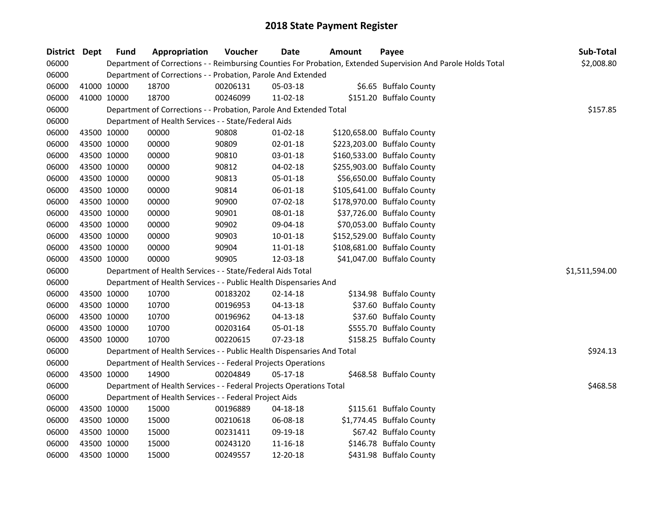| District Dept |             | <b>Fund</b> | Appropriation                                                          | Voucher  | <b>Date</b>    | <b>Amount</b> | Payee                                                                                                         | Sub-Total      |
|---------------|-------------|-------------|------------------------------------------------------------------------|----------|----------------|---------------|---------------------------------------------------------------------------------------------------------------|----------------|
| 06000         |             |             |                                                                        |          |                |               | Department of Corrections - - Reimbursing Counties For Probation, Extended Supervision And Parole Holds Total | \$2,008.80     |
| 06000         |             |             | Department of Corrections - - Probation, Parole And Extended           |          |                |               |                                                                                                               |                |
| 06000         |             | 41000 10000 | 18700                                                                  | 00206131 | 05-03-18       |               | \$6.65 Buffalo County                                                                                         |                |
| 06000         |             | 41000 10000 | 18700                                                                  | 00246099 | 11-02-18       |               | \$151.20 Buffalo County                                                                                       |                |
| 06000         |             |             | Department of Corrections - - Probation, Parole And Extended Total     |          |                |               |                                                                                                               | \$157.85       |
| 06000         |             |             | Department of Health Services - - State/Federal Aids                   |          |                |               |                                                                                                               |                |
| 06000         |             | 43500 10000 | 00000                                                                  | 90808    | $01 - 02 - 18$ |               | \$120,658.00 Buffalo County                                                                                   |                |
| 06000         |             | 43500 10000 | 00000                                                                  | 90809    | $02 - 01 - 18$ |               | \$223,203.00 Buffalo County                                                                                   |                |
| 06000         |             | 43500 10000 | 00000                                                                  | 90810    | 03-01-18       |               | \$160,533.00 Buffalo County                                                                                   |                |
| 06000         |             | 43500 10000 | 00000                                                                  | 90812    | 04-02-18       |               | \$255,903.00 Buffalo County                                                                                   |                |
| 06000         | 43500 10000 |             | 00000                                                                  | 90813    | 05-01-18       |               | \$56,650.00 Buffalo County                                                                                    |                |
| 06000         |             | 43500 10000 | 00000                                                                  | 90814    | 06-01-18       |               | \$105,641.00 Buffalo County                                                                                   |                |
| 06000         |             | 43500 10000 | 00000                                                                  | 90900    | 07-02-18       |               | \$178,970.00 Buffalo County                                                                                   |                |
| 06000         |             | 43500 10000 | 00000                                                                  | 90901    | 08-01-18       |               | \$37,726.00 Buffalo County                                                                                    |                |
| 06000         |             | 43500 10000 | 00000                                                                  | 90902    | 09-04-18       |               | \$70,053.00 Buffalo County                                                                                    |                |
| 06000         |             | 43500 10000 | 00000                                                                  | 90903    | 10-01-18       |               | \$152,529.00 Buffalo County                                                                                   |                |
| 06000         |             | 43500 10000 | 00000                                                                  | 90904    | 11-01-18       |               | \$108,681.00 Buffalo County                                                                                   |                |
| 06000         |             | 43500 10000 | 00000                                                                  | 90905    | 12-03-18       |               | \$41,047.00 Buffalo County                                                                                    |                |
| 06000         |             |             | Department of Health Services - - State/Federal Aids Total             |          |                |               |                                                                                                               | \$1,511,594.00 |
| 06000         |             |             | Department of Health Services - - Public Health Dispensaries And       |          |                |               |                                                                                                               |                |
| 06000         |             | 43500 10000 | 10700                                                                  | 00183202 | 02-14-18       |               | \$134.98 Buffalo County                                                                                       |                |
| 06000         |             | 43500 10000 | 10700                                                                  | 00196953 | $04 - 13 - 18$ |               | \$37.60 Buffalo County                                                                                        |                |
| 06000         | 43500 10000 |             | 10700                                                                  | 00196962 | $04 - 13 - 18$ |               | \$37.60 Buffalo County                                                                                        |                |
| 06000         | 43500 10000 |             | 10700                                                                  | 00203164 | 05-01-18       |               | \$555.70 Buffalo County                                                                                       |                |
| 06000         |             | 43500 10000 | 10700                                                                  | 00220615 | 07-23-18       |               | \$158.25 Buffalo County                                                                                       |                |
| 06000         |             |             | Department of Health Services - - Public Health Dispensaries And Total |          |                |               |                                                                                                               | \$924.13       |
| 06000         |             |             | Department of Health Services - - Federal Projects Operations          |          |                |               |                                                                                                               |                |
| 06000         |             | 43500 10000 | 14900                                                                  | 00204849 | 05-17-18       |               | \$468.58 Buffalo County                                                                                       |                |
| 06000         |             |             | Department of Health Services - - Federal Projects Operations Total    |          |                |               |                                                                                                               | \$468.58       |
| 06000         |             |             | Department of Health Services - - Federal Project Aids                 |          |                |               |                                                                                                               |                |
| 06000         |             | 43500 10000 | 15000                                                                  | 00196889 | 04-18-18       |               | \$115.61 Buffalo County                                                                                       |                |
| 06000         |             | 43500 10000 | 15000                                                                  | 00210618 | 06-08-18       |               | \$1,774.45 Buffalo County                                                                                     |                |
| 06000         |             | 43500 10000 | 15000                                                                  | 00231411 | 09-19-18       |               | \$67.42 Buffalo County                                                                                        |                |
| 06000         |             | 43500 10000 | 15000                                                                  | 00243120 | 11-16-18       |               | \$146.78 Buffalo County                                                                                       |                |
| 06000         |             | 43500 10000 | 15000                                                                  | 00249557 | 12-20-18       |               | \$431.98 Buffalo County                                                                                       |                |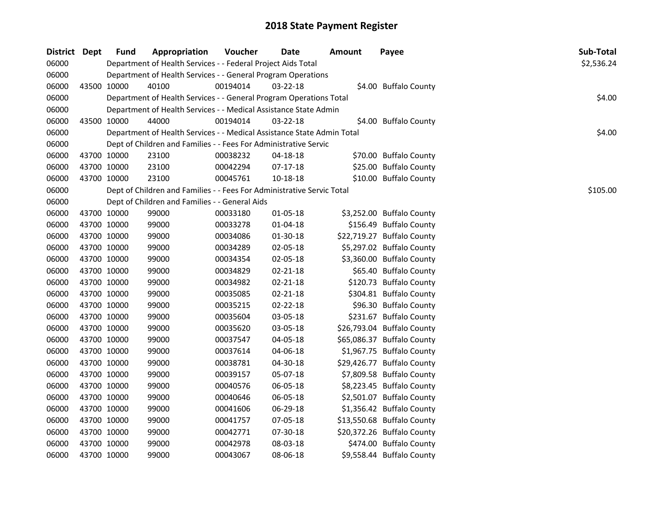| <b>District</b> | <b>Dept</b> | <b>Fund</b> | Appropriation                                                          | Voucher  | Date           | Amount | Payee                      | Sub-Total  |
|-----------------|-------------|-------------|------------------------------------------------------------------------|----------|----------------|--------|----------------------------|------------|
| 06000           |             |             | Department of Health Services - - Federal Project Aids Total           |          |                |        |                            | \$2,536.24 |
| 06000           |             |             | Department of Health Services - - General Program Operations           |          |                |        |                            |            |
| 06000           |             | 43500 10000 | 40100                                                                  | 00194014 | $03 - 22 - 18$ |        | \$4.00 Buffalo County      |            |
| 06000           |             |             | Department of Health Services - - General Program Operations Total     |          |                |        |                            | \$4.00     |
| 06000           |             |             | Department of Health Services - - Medical Assistance State Admin       |          |                |        |                            |            |
| 06000           |             | 43500 10000 | 44000                                                                  | 00194014 | $03 - 22 - 18$ |        | \$4.00 Buffalo County      |            |
| 06000           |             |             | Department of Health Services - - Medical Assistance State Admin Total |          |                |        |                            | \$4.00     |
| 06000           |             |             | Dept of Children and Families - - Fees For Administrative Servic       |          |                |        |                            |            |
| 06000           |             | 43700 10000 | 23100                                                                  | 00038232 | 04-18-18       |        | \$70.00 Buffalo County     |            |
| 06000           |             | 43700 10000 | 23100                                                                  | 00042294 | 07-17-18       |        | \$25.00 Buffalo County     |            |
| 06000           |             | 43700 10000 | 23100                                                                  | 00045761 | 10-18-18       |        | \$10.00 Buffalo County     |            |
| 06000           |             |             | Dept of Children and Families - - Fees For Administrative Servic Total |          |                |        |                            | \$105.00   |
| 06000           |             |             | Dept of Children and Families - - General Aids                         |          |                |        |                            |            |
| 06000           |             | 43700 10000 | 99000                                                                  | 00033180 | 01-05-18       |        | \$3,252.00 Buffalo County  |            |
| 06000           |             | 43700 10000 | 99000                                                                  | 00033278 | 01-04-18       |        | \$156.49 Buffalo County    |            |
| 06000           |             | 43700 10000 | 99000                                                                  | 00034086 | 01-30-18       |        | \$22,719.27 Buffalo County |            |
| 06000           |             | 43700 10000 | 99000                                                                  | 00034289 | 02-05-18       |        | \$5,297.02 Buffalo County  |            |
| 06000           |             | 43700 10000 | 99000                                                                  | 00034354 | 02-05-18       |        | \$3,360.00 Buffalo County  |            |
| 06000           |             | 43700 10000 | 99000                                                                  | 00034829 | $02 - 21 - 18$ |        | \$65.40 Buffalo County     |            |
| 06000           |             | 43700 10000 | 99000                                                                  | 00034982 | 02-21-18       |        | \$120.73 Buffalo County    |            |
| 06000           |             | 43700 10000 | 99000                                                                  | 00035085 | 02-21-18       |        | \$304.81 Buffalo County    |            |
| 06000           |             | 43700 10000 | 99000                                                                  | 00035215 | $02 - 22 - 18$ |        | \$96.30 Buffalo County     |            |
| 06000           |             | 43700 10000 | 99000                                                                  | 00035604 | 03-05-18       |        | \$231.67 Buffalo County    |            |
| 06000           |             | 43700 10000 | 99000                                                                  | 00035620 | 03-05-18       |        | \$26,793.04 Buffalo County |            |
| 06000           |             | 43700 10000 | 99000                                                                  | 00037547 | 04-05-18       |        | \$65,086.37 Buffalo County |            |
| 06000           |             | 43700 10000 | 99000                                                                  | 00037614 | 04-06-18       |        | \$1,967.75 Buffalo County  |            |
| 06000           |             | 43700 10000 | 99000                                                                  | 00038781 | 04-30-18       |        | \$29,426.77 Buffalo County |            |
| 06000           |             | 43700 10000 | 99000                                                                  | 00039157 | 05-07-18       |        | \$7,809.58 Buffalo County  |            |
| 06000           |             | 43700 10000 | 99000                                                                  | 00040576 | 06-05-18       |        | \$8,223.45 Buffalo County  |            |
| 06000           |             | 43700 10000 | 99000                                                                  | 00040646 | 06-05-18       |        | \$2,501.07 Buffalo County  |            |
| 06000           |             | 43700 10000 | 99000                                                                  | 00041606 | 06-29-18       |        | \$1,356.42 Buffalo County  |            |
| 06000           |             | 43700 10000 | 99000                                                                  | 00041757 | 07-05-18       |        | \$13,550.68 Buffalo County |            |
| 06000           |             | 43700 10000 | 99000                                                                  | 00042771 | 07-30-18       |        | \$20,372.26 Buffalo County |            |
| 06000           |             | 43700 10000 | 99000                                                                  | 00042978 | 08-03-18       |        | \$474.00 Buffalo County    |            |
| 06000           |             | 43700 10000 | 99000                                                                  | 00043067 | 08-06-18       |        | \$9,558.44 Buffalo County  |            |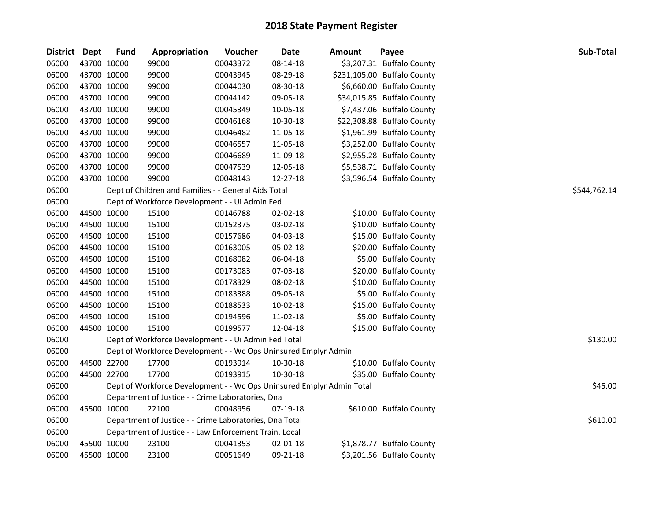| District Dept |             | <b>Fund</b> | Appropriation                                                         | Voucher  | <b>Date</b>    | Amount | Payee                       | Sub-Total    |
|---------------|-------------|-------------|-----------------------------------------------------------------------|----------|----------------|--------|-----------------------------|--------------|
| 06000         | 43700 10000 |             | 99000                                                                 | 00043372 | 08-14-18       |        | \$3,207.31 Buffalo County   |              |
| 06000         | 43700 10000 |             | 99000                                                                 | 00043945 | 08-29-18       |        | \$231,105.00 Buffalo County |              |
| 06000         | 43700 10000 |             | 99000                                                                 | 00044030 | 08-30-18       |        | \$6,660.00 Buffalo County   |              |
| 06000         | 43700 10000 |             | 99000                                                                 | 00044142 | 09-05-18       |        | \$34,015.85 Buffalo County  |              |
| 06000         | 43700 10000 |             | 99000                                                                 | 00045349 | 10-05-18       |        | \$7,437.06 Buffalo County   |              |
| 06000         | 43700 10000 |             | 99000                                                                 | 00046168 | 10-30-18       |        | \$22,308.88 Buffalo County  |              |
| 06000         | 43700 10000 |             | 99000                                                                 | 00046482 | 11-05-18       |        | \$1,961.99 Buffalo County   |              |
| 06000         | 43700 10000 |             | 99000                                                                 | 00046557 | 11-05-18       |        | \$3,252.00 Buffalo County   |              |
| 06000         | 43700 10000 |             | 99000                                                                 | 00046689 | 11-09-18       |        | \$2,955.28 Buffalo County   |              |
| 06000         | 43700 10000 |             | 99000                                                                 | 00047539 | 12-05-18       |        | \$5,538.71 Buffalo County   |              |
| 06000         | 43700 10000 |             | 99000                                                                 | 00048143 | 12-27-18       |        | \$3,596.54 Buffalo County   |              |
| 06000         |             |             | Dept of Children and Families - - General Aids Total                  |          |                |        |                             | \$544,762.14 |
| 06000         |             |             | Dept of Workforce Development - - Ui Admin Fed                        |          |                |        |                             |              |
| 06000         | 44500 10000 |             | 15100                                                                 | 00146788 | 02-02-18       |        | \$10.00 Buffalo County      |              |
| 06000         | 44500 10000 |             | 15100                                                                 | 00152375 | 03-02-18       |        | \$10.00 Buffalo County      |              |
| 06000         | 44500 10000 |             | 15100                                                                 | 00157686 | 04-03-18       |        | \$15.00 Buffalo County      |              |
| 06000         | 44500 10000 |             | 15100                                                                 | 00163005 | 05-02-18       |        | \$20.00 Buffalo County      |              |
| 06000         | 44500 10000 |             | 15100                                                                 | 00168082 | 06-04-18       |        | \$5.00 Buffalo County       |              |
| 06000         | 44500 10000 |             | 15100                                                                 | 00173083 | 07-03-18       |        | \$20.00 Buffalo County      |              |
| 06000         | 44500 10000 |             | 15100                                                                 | 00178329 | 08-02-18       |        | \$10.00 Buffalo County      |              |
| 06000         | 44500 10000 |             | 15100                                                                 | 00183388 | 09-05-18       |        | \$5.00 Buffalo County       |              |
| 06000         | 44500 10000 |             | 15100                                                                 | 00188533 | 10-02-18       |        | \$15.00 Buffalo County      |              |
| 06000         | 44500 10000 |             | 15100                                                                 | 00194596 | 11-02-18       |        | \$5.00 Buffalo County       |              |
| 06000         | 44500 10000 |             | 15100                                                                 | 00199577 | 12-04-18       |        | \$15.00 Buffalo County      |              |
| 06000         |             |             | Dept of Workforce Development - - Ui Admin Fed Total                  |          |                |        |                             | \$130.00     |
| 06000         |             |             | Dept of Workforce Development - - Wc Ops Uninsured Emplyr Admin       |          |                |        |                             |              |
| 06000         | 44500 22700 |             | 17700                                                                 | 00193914 | 10-30-18       |        | \$10.00 Buffalo County      |              |
| 06000         | 44500 22700 |             | 17700                                                                 | 00193915 | 10-30-18       |        | \$35.00 Buffalo County      |              |
| 06000         |             |             | Dept of Workforce Development - - Wc Ops Uninsured Emplyr Admin Total |          |                |        |                             | \$45.00      |
| 06000         |             |             | Department of Justice - - Crime Laboratories, Dna                     |          |                |        |                             |              |
| 06000         | 45500 10000 |             | 22100                                                                 | 00048956 | 07-19-18       |        | \$610.00 Buffalo County     |              |
| 06000         |             |             | Department of Justice - - Crime Laboratories, Dna Total               |          |                |        |                             | \$610.00     |
| 06000         |             |             | Department of Justice - - Law Enforcement Train, Local                |          |                |        |                             |              |
| 06000         |             | 45500 10000 | 23100                                                                 | 00041353 | $02 - 01 - 18$ |        | \$1,878.77 Buffalo County   |              |
| 06000         | 45500 10000 |             | 23100                                                                 | 00051649 | 09-21-18       |        | \$3,201.56 Buffalo County   |              |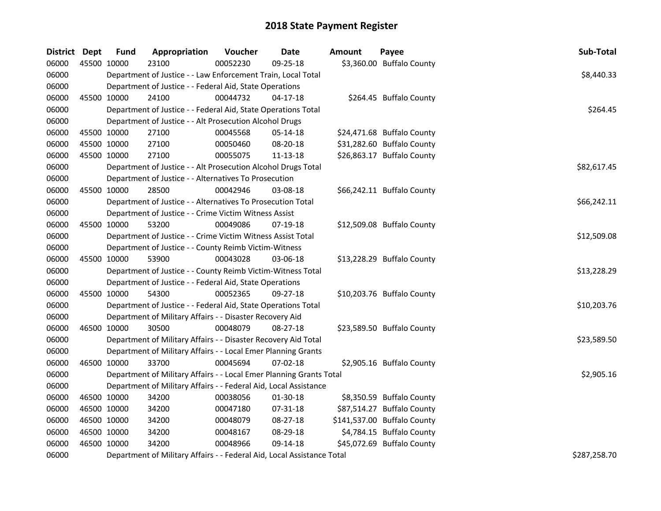| District Dept |             | <b>Fund</b> | Appropriation                                                          | Voucher  | <b>Date</b>    | Amount | Payee                       | Sub-Total    |
|---------------|-------------|-------------|------------------------------------------------------------------------|----------|----------------|--------|-----------------------------|--------------|
| 06000         | 45500 10000 |             | 23100                                                                  | 00052230 | 09-25-18       |        | \$3,360.00 Buffalo County   |              |
| 06000         |             |             | Department of Justice - - Law Enforcement Train, Local Total           |          |                |        |                             | \$8,440.33   |
| 06000         |             |             | Department of Justice - - Federal Aid, State Operations                |          |                |        |                             |              |
| 06000         | 45500 10000 |             | 24100                                                                  | 00044732 | 04-17-18       |        | \$264.45 Buffalo County     |              |
| 06000         |             |             | Department of Justice - - Federal Aid, State Operations Total          |          |                |        |                             | \$264.45     |
| 06000         |             |             | Department of Justice - - Alt Prosecution Alcohol Drugs                |          |                |        |                             |              |
| 06000         |             | 45500 10000 | 27100                                                                  | 00045568 | 05-14-18       |        | \$24,471.68 Buffalo County  |              |
| 06000         |             | 45500 10000 | 27100                                                                  | 00050460 | 08-20-18       |        | \$31,282.60 Buffalo County  |              |
| 06000         | 45500 10000 |             | 27100                                                                  | 00055075 | 11-13-18       |        | \$26,863.17 Buffalo County  |              |
| 06000         |             |             | Department of Justice - - Alt Prosecution Alcohol Drugs Total          |          |                |        |                             | \$82,617.45  |
| 06000         |             |             | Department of Justice - - Alternatives To Prosecution                  |          |                |        |                             |              |
| 06000         |             | 45500 10000 | 28500                                                                  | 00042946 | 03-08-18       |        | \$66,242.11 Buffalo County  |              |
| 06000         |             |             | Department of Justice - - Alternatives To Prosecution Total            |          |                |        |                             | \$66,242.11  |
| 06000         |             |             | Department of Justice - - Crime Victim Witness Assist                  |          |                |        |                             |              |
| 06000         | 45500 10000 |             | 53200                                                                  | 00049086 | 07-19-18       |        | \$12,509.08 Buffalo County  |              |
| 06000         |             |             | Department of Justice - - Crime Victim Witness Assist Total            |          |                |        |                             | \$12,509.08  |
| 06000         |             |             | Department of Justice - - County Reimb Victim-Witness                  |          |                |        |                             |              |
| 06000         | 45500 10000 |             | 53900                                                                  | 00043028 | 03-06-18       |        | \$13,228.29 Buffalo County  |              |
| 06000         |             |             | Department of Justice - - County Reimb Victim-Witness Total            |          |                |        |                             | \$13,228.29  |
| 06000         |             |             | Department of Justice - - Federal Aid, State Operations                |          |                |        |                             |              |
| 06000         | 45500 10000 |             | 54300                                                                  | 00052365 | 09-27-18       |        | \$10,203.76 Buffalo County  |              |
| 06000         |             |             | Department of Justice - - Federal Aid, State Operations Total          |          |                |        |                             | \$10,203.76  |
| 06000         |             |             | Department of Military Affairs - - Disaster Recovery Aid               |          |                |        |                             |              |
| 06000         | 46500 10000 |             | 30500                                                                  | 00048079 | 08-27-18       |        | \$23,589.50 Buffalo County  |              |
| 06000         |             |             | Department of Military Affairs - - Disaster Recovery Aid Total         |          |                |        |                             | \$23,589.50  |
| 06000         |             |             | Department of Military Affairs - - Local Emer Planning Grants          |          |                |        |                             |              |
| 06000         | 46500 10000 |             | 33700                                                                  | 00045694 | $07 - 02 - 18$ |        | \$2,905.16 Buffalo County   |              |
| 06000         |             |             | Department of Military Affairs - - Local Emer Planning Grants Total    |          |                |        |                             | \$2,905.16   |
| 06000         |             |             | Department of Military Affairs - - Federal Aid, Local Assistance       |          |                |        |                             |              |
| 06000         | 46500 10000 |             | 34200                                                                  | 00038056 | 01-30-18       |        | \$8,350.59 Buffalo County   |              |
| 06000         | 46500 10000 |             | 34200                                                                  | 00047180 | 07-31-18       |        | \$87,514.27 Buffalo County  |              |
| 06000         | 46500 10000 |             | 34200                                                                  | 00048079 | 08-27-18       |        | \$141,537.00 Buffalo County |              |
| 06000         | 46500 10000 |             | 34200                                                                  | 00048167 | 08-29-18       |        | \$4,784.15 Buffalo County   |              |
| 06000         | 46500 10000 |             | 34200                                                                  | 00048966 | 09-14-18       |        | \$45,072.69 Buffalo County  |              |
| 06000         |             |             | Department of Military Affairs - - Federal Aid, Local Assistance Total |          |                |        |                             | \$287,258.70 |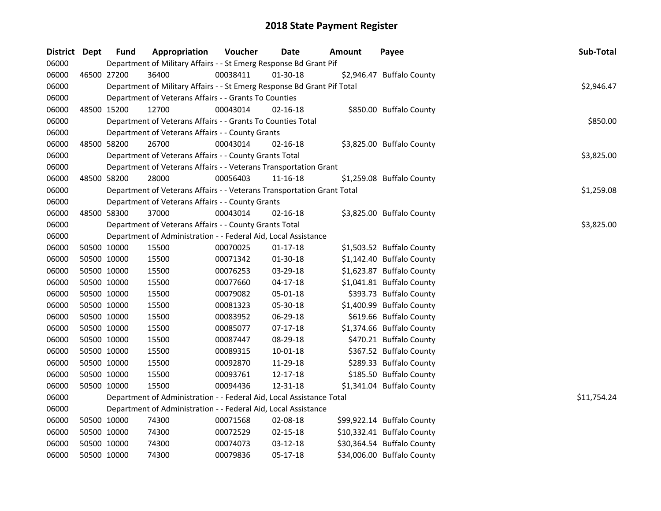| District Dept |             | <b>Fund</b> | Appropriation                                                           | Voucher  | Date           | Amount | Payee                      | Sub-Total   |  |  |  |
|---------------|-------------|-------------|-------------------------------------------------------------------------|----------|----------------|--------|----------------------------|-------------|--|--|--|
| 06000         |             |             | Department of Military Affairs - - St Emerg Response Bd Grant Pif       |          |                |        |                            |             |  |  |  |
| 06000         | 46500 27200 |             | 36400                                                                   | 00038411 | 01-30-18       |        | \$2,946.47 Buffalo County  |             |  |  |  |
| 06000         |             |             | Department of Military Affairs - - St Emerg Response Bd Grant Pif Total |          |                |        |                            | \$2,946.47  |  |  |  |
| 06000         |             |             | Department of Veterans Affairs - - Grants To Counties                   |          |                |        |                            |             |  |  |  |
| 06000         |             | 48500 15200 | 12700                                                                   | 00043014 | 02-16-18       |        | \$850.00 Buffalo County    |             |  |  |  |
| 06000         |             |             | Department of Veterans Affairs - - Grants To Counties Total             |          |                |        |                            | \$850.00    |  |  |  |
| 06000         |             |             | Department of Veterans Affairs - - County Grants                        |          |                |        |                            |             |  |  |  |
| 06000         | 48500 58200 |             | 26700                                                                   | 00043014 | $02 - 16 - 18$ |        | \$3,825.00 Buffalo County  |             |  |  |  |
| 06000         |             |             | Department of Veterans Affairs - - County Grants Total                  |          |                |        |                            | \$3,825.00  |  |  |  |
| 06000         |             |             | Department of Veterans Affairs - - Veterans Transportation Grant        |          |                |        |                            |             |  |  |  |
| 06000         | 48500 58200 |             | 28000                                                                   | 00056403 | 11-16-18       |        | \$1,259.08 Buffalo County  |             |  |  |  |
| 06000         |             |             | Department of Veterans Affairs - - Veterans Transportation Grant Total  |          |                |        |                            | \$1,259.08  |  |  |  |
| 06000         |             |             | Department of Veterans Affairs - - County Grants                        |          |                |        |                            |             |  |  |  |
| 06000         |             | 48500 58300 | 37000                                                                   | 00043014 | 02-16-18       |        | \$3,825.00 Buffalo County  |             |  |  |  |
| 06000         |             |             | Department of Veterans Affairs - - County Grants Total                  |          |                |        |                            | \$3,825.00  |  |  |  |
| 06000         |             |             | Department of Administration - - Federal Aid, Local Assistance          |          |                |        |                            |             |  |  |  |
| 06000         | 50500 10000 |             | 15500                                                                   | 00070025 | $01 - 17 - 18$ |        | \$1,503.52 Buffalo County  |             |  |  |  |
| 06000         | 50500 10000 |             | 15500                                                                   | 00071342 | 01-30-18       |        | \$1,142.40 Buffalo County  |             |  |  |  |
| 06000         | 50500 10000 |             | 15500                                                                   | 00076253 | 03-29-18       |        | \$1,623.87 Buffalo County  |             |  |  |  |
| 06000         | 50500 10000 |             | 15500                                                                   | 00077660 | $04 - 17 - 18$ |        | \$1,041.81 Buffalo County  |             |  |  |  |
| 06000         | 50500 10000 |             | 15500                                                                   | 00079082 | 05-01-18       |        | \$393.73 Buffalo County    |             |  |  |  |
| 06000         | 50500 10000 |             | 15500                                                                   | 00081323 | 05-30-18       |        | \$1,400.99 Buffalo County  |             |  |  |  |
| 06000         | 50500 10000 |             | 15500                                                                   | 00083952 | 06-29-18       |        | \$619.66 Buffalo County    |             |  |  |  |
| 06000         | 50500 10000 |             | 15500                                                                   | 00085077 | 07-17-18       |        | \$1,374.66 Buffalo County  |             |  |  |  |
| 06000         | 50500 10000 |             | 15500                                                                   | 00087447 | 08-29-18       |        | \$470.21 Buffalo County    |             |  |  |  |
| 06000         | 50500 10000 |             | 15500                                                                   | 00089315 | $10 - 01 - 18$ |        | \$367.52 Buffalo County    |             |  |  |  |
| 06000         | 50500 10000 |             | 15500                                                                   | 00092870 | 11-29-18       |        | \$289.33 Buffalo County    |             |  |  |  |
| 06000         | 50500 10000 |             | 15500                                                                   | 00093761 | 12-17-18       |        | \$185.50 Buffalo County    |             |  |  |  |
| 06000         |             | 50500 10000 | 15500                                                                   | 00094436 | 12-31-18       |        | \$1,341.04 Buffalo County  |             |  |  |  |
| 06000         |             |             | Department of Administration - - Federal Aid, Local Assistance Total    |          |                |        |                            | \$11,754.24 |  |  |  |
| 06000         |             |             | Department of Administration - - Federal Aid, Local Assistance          |          |                |        |                            |             |  |  |  |
| 06000         | 50500 10000 |             | 74300                                                                   | 00071568 | 02-08-18       |        | \$99,922.14 Buffalo County |             |  |  |  |
| 06000         | 50500 10000 |             | 74300                                                                   | 00072529 | $02 - 15 - 18$ |        | \$10,332.41 Buffalo County |             |  |  |  |
| 06000         | 50500 10000 |             | 74300                                                                   | 00074073 | $03 - 12 - 18$ |        | \$30,364.54 Buffalo County |             |  |  |  |
| 06000         | 50500 10000 |             | 74300                                                                   | 00079836 | 05-17-18       |        | \$34,006.00 Buffalo County |             |  |  |  |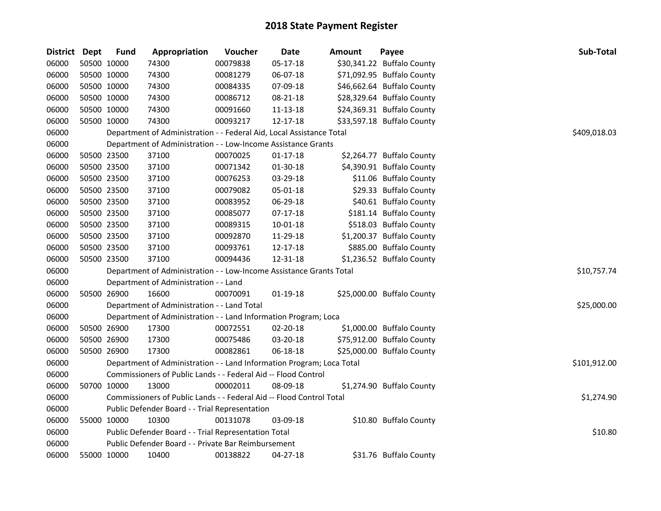| District Dept | <b>Fund</b> | Appropriation                                                         | Voucher  | Date           | <b>Amount</b> | Payee                      | Sub-Total    |
|---------------|-------------|-----------------------------------------------------------------------|----------|----------------|---------------|----------------------------|--------------|
| 06000         | 50500 10000 | 74300                                                                 | 00079838 | 05-17-18       |               | \$30,341.22 Buffalo County |              |
| 06000         | 50500 10000 | 74300                                                                 | 00081279 | 06-07-18       |               | \$71,092.95 Buffalo County |              |
| 06000         | 50500 10000 | 74300                                                                 | 00084335 | 07-09-18       |               | \$46,662.64 Buffalo County |              |
| 06000         | 50500 10000 | 74300                                                                 | 00086712 | 08-21-18       |               | \$28,329.64 Buffalo County |              |
| 06000         | 50500 10000 | 74300                                                                 | 00091660 | 11-13-18       |               | \$24,369.31 Buffalo County |              |
| 06000         | 50500 10000 | 74300                                                                 | 00093217 | 12-17-18       |               | \$33,597.18 Buffalo County |              |
| 06000         |             | Department of Administration - - Federal Aid, Local Assistance Total  |          |                |               |                            | \$409,018.03 |
| 06000         |             | Department of Administration - - Low-Income Assistance Grants         |          |                |               |                            |              |
| 06000         | 50500 23500 | 37100                                                                 | 00070025 | $01 - 17 - 18$ |               | \$2,264.77 Buffalo County  |              |
| 06000         | 50500 23500 | 37100                                                                 | 00071342 | 01-30-18       |               | \$4,390.91 Buffalo County  |              |
| 06000         | 50500 23500 | 37100                                                                 | 00076253 | 03-29-18       |               | \$11.06 Buffalo County     |              |
| 06000         | 50500 23500 | 37100                                                                 | 00079082 | 05-01-18       |               | \$29.33 Buffalo County     |              |
| 06000         | 50500 23500 | 37100                                                                 | 00083952 | 06-29-18       |               | \$40.61 Buffalo County     |              |
| 06000         | 50500 23500 | 37100                                                                 | 00085077 | 07-17-18       |               | \$181.14 Buffalo County    |              |
| 06000         | 50500 23500 | 37100                                                                 | 00089315 | 10-01-18       |               | \$518.03 Buffalo County    |              |
| 06000         | 50500 23500 | 37100                                                                 | 00092870 | 11-29-18       |               | \$1,200.37 Buffalo County  |              |
| 06000         | 50500 23500 | 37100                                                                 | 00093761 | 12-17-18       |               | \$885.00 Buffalo County    |              |
| 06000         | 50500 23500 | 37100                                                                 | 00094436 | 12-31-18       |               | \$1,236.52 Buffalo County  |              |
| 06000         |             | Department of Administration - - Low-Income Assistance Grants Total   |          |                |               |                            | \$10,757.74  |
| 06000         |             | Department of Administration - - Land                                 |          |                |               |                            |              |
| 06000         | 50500 26900 | 16600                                                                 | 00070091 | $01-19-18$     |               | \$25,000.00 Buffalo County |              |
| 06000         |             | Department of Administration - - Land Total                           |          |                |               |                            | \$25,000.00  |
| 06000         |             | Department of Administration - - Land Information Program; Loca       |          |                |               |                            |              |
| 06000         | 50500 26900 | 17300                                                                 | 00072551 | 02-20-18       |               | \$1,000.00 Buffalo County  |              |
| 06000         | 50500 26900 | 17300                                                                 | 00075486 | 03-20-18       |               | \$75,912.00 Buffalo County |              |
| 06000         | 50500 26900 | 17300                                                                 | 00082861 | 06-18-18       |               | \$25,000.00 Buffalo County |              |
| 06000         |             | Department of Administration - - Land Information Program; Loca Total |          |                |               |                            | \$101,912.00 |
| 06000         |             | Commissioners of Public Lands - - Federal Aid -- Flood Control        |          |                |               |                            |              |
| 06000         | 50700 10000 | 13000                                                                 | 00002011 | 08-09-18       |               | \$1,274.90 Buffalo County  |              |
| 06000         |             | Commissioners of Public Lands - - Federal Aid -- Flood Control Total  |          |                |               |                            | \$1,274.90   |
| 06000         |             | Public Defender Board - - Trial Representation                        |          |                |               |                            |              |
| 06000         | 55000 10000 | 10300                                                                 | 00131078 | 03-09-18       |               | \$10.80 Buffalo County     |              |
| 06000         |             | Public Defender Board - - Trial Representation Total                  |          |                |               |                            | \$10.80      |
| 06000         |             | Public Defender Board - - Private Bar Reimbursement                   |          |                |               |                            |              |
| 06000         | 55000 10000 | 10400                                                                 | 00138822 | 04-27-18       |               | \$31.76 Buffalo County     |              |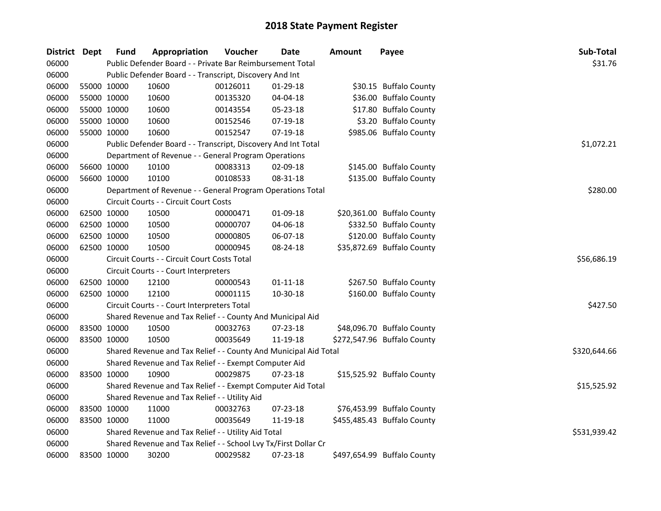| District Dept | <b>Fund</b> | Appropriation                                                    | Voucher  | <b>Date</b>    | <b>Amount</b> | Payee                       | Sub-Total    |
|---------------|-------------|------------------------------------------------------------------|----------|----------------|---------------|-----------------------------|--------------|
| 06000         |             | Public Defender Board - - Private Bar Reimbursement Total        |          |                |               |                             | \$31.76      |
| 06000         |             | Public Defender Board - - Transcript, Discovery And Int          |          |                |               |                             |              |
| 06000         | 55000 10000 | 10600                                                            | 00126011 | 01-29-18       |               | \$30.15 Buffalo County      |              |
| 06000         | 55000 10000 | 10600                                                            | 00135320 | 04-04-18       |               | \$36.00 Buffalo County      |              |
| 06000         | 55000 10000 | 10600                                                            | 00143554 | 05-23-18       |               | \$17.80 Buffalo County      |              |
| 06000         | 55000 10000 | 10600                                                            | 00152546 | 07-19-18       |               | \$3.20 Buffalo County       |              |
| 06000         | 55000 10000 | 10600                                                            | 00152547 | $07-19-18$     |               | \$985.06 Buffalo County     |              |
| 06000         |             | Public Defender Board - - Transcript, Discovery And Int Total    |          |                |               |                             | \$1,072.21   |
| 06000         |             | Department of Revenue - - General Program Operations             |          |                |               |                             |              |
| 06000         | 56600 10000 | 10100                                                            | 00083313 | 02-09-18       |               | \$145.00 Buffalo County     |              |
| 06000         | 56600 10000 | 10100                                                            | 00108533 | 08-31-18       |               | \$135.00 Buffalo County     |              |
| 06000         |             | Department of Revenue - - General Program Operations Total       |          |                |               |                             | \$280.00     |
| 06000         |             | Circuit Courts - - Circuit Court Costs                           |          |                |               |                             |              |
| 06000         | 62500 10000 | 10500                                                            | 00000471 | 01-09-18       |               | \$20,361.00 Buffalo County  |              |
| 06000         | 62500 10000 | 10500                                                            | 00000707 | 04-06-18       |               | \$332.50 Buffalo County     |              |
| 06000         | 62500 10000 | 10500                                                            | 00000805 | 06-07-18       |               | \$120.00 Buffalo County     |              |
| 06000         | 62500 10000 | 10500                                                            | 00000945 | 08-24-18       |               | \$35,872.69 Buffalo County  |              |
| 06000         |             | Circuit Courts - - Circuit Court Costs Total                     |          |                |               |                             | \$56,686.19  |
| 06000         |             | Circuit Courts - - Court Interpreters                            |          |                |               |                             |              |
| 06000         | 62500 10000 | 12100                                                            | 00000543 | $01 - 11 - 18$ |               | \$267.50 Buffalo County     |              |
| 06000         | 62500 10000 | 12100                                                            | 00001115 | 10-30-18       |               | \$160.00 Buffalo County     |              |
| 06000         |             | Circuit Courts - - Court Interpreters Total                      |          |                |               |                             | \$427.50     |
| 06000         |             | Shared Revenue and Tax Relief - - County And Municipal Aid       |          |                |               |                             |              |
| 06000         | 83500 10000 | 10500                                                            | 00032763 | 07-23-18       |               | \$48,096.70 Buffalo County  |              |
| 06000         | 83500 10000 | 10500                                                            | 00035649 | 11-19-18       |               | \$272,547.96 Buffalo County |              |
| 06000         |             | Shared Revenue and Tax Relief - - County And Municipal Aid Total |          |                |               |                             | \$320,644.66 |
| 06000         |             | Shared Revenue and Tax Relief - - Exempt Computer Aid            |          |                |               |                             |              |
| 06000         | 83500 10000 | 10900                                                            | 00029875 | $07 - 23 - 18$ |               | \$15,525.92 Buffalo County  |              |
| 06000         |             | Shared Revenue and Tax Relief - - Exempt Computer Aid Total      |          |                |               |                             | \$15,525.92  |
| 06000         |             | Shared Revenue and Tax Relief - - Utility Aid                    |          |                |               |                             |              |
| 06000         | 83500 10000 | 11000                                                            | 00032763 | 07-23-18       |               | \$76,453.99 Buffalo County  |              |
| 06000         | 83500 10000 | 11000                                                            | 00035649 | 11-19-18       |               | \$455,485.43 Buffalo County |              |
| 06000         |             | Shared Revenue and Tax Relief - - Utility Aid Total              |          |                |               |                             | \$531,939.42 |
| 06000         |             | Shared Revenue and Tax Relief - - School Lvy Tx/First Dollar Cr  |          |                |               |                             |              |
| 06000         | 83500 10000 | 30200                                                            | 00029582 | 07-23-18       |               | \$497,654.99 Buffalo County |              |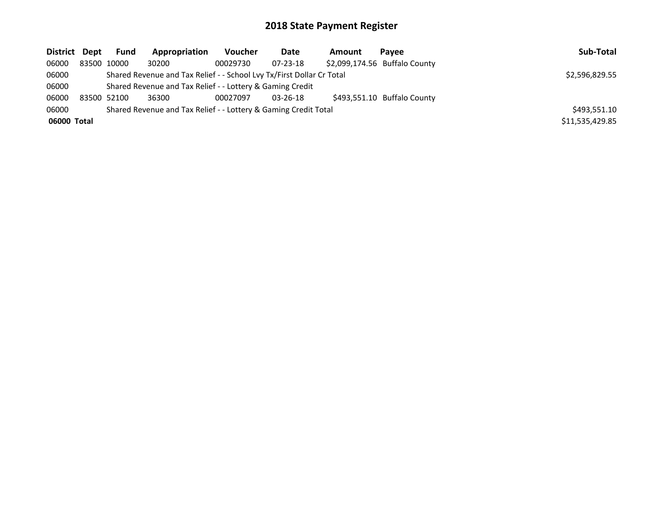| District Dept | <b>Fund</b> | Appropriation                                                         | Voucher      | Date           | Amount | Pavee                         | Sub-Total       |
|---------------|-------------|-----------------------------------------------------------------------|--------------|----------------|--------|-------------------------------|-----------------|
| 06000         | 83500 10000 | 30200                                                                 | 00029730     | 07-23-18       |        | \$2,099,174.56 Buffalo County |                 |
| 06000         |             | Shared Revenue and Tax Relief - - School Lvy Tx/First Dollar Cr Total |              |                |        |                               | \$2,596,829.55  |
| 06000         |             | Shared Revenue and Tax Relief - - Lottery & Gaming Credit             |              |                |        |                               |                 |
| 06000         | 83500 52100 | 36300                                                                 | 00027097     | $03 - 26 - 18$ |        | \$493,551.10 Buffalo County   |                 |
| 06000         |             | Shared Revenue and Tax Relief - - Lottery & Gaming Credit Total       | \$493,551.10 |                |        |                               |                 |
| 06000 Total   |             |                                                                       |              |                |        |                               | \$11,535,429.85 |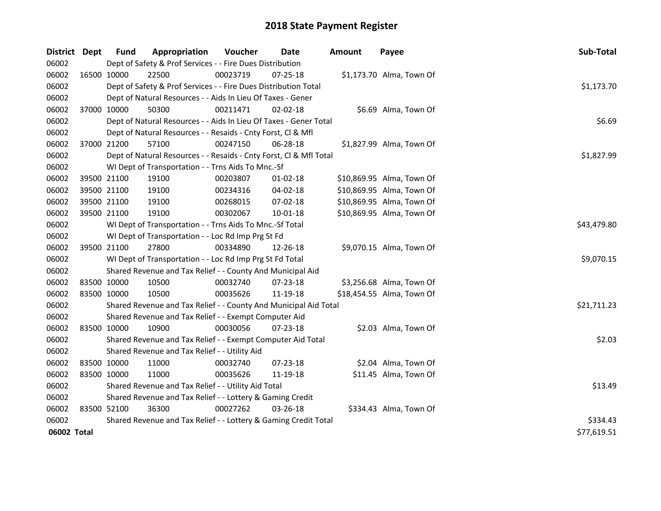| District Dept |             | <b>Fund</b>                                         | Appropriation                                                      | Voucher  | Date           | <b>Amount</b> | Payee                     | Sub-Total   |
|---------------|-------------|-----------------------------------------------------|--------------------------------------------------------------------|----------|----------------|---------------|---------------------------|-------------|
| 06002         |             |                                                     | Dept of Safety & Prof Services - - Fire Dues Distribution          |          |                |               |                           |             |
| 06002         |             | 16500 10000                                         | 22500                                                              | 00023719 | 07-25-18       |               | \$1,173.70 Alma, Town Of  |             |
| 06002         |             |                                                     | Dept of Safety & Prof Services - - Fire Dues Distribution Total    |          |                |               |                           | \$1,173.70  |
| 06002         |             |                                                     | Dept of Natural Resources - - Aids In Lieu Of Taxes - Gener        |          |                |               |                           |             |
| 06002         | 37000 10000 |                                                     | 50300                                                              | 00211471 | 02-02-18       |               | \$6.69 Alma, Town Of      |             |
| 06002         |             |                                                     | Dept of Natural Resources - - Aids In Lieu Of Taxes - Gener Total  |          |                |               |                           | \$6.69      |
| 06002         |             |                                                     | Dept of Natural Resources - - Resaids - Cnty Forst, Cl & Mfl       |          |                |               |                           |             |
| 06002         | 37000 21200 |                                                     | 57100                                                              | 00247150 | 06-28-18       |               | \$1,827.99 Alma, Town Of  |             |
| 06002         |             |                                                     | Dept of Natural Resources - - Resaids - Cnty Forst, Cl & Mfl Total |          |                |               |                           | \$1,827.99  |
| 06002         |             |                                                     | WI Dept of Transportation - - Trns Aids To Mnc.-Sf                 |          |                |               |                           |             |
| 06002         |             | 39500 21100                                         | 19100                                                              | 00203807 | $01 - 02 - 18$ |               | \$10,869.95 Alma, Town Of |             |
| 06002         |             | 39500 21100                                         | 19100                                                              | 00234316 | 04-02-18       |               | \$10,869.95 Alma, Town Of |             |
| 06002         |             | 39500 21100                                         | 19100                                                              | 00268015 | 07-02-18       |               | \$10,869.95 Alma, Town Of |             |
| 06002         | 39500 21100 |                                                     | 19100                                                              | 00302067 | 10-01-18       |               | \$10,869.95 Alma, Town Of |             |
| 06002         |             |                                                     | WI Dept of Transportation - - Trns Aids To Mnc.-Sf Total           |          |                |               |                           | \$43,479.80 |
| 06002         |             |                                                     | WI Dept of Transportation - - Loc Rd Imp Prg St Fd                 |          |                |               |                           |             |
| 06002         |             | 39500 21100                                         | 27800                                                              | 00334890 | 12-26-18       |               | \$9,070.15 Alma, Town Of  |             |
| 06002         |             |                                                     | WI Dept of Transportation - - Loc Rd Imp Prg St Fd Total           |          |                |               |                           | \$9,070.15  |
| 06002         |             |                                                     | Shared Revenue and Tax Relief - - County And Municipal Aid         |          |                |               |                           |             |
| 06002         |             | 83500 10000                                         | 10500                                                              | 00032740 | 07-23-18       |               | \$3,256.68 Alma, Town Of  |             |
| 06002         | 83500 10000 |                                                     | 10500                                                              | 00035626 | 11-19-18       |               | \$18,454.55 Alma, Town Of |             |
| 06002         |             |                                                     | Shared Revenue and Tax Relief - - County And Municipal Aid Total   |          |                |               |                           | \$21,711.23 |
| 06002         |             |                                                     | Shared Revenue and Tax Relief - - Exempt Computer Aid              |          |                |               |                           |             |
| 06002         |             | 83500 10000                                         | 10900                                                              | 00030056 | 07-23-18       |               | \$2.03 Alma, Town Of      |             |
| 06002         |             |                                                     | Shared Revenue and Tax Relief - - Exempt Computer Aid Total        |          |                |               |                           | \$2.03      |
| 06002         |             |                                                     | Shared Revenue and Tax Relief - - Utility Aid                      |          |                |               |                           |             |
| 06002         | 83500 10000 |                                                     | 11000                                                              | 00032740 | $07 - 23 - 18$ |               | \$2.04 Alma, Town Of      |             |
| 06002         | 83500 10000 |                                                     | 11000                                                              | 00035626 | 11-19-18       |               | \$11.45 Alma, Town Of     |             |
| 06002         |             | Shared Revenue and Tax Relief - - Utility Aid Total |                                                                    |          |                |               |                           |             |
| 06002         |             |                                                     | Shared Revenue and Tax Relief - - Lottery & Gaming Credit          |          |                |               |                           |             |
| 06002         | 83500 52100 |                                                     | 36300                                                              | 00027262 | $03 - 26 - 18$ |               | \$334.43 Alma, Town Of    |             |
| 06002         |             |                                                     | Shared Revenue and Tax Relief - - Lottery & Gaming Credit Total    |          |                |               |                           | \$334.43    |
| 06002 Total   |             |                                                     |                                                                    |          |                |               |                           | \$77,619.51 |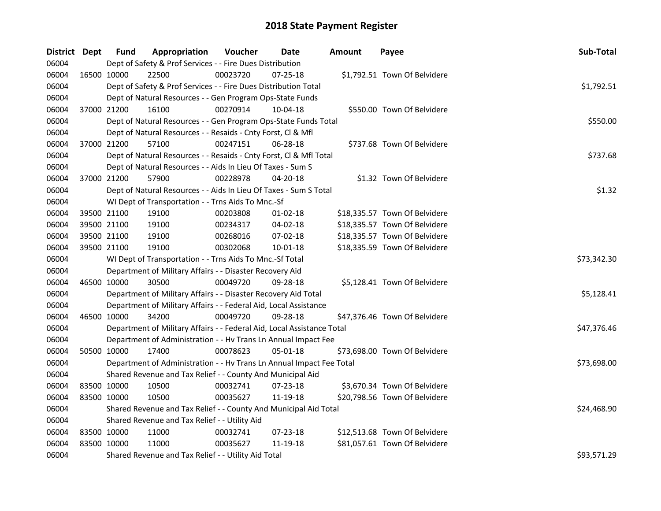| District Dept |             | <b>Fund</b> | Appropriation                                                          | Voucher  | <b>Date</b>    | <b>Amount</b> | Payee                         | Sub-Total   |
|---------------|-------------|-------------|------------------------------------------------------------------------|----------|----------------|---------------|-------------------------------|-------------|
| 06004         |             |             | Dept of Safety & Prof Services - - Fire Dues Distribution              |          |                |               |                               |             |
| 06004         |             | 16500 10000 | 22500                                                                  | 00023720 | 07-25-18       |               | \$1,792.51 Town Of Belvidere  |             |
| 06004         |             |             | Dept of Safety & Prof Services - - Fire Dues Distribution Total        |          |                |               |                               | \$1,792.51  |
| 06004         |             |             | Dept of Natural Resources - - Gen Program Ops-State Funds              |          |                |               |                               |             |
| 06004         | 37000 21200 |             | 16100                                                                  | 00270914 | 10-04-18       |               | \$550.00 Town Of Belvidere    |             |
| 06004         |             |             | Dept of Natural Resources - - Gen Program Ops-State Funds Total        |          |                |               |                               | \$550.00    |
| 06004         |             |             | Dept of Natural Resources - - Resaids - Cnty Forst, Cl & Mfl           |          |                |               |                               |             |
| 06004         | 37000 21200 |             | 57100                                                                  | 00247151 | 06-28-18       |               | \$737.68 Town Of Belvidere    |             |
| 06004         |             |             | Dept of Natural Resources - - Resaids - Cnty Forst, Cl & Mfl Total     |          |                |               |                               | \$737.68    |
| 06004         |             |             | Dept of Natural Resources - - Aids In Lieu Of Taxes - Sum S            |          |                |               |                               |             |
| 06004         | 37000 21200 |             | 57900                                                                  | 00228978 | 04-20-18       |               | \$1.32 Town Of Belvidere      |             |
| 06004         |             |             | Dept of Natural Resources - - Aids In Lieu Of Taxes - Sum S Total      |          |                |               |                               | \$1.32      |
| 06004         |             |             | WI Dept of Transportation - - Trns Aids To Mnc.-Sf                     |          |                |               |                               |             |
| 06004         | 39500 21100 |             | 19100                                                                  | 00203808 | $01 - 02 - 18$ |               | \$18,335.57 Town Of Belvidere |             |
| 06004         | 39500 21100 |             | 19100                                                                  | 00234317 | 04-02-18       |               | \$18,335.57 Town Of Belvidere |             |
| 06004         | 39500 21100 |             | 19100                                                                  | 00268016 | 07-02-18       |               | \$18,335.57 Town Of Belvidere |             |
| 06004         | 39500 21100 |             | 19100                                                                  | 00302068 | 10-01-18       |               | \$18,335.59 Town Of Belvidere |             |
| 06004         |             |             | WI Dept of Transportation - - Trns Aids To Mnc.-Sf Total               |          |                |               |                               | \$73,342.30 |
| 06004         |             |             | Department of Military Affairs - - Disaster Recovery Aid               |          |                |               |                               |             |
| 06004         |             | 46500 10000 | 30500                                                                  | 00049720 | 09-28-18       |               | \$5,128.41 Town Of Belvidere  |             |
| 06004         |             |             | Department of Military Affairs - - Disaster Recovery Aid Total         |          |                |               |                               | \$5,128.41  |
| 06004         |             |             | Department of Military Affairs - - Federal Aid, Local Assistance       |          |                |               |                               |             |
| 06004         | 46500 10000 |             | 34200                                                                  | 00049720 | 09-28-18       |               | \$47,376.46 Town Of Belvidere |             |
| 06004         |             |             | Department of Military Affairs - - Federal Aid, Local Assistance Total |          |                |               |                               | \$47,376.46 |
| 06004         |             |             | Department of Administration - - Hv Trans Ln Annual Impact Fee         |          |                |               |                               |             |
| 06004         | 50500 10000 |             | 17400                                                                  | 00078623 | 05-01-18       |               | \$73,698.00 Town Of Belvidere |             |
| 06004         |             |             | Department of Administration - - Hv Trans Ln Annual Impact Fee Total   |          |                |               |                               | \$73,698.00 |
| 06004         |             |             | Shared Revenue and Tax Relief - - County And Municipal Aid             |          |                |               |                               |             |
| 06004         | 83500 10000 |             | 10500                                                                  | 00032741 | 07-23-18       |               | \$3,670.34 Town Of Belvidere  |             |
| 06004         | 83500 10000 |             | 10500                                                                  | 00035627 | 11-19-18       |               | \$20,798.56 Town Of Belvidere |             |
| 06004         |             |             | Shared Revenue and Tax Relief - - County And Municipal Aid Total       |          |                |               |                               | \$24,468.90 |
| 06004         |             |             | Shared Revenue and Tax Relief - - Utility Aid                          |          |                |               |                               |             |
| 06004         | 83500 10000 |             | 11000                                                                  | 00032741 | 07-23-18       |               | \$12,513.68 Town Of Belvidere |             |
| 06004         | 83500 10000 |             | 11000                                                                  | 00035627 | 11-19-18       |               | \$81,057.61 Town Of Belvidere |             |
| 06004         |             |             | Shared Revenue and Tax Relief - - Utility Aid Total                    |          |                |               |                               | \$93,571.29 |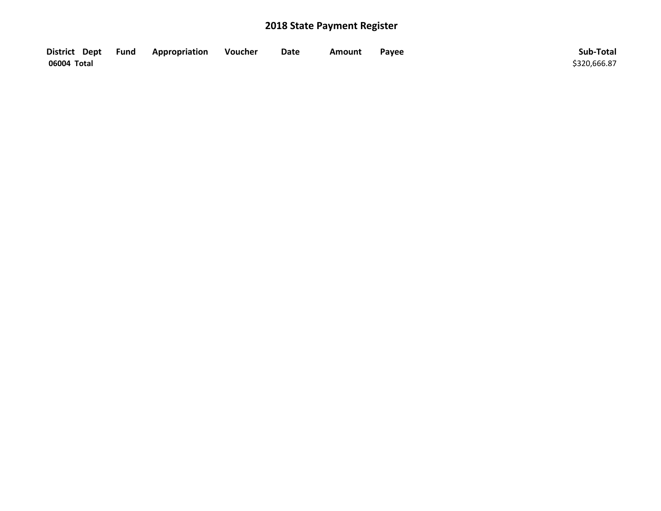| District Dept Fund | <b>Appropriation</b> | Voucher | Date | <b>Amount</b> | Payee | Sub-Total    |
|--------------------|----------------------|---------|------|---------------|-------|--------------|
| 06004 Total        |                      |         |      |               |       | \$320,666.87 |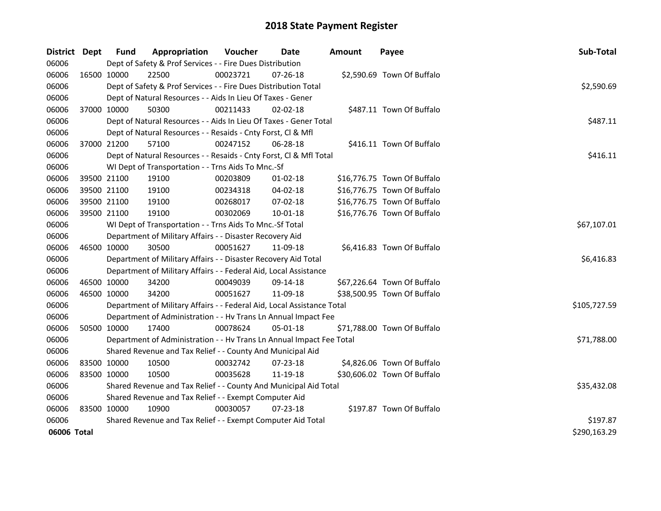| District Dept |             | <b>Fund</b> | Appropriation                                                          | Voucher     | <b>Date</b>    | Amount | Payee                       | Sub-Total    |
|---------------|-------------|-------------|------------------------------------------------------------------------|-------------|----------------|--------|-----------------------------|--------------|
| 06006         |             |             | Dept of Safety & Prof Services - - Fire Dues Distribution              |             |                |        |                             |              |
| 06006         | 16500 10000 |             | 22500                                                                  | 00023721    | 07-26-18       |        | \$2,590.69 Town Of Buffalo  |              |
| 06006         |             |             | Dept of Safety & Prof Services - - Fire Dues Distribution Total        |             |                |        |                             | \$2,590.69   |
| 06006         |             |             | Dept of Natural Resources - - Aids In Lieu Of Taxes - Gener            |             |                |        |                             |              |
| 06006         |             | 37000 10000 | 50300                                                                  | 00211433    | 02-02-18       |        | \$487.11 Town Of Buffalo    |              |
| 06006         |             |             | Dept of Natural Resources - - Aids In Lieu Of Taxes - Gener Total      |             |                |        |                             | \$487.11     |
| 06006         |             |             | Dept of Natural Resources - - Resaids - Cnty Forst, Cl & Mfl           |             |                |        |                             |              |
| 06006         |             | 37000 21200 | 57100                                                                  | 00247152    | 06-28-18       |        | \$416.11 Town Of Buffalo    |              |
| 06006         |             |             | Dept of Natural Resources - - Resaids - Cnty Forst, CI & Mfl Total     |             |                |        |                             | \$416.11     |
| 06006         |             |             | WI Dept of Transportation - - Trns Aids To Mnc.-Sf                     |             |                |        |                             |              |
| 06006         |             | 39500 21100 | 19100                                                                  | 00203809    | $01 - 02 - 18$ |        | \$16,776.75 Town Of Buffalo |              |
| 06006         |             | 39500 21100 | 19100                                                                  | 00234318    | 04-02-18       |        | \$16,776.75 Town Of Buffalo |              |
| 06006         |             | 39500 21100 | 19100                                                                  | 00268017    | 07-02-18       |        | \$16,776.75 Town Of Buffalo |              |
| 06006         | 39500 21100 |             | 19100                                                                  | 00302069    | $10 - 01 - 18$ |        | \$16,776.76 Town Of Buffalo |              |
| 06006         |             |             | WI Dept of Transportation - - Trns Aids To Mnc.-Sf Total               | \$67,107.01 |                |        |                             |              |
| 06006         |             |             | Department of Military Affairs - - Disaster Recovery Aid               |             |                |        |                             |              |
| 06006         |             | 46500 10000 | 30500                                                                  | 00051627    | 11-09-18       |        | \$6,416.83 Town Of Buffalo  |              |
| 06006         |             |             | Department of Military Affairs - - Disaster Recovery Aid Total         |             |                |        |                             | \$6,416.83   |
| 06006         |             |             | Department of Military Affairs - - Federal Aid, Local Assistance       |             |                |        |                             |              |
| 06006         |             | 46500 10000 | 34200                                                                  | 00049039    | 09-14-18       |        | \$67,226.64 Town Of Buffalo |              |
| 06006         |             | 46500 10000 | 34200                                                                  | 00051627    | 11-09-18       |        | \$38,500.95 Town Of Buffalo |              |
| 06006         |             |             | Department of Military Affairs - - Federal Aid, Local Assistance Total |             |                |        |                             | \$105,727.59 |
| 06006         |             |             | Department of Administration - - Hv Trans Ln Annual Impact Fee         |             |                |        |                             |              |
| 06006         |             | 50500 10000 | 17400                                                                  | 00078624    | $05 - 01 - 18$ |        | \$71,788.00 Town Of Buffalo |              |
| 06006         |             |             | Department of Administration - - Hv Trans Ln Annual Impact Fee Total   |             |                |        |                             | \$71,788.00  |
| 06006         |             |             | Shared Revenue and Tax Relief - - County And Municipal Aid             |             |                |        |                             |              |
| 06006         | 83500 10000 |             | 10500                                                                  | 00032742    | 07-23-18       |        | \$4,826.06 Town Of Buffalo  |              |
| 06006         | 83500 10000 |             | 10500                                                                  | 00035628    | 11-19-18       |        | \$30,606.02 Town Of Buffalo |              |
| 06006         |             |             | Shared Revenue and Tax Relief - - County And Municipal Aid Total       | \$35,432.08 |                |        |                             |              |
| 06006         |             |             | Shared Revenue and Tax Relief - - Exempt Computer Aid                  |             |                |        |                             |              |
| 06006         | 83500 10000 |             | 10900                                                                  | 00030057    | $07 - 23 - 18$ |        | \$197.87 Town Of Buffalo    |              |
| 06006         |             |             | Shared Revenue and Tax Relief - - Exempt Computer Aid Total            |             |                |        |                             | \$197.87     |
| 06006 Total   |             |             |                                                                        |             |                |        |                             | \$290,163.29 |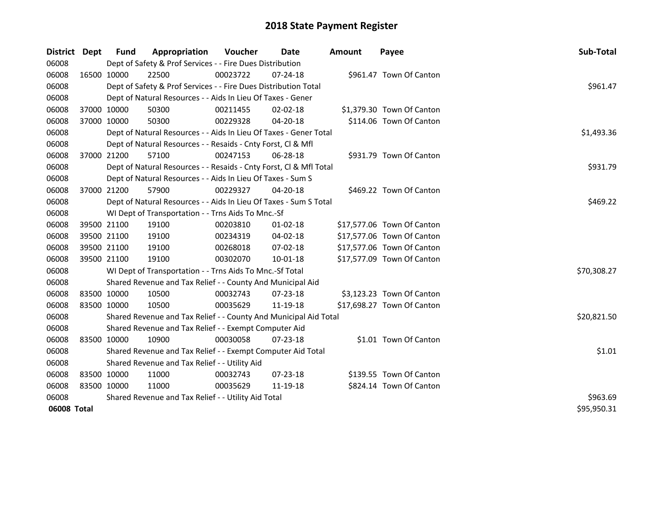| District Dept |             | <b>Fund</b> | Appropriation                                                      | Voucher    | <b>Date</b>    | <b>Amount</b> | Payee                      | Sub-Total   |
|---------------|-------------|-------------|--------------------------------------------------------------------|------------|----------------|---------------|----------------------------|-------------|
| 06008         |             |             | Dept of Safety & Prof Services - - Fire Dues Distribution          |            |                |               |                            |             |
| 06008         | 16500 10000 |             | 22500                                                              | 00023722   | 07-24-18       |               | \$961.47 Town Of Canton    |             |
| 06008         |             |             | Dept of Safety & Prof Services - - Fire Dues Distribution Total    |            |                |               |                            | \$961.47    |
| 06008         |             |             | Dept of Natural Resources - - Aids In Lieu Of Taxes - Gener        |            |                |               |                            |             |
| 06008         | 37000 10000 |             | 50300                                                              | 00211455   | 02-02-18       |               | \$1,379.30 Town Of Canton  |             |
| 06008         | 37000 10000 |             | 50300                                                              | 00229328   | 04-20-18       |               | \$114.06 Town Of Canton    |             |
| 06008         |             |             | Dept of Natural Resources - - Aids In Lieu Of Taxes - Gener Total  | \$1,493.36 |                |               |                            |             |
| 06008         |             |             | Dept of Natural Resources - - Resaids - Cnty Forst, CI & Mfl       |            |                |               |                            |             |
| 06008         | 37000 21200 |             | 57100                                                              | 00247153   | 06-28-18       |               | \$931.79 Town Of Canton    |             |
| 06008         |             |             | Dept of Natural Resources - - Resaids - Cnty Forst, Cl & Mfl Total |            |                |               |                            | \$931.79    |
| 06008         |             |             | Dept of Natural Resources - - Aids In Lieu Of Taxes - Sum S        |            |                |               |                            |             |
| 06008         | 37000 21200 |             | 57900                                                              | 00229327   | $04 - 20 - 18$ |               | \$469.22 Town Of Canton    |             |
| 06008         |             |             | Dept of Natural Resources - - Aids In Lieu Of Taxes - Sum S Total  |            |                |               |                            | \$469.22    |
| 06008         |             |             | WI Dept of Transportation - - Trns Aids To Mnc.-Sf                 |            |                |               |                            |             |
| 06008         | 39500 21100 |             | 19100                                                              | 00203810   | $01 - 02 - 18$ |               | \$17,577.06 Town Of Canton |             |
| 06008         | 39500 21100 |             | 19100                                                              | 00234319   | 04-02-18       |               | \$17,577.06 Town Of Canton |             |
| 06008         | 39500 21100 |             | 19100                                                              | 00268018   | 07-02-18       |               | \$17,577.06 Town Of Canton |             |
| 06008         | 39500 21100 |             | 19100                                                              | 00302070   | 10-01-18       |               | \$17,577.09 Town Of Canton |             |
| 06008         |             |             | WI Dept of Transportation - - Trns Aids To Mnc.-Sf Total           |            |                |               |                            | \$70,308.27 |
| 06008         |             |             | Shared Revenue and Tax Relief - - County And Municipal Aid         |            |                |               |                            |             |
| 06008         | 83500 10000 |             | 10500                                                              | 00032743   | 07-23-18       |               | \$3,123.23 Town Of Canton  |             |
| 06008         | 83500 10000 |             | 10500                                                              | 00035629   | 11-19-18       |               | \$17,698.27 Town Of Canton |             |
| 06008         |             |             | Shared Revenue and Tax Relief - - County And Municipal Aid Total   |            |                |               |                            | \$20,821.50 |
| 06008         |             |             | Shared Revenue and Tax Relief - - Exempt Computer Aid              |            |                |               |                            |             |
| 06008         | 83500 10000 |             | 10900                                                              | 00030058   | 07-23-18       |               | \$1.01 Town Of Canton      |             |
| 06008         |             |             | Shared Revenue and Tax Relief - - Exempt Computer Aid Total        |            |                |               |                            | \$1.01      |
| 06008         |             |             | Shared Revenue and Tax Relief - - Utility Aid                      |            |                |               |                            |             |
| 06008         | 83500 10000 |             | 11000                                                              | 00032743   | 07-23-18       |               | \$139.55 Town Of Canton    |             |
| 06008         | 83500 10000 |             | 11000                                                              | 00035629   | 11-19-18       |               | \$824.14 Town Of Canton    |             |
| 06008         |             |             | Shared Revenue and Tax Relief - - Utility Aid Total                |            |                |               |                            | \$963.69    |
| 06008 Total   |             |             |                                                                    |            |                |               |                            | \$95,950.31 |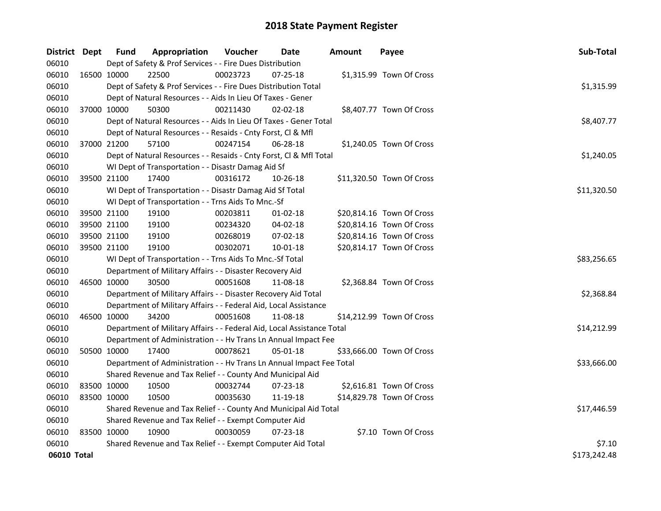| District Dept |             | <b>Fund</b> | Appropriation                                                          | Voucher  | Date           | <b>Amount</b> | Payee                     | Sub-Total    |
|---------------|-------------|-------------|------------------------------------------------------------------------|----------|----------------|---------------|---------------------------|--------------|
| 06010         |             |             | Dept of Safety & Prof Services - - Fire Dues Distribution              |          |                |               |                           |              |
| 06010         | 16500 10000 |             | 22500                                                                  | 00023723 | 07-25-18       |               | \$1,315.99 Town Of Cross  |              |
| 06010         |             |             | Dept of Safety & Prof Services - - Fire Dues Distribution Total        |          |                |               |                           | \$1,315.99   |
| 06010         |             |             | Dept of Natural Resources - - Aids In Lieu Of Taxes - Gener            |          |                |               |                           |              |
| 06010         |             | 37000 10000 | 50300                                                                  | 00211430 | 02-02-18       |               | \$8,407.77 Town Of Cross  |              |
| 06010         |             |             | Dept of Natural Resources - - Aids In Lieu Of Taxes - Gener Total      |          |                |               |                           | \$8,407.77   |
| 06010         |             |             | Dept of Natural Resources - - Resaids - Cnty Forst, Cl & Mfl           |          |                |               |                           |              |
| 06010         |             | 37000 21200 | 57100                                                                  | 00247154 | $06 - 28 - 18$ |               | \$1,240.05 Town Of Cross  |              |
| 06010         |             |             | Dept of Natural Resources - - Resaids - Cnty Forst, Cl & Mfl Total     |          |                |               |                           | \$1,240.05   |
| 06010         |             |             | WI Dept of Transportation - - Disastr Damag Aid Sf                     |          |                |               |                           |              |
| 06010         |             | 39500 21100 | 17400                                                                  | 00316172 | 10-26-18       |               | \$11,320.50 Town Of Cross |              |
| 06010         |             |             | WI Dept of Transportation - - Disastr Damag Aid Sf Total               |          |                |               |                           | \$11,320.50  |
| 06010         |             |             | WI Dept of Transportation - - Trns Aids To Mnc.-Sf                     |          |                |               |                           |              |
| 06010         |             | 39500 21100 | 19100                                                                  | 00203811 | 01-02-18       |               | \$20,814.16 Town Of Cross |              |
| 06010         |             | 39500 21100 | 19100                                                                  | 00234320 | 04-02-18       |               | \$20,814.16 Town Of Cross |              |
| 06010         |             | 39500 21100 | 19100                                                                  | 00268019 | 07-02-18       |               | \$20,814.16 Town Of Cross |              |
| 06010         |             | 39500 21100 | 19100                                                                  | 00302071 | $10 - 01 - 18$ |               | \$20,814.17 Town Of Cross |              |
| 06010         |             |             | WI Dept of Transportation - - Trns Aids To Mnc.-Sf Total               |          |                |               |                           | \$83,256.65  |
| 06010         |             |             | Department of Military Affairs - - Disaster Recovery Aid               |          |                |               |                           |              |
| 06010         |             | 46500 10000 | 30500                                                                  | 00051608 | 11-08-18       |               | \$2,368.84 Town Of Cross  |              |
| 06010         |             |             | Department of Military Affairs - - Disaster Recovery Aid Total         |          |                |               |                           | \$2,368.84   |
| 06010         |             |             | Department of Military Affairs - - Federal Aid, Local Assistance       |          |                |               |                           |              |
| 06010         |             | 46500 10000 | 34200                                                                  | 00051608 | 11-08-18       |               | \$14,212.99 Town Of Cross |              |
| 06010         |             |             | Department of Military Affairs - - Federal Aid, Local Assistance Total |          |                |               |                           | \$14,212.99  |
| 06010         |             |             | Department of Administration - - Hv Trans Ln Annual Impact Fee         |          |                |               |                           |              |
| 06010         |             | 50500 10000 | 17400                                                                  | 00078621 | 05-01-18       |               | \$33,666.00 Town Of Cross |              |
| 06010         |             |             | Department of Administration - - Hv Trans Ln Annual Impact Fee Total   |          |                |               |                           | \$33,666.00  |
| 06010         |             |             | Shared Revenue and Tax Relief - - County And Municipal Aid             |          |                |               |                           |              |
| 06010         |             | 83500 10000 | 10500                                                                  | 00032744 | $07 - 23 - 18$ |               | \$2,616.81 Town Of Cross  |              |
| 06010         |             | 83500 10000 | 10500                                                                  | 00035630 | 11-19-18       |               | \$14,829.78 Town Of Cross |              |
| 06010         |             |             | Shared Revenue and Tax Relief - - County And Municipal Aid Total       |          |                |               |                           | \$17,446.59  |
| 06010         |             |             | Shared Revenue and Tax Relief - - Exempt Computer Aid                  |          |                |               |                           |              |
| 06010         |             | 83500 10000 | 10900                                                                  | 00030059 | 07-23-18       |               | \$7.10 Town Of Cross      |              |
| 06010         |             |             | Shared Revenue and Tax Relief - - Exempt Computer Aid Total            |          |                |               |                           | \$7.10       |
| 06010 Total   |             |             |                                                                        |          |                |               |                           | \$173,242.48 |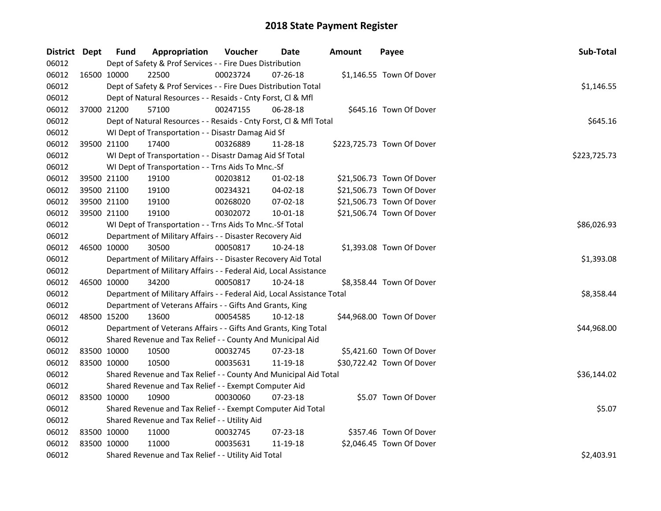| District Dept | <b>Fund</b> | Appropriation                                                          | Voucher  | Date           | <b>Amount</b> | Payee                      | Sub-Total    |
|---------------|-------------|------------------------------------------------------------------------|----------|----------------|---------------|----------------------------|--------------|
| 06012         |             | Dept of Safety & Prof Services - - Fire Dues Distribution              |          |                |               |                            |              |
| 06012         | 16500 10000 | 22500                                                                  | 00023724 | 07-26-18       |               | \$1,146.55 Town Of Dover   |              |
| 06012         |             | Dept of Safety & Prof Services - - Fire Dues Distribution Total        |          |                |               |                            | \$1,146.55   |
| 06012         |             | Dept of Natural Resources - - Resaids - Cnty Forst, Cl & Mfl           |          |                |               |                            |              |
| 06012         | 37000 21200 | 57100                                                                  | 00247155 | 06-28-18       |               | \$645.16 Town Of Dover     |              |
| 06012         |             | Dept of Natural Resources - - Resaids - Cnty Forst, Cl & Mfl Total     |          |                |               |                            | \$645.16     |
| 06012         |             | WI Dept of Transportation - - Disastr Damag Aid Sf                     |          |                |               |                            |              |
| 06012         | 39500 21100 | 17400                                                                  | 00326889 | 11-28-18       |               | \$223,725.73 Town Of Dover |              |
| 06012         |             | WI Dept of Transportation - - Disastr Damag Aid Sf Total               |          |                |               |                            | \$223,725.73 |
| 06012         |             | WI Dept of Transportation - - Trns Aids To Mnc.-Sf                     |          |                |               |                            |              |
| 06012         | 39500 21100 | 19100                                                                  | 00203812 | 01-02-18       |               | \$21,506.73 Town Of Dover  |              |
| 06012         | 39500 21100 | 19100                                                                  | 00234321 | 04-02-18       |               | \$21,506.73 Town Of Dover  |              |
| 06012         | 39500 21100 | 19100                                                                  | 00268020 | 07-02-18       |               | \$21,506.73 Town Of Dover  |              |
| 06012         | 39500 21100 | 19100                                                                  | 00302072 | 10-01-18       |               | \$21,506.74 Town Of Dover  |              |
| 06012         |             | WI Dept of Transportation - - Trns Aids To Mnc.-Sf Total               |          |                |               |                            | \$86,026.93  |
| 06012         |             | Department of Military Affairs - - Disaster Recovery Aid               |          |                |               |                            |              |
| 06012         | 46500 10000 | 30500                                                                  | 00050817 | 10-24-18       |               | \$1,393.08 Town Of Dover   |              |
| 06012         |             | Department of Military Affairs - - Disaster Recovery Aid Total         |          |                |               |                            | \$1,393.08   |
| 06012         |             | Department of Military Affairs - - Federal Aid, Local Assistance       |          |                |               |                            |              |
| 06012         | 46500 10000 | 34200                                                                  | 00050817 | 10-24-18       |               | \$8,358.44 Town Of Dover   |              |
| 06012         |             | Department of Military Affairs - - Federal Aid, Local Assistance Total |          |                |               |                            | \$8,358.44   |
| 06012         |             | Department of Veterans Affairs - - Gifts And Grants, King              |          |                |               |                            |              |
| 06012         | 48500 15200 | 13600                                                                  | 00054585 | $10 - 12 - 18$ |               | \$44,968.00 Town Of Dover  |              |
| 06012         |             | Department of Veterans Affairs - - Gifts And Grants, King Total        |          |                |               |                            | \$44,968.00  |
| 06012         |             | Shared Revenue and Tax Relief - - County And Municipal Aid             |          |                |               |                            |              |
| 06012         | 83500 10000 | 10500                                                                  | 00032745 | 07-23-18       |               | \$5,421.60 Town Of Dover   |              |
| 06012         | 83500 10000 | 10500                                                                  | 00035631 | 11-19-18       |               | \$30,722.42 Town Of Dover  |              |
| 06012         |             | Shared Revenue and Tax Relief - - County And Municipal Aid Total       |          |                |               |                            | \$36,144.02  |
| 06012         |             | Shared Revenue and Tax Relief - - Exempt Computer Aid                  |          |                |               |                            |              |
| 06012         | 83500 10000 | 10900                                                                  | 00030060 | 07-23-18       |               | \$5.07 Town Of Dover       |              |
| 06012         |             | Shared Revenue and Tax Relief - - Exempt Computer Aid Total            |          |                |               |                            | \$5.07       |
| 06012         |             | Shared Revenue and Tax Relief - - Utility Aid                          |          |                |               |                            |              |
| 06012         | 83500 10000 | 11000                                                                  | 00032745 | $07 - 23 - 18$ |               | \$357.46 Town Of Dover     |              |
| 06012         | 83500 10000 | 11000                                                                  | 00035631 | 11-19-18       |               | \$2,046.45 Town Of Dover   |              |
| 06012         |             | Shared Revenue and Tax Relief - - Utility Aid Total                    |          |                |               |                            | \$2,403.91   |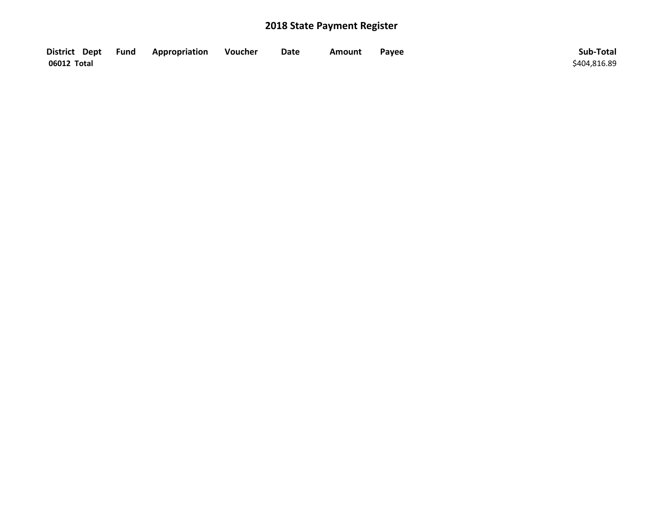| District Dept Fund | Appropriation | Voucher | Date | Amount | Payee | Sub-Total    |
|--------------------|---------------|---------|------|--------|-------|--------------|
| 06012 Total        |               |         |      |        |       | \$404,816.89 |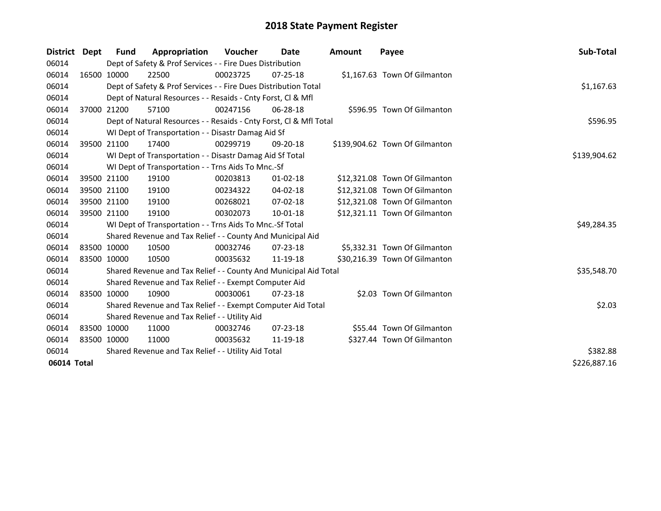| District Dept |             | Fund        | Appropriation                                                      | <b>Voucher</b> | Date           | <b>Amount</b> | Payee                          | Sub-Total    |
|---------------|-------------|-------------|--------------------------------------------------------------------|----------------|----------------|---------------|--------------------------------|--------------|
| 06014         |             |             | Dept of Safety & Prof Services - - Fire Dues Distribution          |                |                |               |                                |              |
| 06014         |             | 16500 10000 | 22500                                                              | 00023725       | $07 - 25 - 18$ |               | \$1,167.63 Town Of Gilmanton   |              |
| 06014         |             |             | Dept of Safety & Prof Services - - Fire Dues Distribution Total    |                |                |               |                                | \$1,167.63   |
| 06014         |             |             | Dept of Natural Resources - - Resaids - Cnty Forst, Cl & Mfl       |                |                |               |                                |              |
| 06014         |             | 37000 21200 | 57100                                                              | 00247156       | 06-28-18       |               | \$596.95 Town Of Gilmanton     |              |
| 06014         |             |             | Dept of Natural Resources - - Resaids - Cnty Forst, Cl & Mfl Total |                |                |               |                                | \$596.95     |
| 06014         |             |             | WI Dept of Transportation - - Disastr Damag Aid Sf                 |                |                |               |                                |              |
| 06014         |             | 39500 21100 | 17400                                                              | 00299719       | 09-20-18       |               | \$139,904.62 Town Of Gilmanton |              |
| 06014         |             |             | WI Dept of Transportation - - Disastr Damag Aid Sf Total           |                |                |               |                                | \$139,904.62 |
| 06014         |             |             | WI Dept of Transportation - - Trns Aids To Mnc.-Sf                 |                |                |               |                                |              |
| 06014         |             | 39500 21100 | 19100                                                              | 00203813       | $01 - 02 - 18$ |               | \$12,321.08 Town Of Gilmanton  |              |
| 06014         |             | 39500 21100 | 19100                                                              | 00234322       | 04-02-18       |               | \$12,321.08 Town Of Gilmanton  |              |
| 06014         |             | 39500 21100 | 19100                                                              | 00268021       | $07 - 02 - 18$ |               | \$12,321.08 Town Of Gilmanton  |              |
| 06014         |             | 39500 21100 | 19100                                                              | 00302073       | 10-01-18       |               | \$12,321.11 Town Of Gilmanton  |              |
| 06014         |             |             | WI Dept of Transportation - - Trns Aids To Mnc.-Sf Total           |                |                |               |                                | \$49,284.35  |
| 06014         |             |             | Shared Revenue and Tax Relief - - County And Municipal Aid         |                |                |               |                                |              |
| 06014         |             | 83500 10000 | 10500                                                              | 00032746       | $07 - 23 - 18$ |               | \$5,332.31 Town Of Gilmanton   |              |
| 06014         | 83500 10000 |             | 10500                                                              | 00035632       | 11-19-18       |               | \$30,216.39 Town Of Gilmanton  |              |
| 06014         |             |             | Shared Revenue and Tax Relief - - County And Municipal Aid Total   |                |                |               |                                | \$35,548.70  |
| 06014         |             |             | Shared Revenue and Tax Relief - - Exempt Computer Aid              |                |                |               |                                |              |
| 06014         |             | 83500 10000 | 10900                                                              | 00030061       | $07 - 23 - 18$ |               | \$2.03 Town Of Gilmanton       |              |
| 06014         |             |             | Shared Revenue and Tax Relief - - Exempt Computer Aid Total        |                |                |               |                                | \$2.03       |
| 06014         |             |             | Shared Revenue and Tax Relief - - Utility Aid                      |                |                |               |                                |              |
| 06014         |             | 83500 10000 | 11000                                                              | 00032746       | $07 - 23 - 18$ |               | \$55.44 Town Of Gilmanton      |              |
| 06014         |             | 83500 10000 | 11000                                                              | 00035632       | 11-19-18       |               | \$327.44 Town Of Gilmanton     |              |
| 06014         |             |             | Shared Revenue and Tax Relief - - Utility Aid Total                | \$382.88       |                |               |                                |              |
| 06014 Total   |             |             |                                                                    |                |                |               |                                | \$226,887.16 |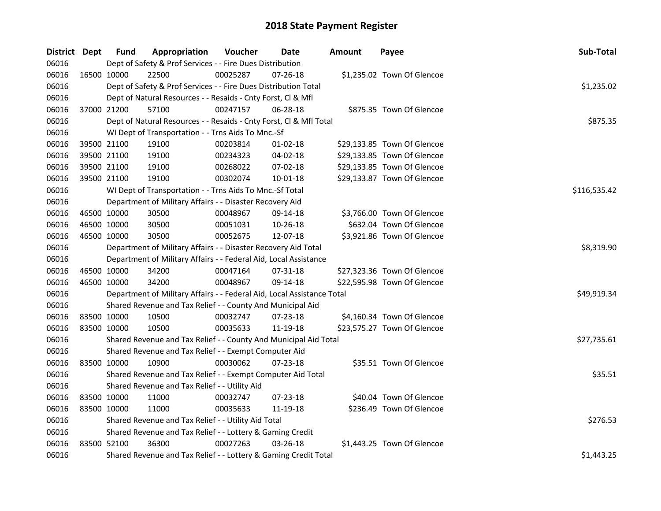| District Dept | <b>Fund</b> | Appropriation                                                          | Voucher    | Date           | <b>Amount</b> | Payee                       | Sub-Total    |
|---------------|-------------|------------------------------------------------------------------------|------------|----------------|---------------|-----------------------------|--------------|
| 06016         |             | Dept of Safety & Prof Services - - Fire Dues Distribution              |            |                |               |                             |              |
| 06016         | 16500 10000 | 22500                                                                  | 00025287   | $07 - 26 - 18$ |               | \$1,235.02 Town Of Glencoe  |              |
| 06016         |             | Dept of Safety & Prof Services - - Fire Dues Distribution Total        |            |                |               |                             | \$1,235.02   |
| 06016         |             | Dept of Natural Resources - - Resaids - Cnty Forst, Cl & Mfl           |            |                |               |                             |              |
| 06016         | 37000 21200 | 57100                                                                  | 00247157   | 06-28-18       |               | \$875.35 Town Of Glencoe    |              |
| 06016         |             | Dept of Natural Resources - - Resaids - Cnty Forst, Cl & Mfl Total     |            |                |               |                             | \$875.35     |
| 06016         |             | WI Dept of Transportation - - Trns Aids To Mnc.-Sf                     |            |                |               |                             |              |
| 06016         | 39500 21100 | 19100                                                                  | 00203814   | 01-02-18       |               | \$29,133.85 Town Of Glencoe |              |
| 06016         | 39500 21100 | 19100                                                                  | 00234323   | 04-02-18       |               | \$29,133.85 Town Of Glencoe |              |
| 06016         | 39500 21100 | 19100                                                                  | 00268022   | 07-02-18       |               | \$29,133.85 Town Of Glencoe |              |
| 06016         | 39500 21100 | 19100                                                                  | 00302074   | 10-01-18       |               | \$29,133.87 Town Of Glencoe |              |
| 06016         |             | WI Dept of Transportation - - Trns Aids To Mnc.-Sf Total               |            |                |               |                             | \$116,535.42 |
| 06016         |             | Department of Military Affairs - - Disaster Recovery Aid               |            |                |               |                             |              |
| 06016         | 46500 10000 | 30500                                                                  | 00048967   | 09-14-18       |               | \$3,766.00 Town Of Glencoe  |              |
| 06016         | 46500 10000 | 30500                                                                  | 00051031   | 10-26-18       |               | \$632.04 Town Of Glencoe    |              |
| 06016         | 46500 10000 | 30500                                                                  | 00052675   | 12-07-18       |               | \$3,921.86 Town Of Glencoe  |              |
| 06016         |             | Department of Military Affairs - - Disaster Recovery Aid Total         | \$8,319.90 |                |               |                             |              |
| 06016         |             | Department of Military Affairs - - Federal Aid, Local Assistance       |            |                |               |                             |              |
| 06016         | 46500 10000 | 34200                                                                  | 00047164   | 07-31-18       |               | \$27,323.36 Town Of Glencoe |              |
| 06016         | 46500 10000 | 34200                                                                  | 00048967   | 09-14-18       |               | \$22,595.98 Town Of Glencoe |              |
| 06016         |             | Department of Military Affairs - - Federal Aid, Local Assistance Total |            |                |               |                             | \$49,919.34  |
| 06016         |             | Shared Revenue and Tax Relief - - County And Municipal Aid             |            |                |               |                             |              |
| 06016         | 83500 10000 | 10500                                                                  | 00032747   | 07-23-18       |               | \$4,160.34 Town Of Glencoe  |              |
| 06016         | 83500 10000 | 10500                                                                  | 00035633   | 11-19-18       |               | \$23,575.27 Town Of Glencoe |              |
| 06016         |             | Shared Revenue and Tax Relief - - County And Municipal Aid Total       |            |                |               |                             | \$27,735.61  |
| 06016         |             | Shared Revenue and Tax Relief - - Exempt Computer Aid                  |            |                |               |                             |              |
| 06016         | 83500 10000 | 10900                                                                  | 00030062   | $07 - 23 - 18$ |               | \$35.51 Town Of Glencoe     |              |
| 06016         |             | Shared Revenue and Tax Relief - - Exempt Computer Aid Total            |            |                |               |                             | \$35.51      |
| 06016         |             | Shared Revenue and Tax Relief - - Utility Aid                          |            |                |               |                             |              |
| 06016         | 83500 10000 | 11000                                                                  | 00032747   | $07 - 23 - 18$ |               | \$40.04 Town Of Glencoe     |              |
| 06016         | 83500 10000 | 11000                                                                  | 00035633   | 11-19-18       |               | \$236.49 Town Of Glencoe    |              |
| 06016         |             | Shared Revenue and Tax Relief - - Utility Aid Total                    |            |                |               |                             | \$276.53     |
| 06016         |             | Shared Revenue and Tax Relief - - Lottery & Gaming Credit              |            |                |               |                             |              |
| 06016         | 83500 52100 | 36300                                                                  | 00027263   | 03-26-18       |               | \$1,443.25 Town Of Glencoe  |              |
| 06016         |             | Shared Revenue and Tax Relief - - Lottery & Gaming Credit Total        |            |                |               |                             | \$1,443.25   |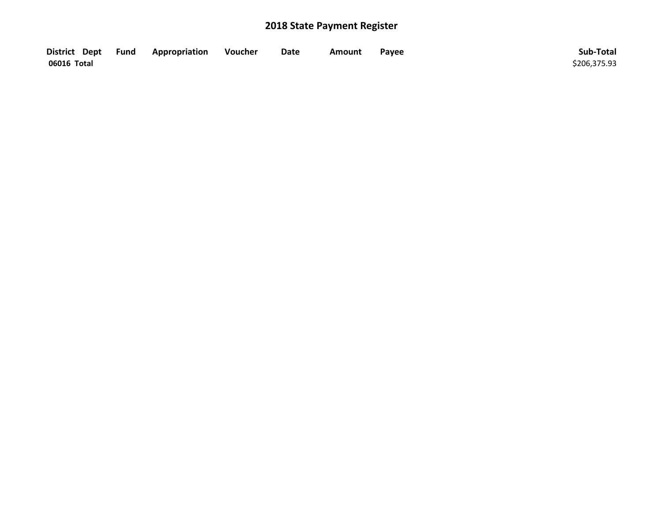| District Dept Fund | Appropriation | Voucher | Date | <b>Amount</b> | Payee | Sub-Total    |
|--------------------|---------------|---------|------|---------------|-------|--------------|
| 06016 Total        |               |         |      |               |       | \$206,375.93 |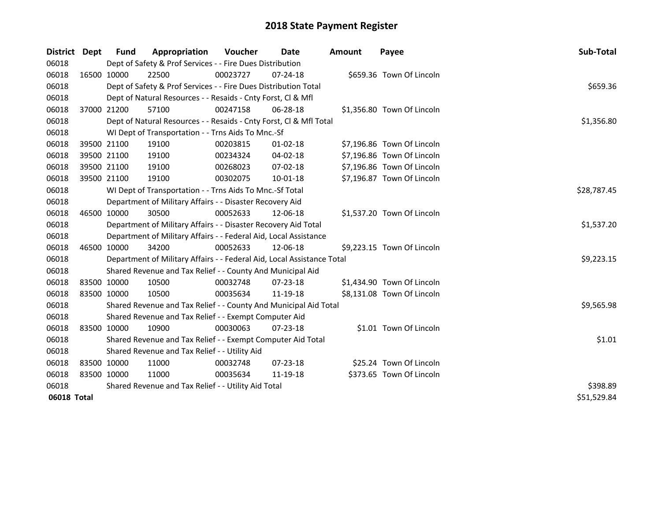| District    | <b>Dept</b> | Fund        | Appropriation                                                          | <b>Voucher</b> | Date           | <b>Amount</b> | Payee                      | Sub-Total   |
|-------------|-------------|-------------|------------------------------------------------------------------------|----------------|----------------|---------------|----------------------------|-------------|
| 06018       |             |             | Dept of Safety & Prof Services - - Fire Dues Distribution              |                |                |               |                            |             |
| 06018       |             | 16500 10000 | 22500                                                                  | 00023727       | 07-24-18       |               | \$659.36 Town Of Lincoln   |             |
| 06018       |             |             | Dept of Safety & Prof Services - - Fire Dues Distribution Total        |                |                |               |                            | \$659.36    |
| 06018       |             |             | Dept of Natural Resources - - Resaids - Cnty Forst, Cl & Mfl           |                |                |               |                            |             |
| 06018       | 37000 21200 |             | 57100                                                                  | 00247158       | $06 - 28 - 18$ |               | \$1,356.80 Town Of Lincoln |             |
| 06018       |             |             | Dept of Natural Resources - - Resaids - Cnty Forst, Cl & Mfl Total     |                |                |               |                            | \$1,356.80  |
| 06018       |             |             | WI Dept of Transportation - - Trns Aids To Mnc.-Sf                     |                |                |               |                            |             |
| 06018       |             | 39500 21100 | 19100                                                                  | 00203815       | $01 - 02 - 18$ |               | \$7,196.86 Town Of Lincoln |             |
| 06018       |             | 39500 21100 | 19100                                                                  | 00234324       | 04-02-18       |               | \$7,196.86 Town Of Lincoln |             |
| 06018       |             | 39500 21100 | 19100                                                                  | 00268023       | 07-02-18       |               | \$7,196.86 Town Of Lincoln |             |
| 06018       | 39500 21100 |             | 19100                                                                  | 00302075       | 10-01-18       |               | \$7,196.87 Town Of Lincoln |             |
| 06018       |             |             | WI Dept of Transportation - - Trns Aids To Mnc.-Sf Total               |                |                |               |                            | \$28,787.45 |
| 06018       |             |             | Department of Military Affairs - - Disaster Recovery Aid               |                |                |               |                            |             |
| 06018       | 46500 10000 |             | 30500                                                                  | 00052633       | 12-06-18       |               | \$1,537.20 Town Of Lincoln |             |
| 06018       |             |             | Department of Military Affairs - - Disaster Recovery Aid Total         | \$1,537.20     |                |               |                            |             |
| 06018       |             |             | Department of Military Affairs - - Federal Aid, Local Assistance       |                |                |               |                            |             |
| 06018       |             | 46500 10000 | 34200                                                                  | 00052633       | 12-06-18       |               | \$9,223.15 Town Of Lincoln |             |
| 06018       |             |             | Department of Military Affairs - - Federal Aid, Local Assistance Total |                |                |               |                            | \$9,223.15  |
| 06018       |             |             | Shared Revenue and Tax Relief - - County And Municipal Aid             |                |                |               |                            |             |
| 06018       |             | 83500 10000 | 10500                                                                  | 00032748       | $07 - 23 - 18$ |               | \$1,434.90 Town Of Lincoln |             |
| 06018       | 83500 10000 |             | 10500                                                                  | 00035634       | 11-19-18       |               | \$8,131.08 Town Of Lincoln |             |
| 06018       |             |             | Shared Revenue and Tax Relief - - County And Municipal Aid Total       |                |                |               |                            | \$9,565.98  |
| 06018       |             |             | Shared Revenue and Tax Relief - - Exempt Computer Aid                  |                |                |               |                            |             |
| 06018       | 83500 10000 |             | 10900                                                                  | 00030063       | 07-23-18       |               | \$1.01 Town Of Lincoln     |             |
| 06018       |             |             | Shared Revenue and Tax Relief - - Exempt Computer Aid Total            |                |                |               |                            | \$1.01      |
| 06018       |             |             | Shared Revenue and Tax Relief - - Utility Aid                          |                |                |               |                            |             |
| 06018       |             | 83500 10000 | 11000                                                                  | 00032748       | 07-23-18       |               | \$25.24 Town Of Lincoln    |             |
| 06018       | 83500 10000 |             | 11000                                                                  | 00035634       | 11-19-18       |               | \$373.65 Town Of Lincoln   |             |
| 06018       |             |             | Shared Revenue and Tax Relief - - Utility Aid Total                    |                |                |               |                            | \$398.89    |
| 06018 Total |             |             |                                                                        |                |                |               |                            | \$51,529.84 |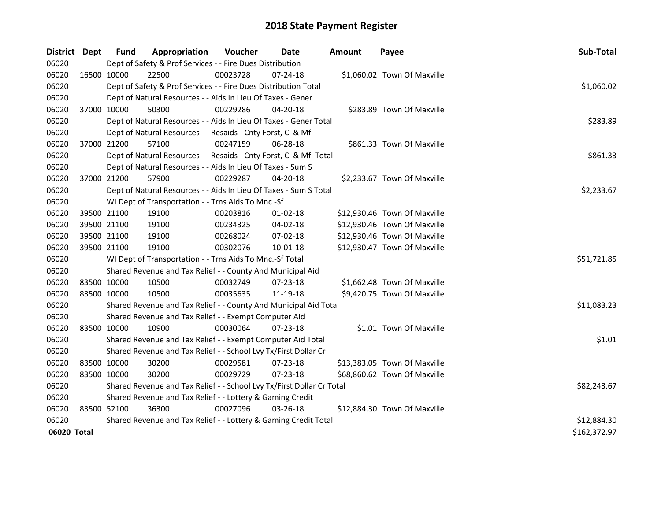| District Dept |             | <b>Fund</b>                                                           | Appropriation                                                      | Voucher  | Date           | <b>Amount</b> | Payee                        | Sub-Total    |
|---------------|-------------|-----------------------------------------------------------------------|--------------------------------------------------------------------|----------|----------------|---------------|------------------------------|--------------|
| 06020         |             |                                                                       | Dept of Safety & Prof Services - - Fire Dues Distribution          |          |                |               |                              |              |
| 06020         | 16500 10000 |                                                                       | 22500                                                              | 00023728 | 07-24-18       |               | \$1,060.02 Town Of Maxville  |              |
| 06020         |             |                                                                       | Dept of Safety & Prof Services - - Fire Dues Distribution Total    |          |                |               |                              | \$1,060.02   |
| 06020         |             |                                                                       | Dept of Natural Resources - - Aids In Lieu Of Taxes - Gener        |          |                |               |                              |              |
| 06020         | 37000 10000 |                                                                       | 50300                                                              | 00229286 | 04-20-18       |               | \$283.89 Town Of Maxville    |              |
| 06020         |             |                                                                       | Dept of Natural Resources - - Aids In Lieu Of Taxes - Gener Total  |          |                |               |                              | \$283.89     |
| 06020         |             |                                                                       | Dept of Natural Resources - - Resaids - Cnty Forst, Cl & Mfl       |          |                |               |                              |              |
| 06020         | 37000 21200 |                                                                       | 57100                                                              | 00247159 | 06-28-18       |               | \$861.33 Town Of Maxville    |              |
| 06020         |             |                                                                       | Dept of Natural Resources - - Resaids - Cnty Forst, Cl & Mfl Total |          |                |               |                              | \$861.33     |
| 06020         |             |                                                                       | Dept of Natural Resources - - Aids In Lieu Of Taxes - Sum S        |          |                |               |                              |              |
| 06020         | 37000 21200 |                                                                       | 57900                                                              | 00229287 | 04-20-18       |               | \$2,233.67 Town Of Maxville  |              |
| 06020         |             |                                                                       | Dept of Natural Resources - - Aids In Lieu Of Taxes - Sum S Total  |          |                |               |                              | \$2,233.67   |
| 06020         |             |                                                                       | WI Dept of Transportation - - Trns Aids To Mnc.-Sf                 |          |                |               |                              |              |
| 06020         |             | 39500 21100                                                           | 19100                                                              | 00203816 | 01-02-18       |               | \$12,930.46 Town Of Maxville |              |
| 06020         |             | 39500 21100                                                           | 19100                                                              | 00234325 | 04-02-18       |               | \$12,930.46 Town Of Maxville |              |
| 06020         |             | 39500 21100                                                           | 19100                                                              | 00268024 | 07-02-18       |               | \$12,930.46 Town Of Maxville |              |
| 06020         | 39500 21100 |                                                                       | 19100                                                              | 00302076 | $10 - 01 - 18$ |               | \$12,930.47 Town Of Maxville |              |
| 06020         |             |                                                                       | WI Dept of Transportation - - Trns Aids To Mnc.-Sf Total           |          |                |               |                              | \$51,721.85  |
| 06020         |             |                                                                       | Shared Revenue and Tax Relief - - County And Municipal Aid         |          |                |               |                              |              |
| 06020         |             | 83500 10000                                                           | 10500                                                              | 00032749 | 07-23-18       |               | \$1,662.48 Town Of Maxville  |              |
| 06020         | 83500 10000 |                                                                       | 10500                                                              | 00035635 | 11-19-18       |               | \$9,420.75 Town Of Maxville  |              |
| 06020         |             |                                                                       | Shared Revenue and Tax Relief - - County And Municipal Aid Total   |          |                |               |                              | \$11,083.23  |
| 06020         |             |                                                                       | Shared Revenue and Tax Relief - - Exempt Computer Aid              |          |                |               |                              |              |
| 06020         | 83500 10000 |                                                                       | 10900                                                              | 00030064 | 07-23-18       |               | \$1.01 Town Of Maxville      |              |
| 06020         |             |                                                                       | Shared Revenue and Tax Relief - - Exempt Computer Aid Total        |          |                |               |                              | \$1.01       |
| 06020         |             |                                                                       | Shared Revenue and Tax Relief - - School Lvy Tx/First Dollar Cr    |          |                |               |                              |              |
| 06020         | 83500 10000 |                                                                       | 30200                                                              | 00029581 | 07-23-18       |               | \$13,383.05 Town Of Maxville |              |
| 06020         | 83500 10000 |                                                                       | 30200                                                              | 00029729 | 07-23-18       |               | \$68,860.62 Town Of Maxville |              |
| 06020         |             | Shared Revenue and Tax Relief - - School Lvy Tx/First Dollar Cr Total |                                                                    |          |                |               |                              |              |
| 06020         |             | Shared Revenue and Tax Relief - - Lottery & Gaming Credit             |                                                                    |          |                |               |                              |              |
| 06020         | 83500 52100 |                                                                       | 36300                                                              | 00027096 | 03-26-18       |               | \$12,884.30 Town Of Maxville |              |
| 06020         |             | Shared Revenue and Tax Relief - - Lottery & Gaming Credit Total       | \$12,884.30                                                        |          |                |               |                              |              |
| 06020 Total   |             |                                                                       |                                                                    |          |                |               |                              | \$162,372.97 |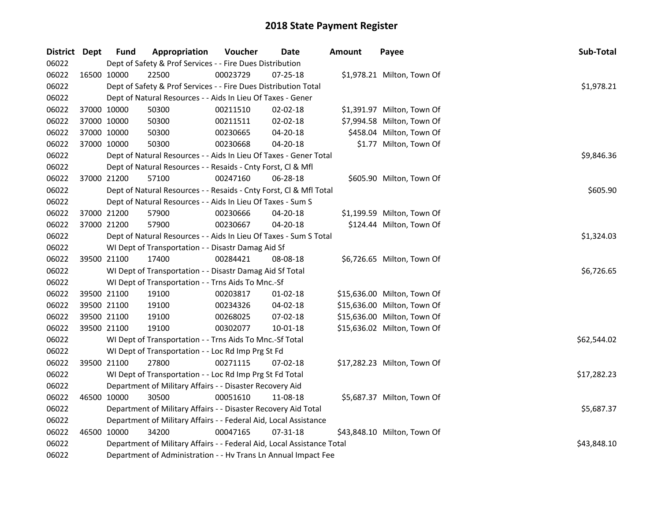| District Dept |             | <b>Fund</b> | Appropriation                                                          | Voucher    | Date           | <b>Amount</b> | Payee                       | Sub-Total   |
|---------------|-------------|-------------|------------------------------------------------------------------------|------------|----------------|---------------|-----------------------------|-------------|
| 06022         |             |             | Dept of Safety & Prof Services - - Fire Dues Distribution              |            |                |               |                             |             |
| 06022         | 16500 10000 |             | 22500                                                                  | 00023729   | $07 - 25 - 18$ |               | \$1,978.21 Milton, Town Of  |             |
| 06022         |             |             | Dept of Safety & Prof Services - - Fire Dues Distribution Total        |            |                |               |                             | \$1,978.21  |
| 06022         |             |             | Dept of Natural Resources - - Aids In Lieu Of Taxes - Gener            |            |                |               |                             |             |
| 06022         | 37000 10000 |             | 50300                                                                  | 00211510   | 02-02-18       |               | \$1,391.97 Milton, Town Of  |             |
| 06022         | 37000 10000 |             | 50300                                                                  | 00211511   | 02-02-18       |               | \$7,994.58 Milton, Town Of  |             |
| 06022         | 37000 10000 |             | 50300                                                                  | 00230665   | 04-20-18       |               | \$458.04 Milton, Town Of    |             |
| 06022         | 37000 10000 |             | 50300                                                                  | 00230668   | 04-20-18       |               | \$1.77 Milton, Town Of      |             |
| 06022         |             |             | Dept of Natural Resources - - Aids In Lieu Of Taxes - Gener Total      |            |                |               |                             | \$9,846.36  |
| 06022         |             |             | Dept of Natural Resources - - Resaids - Cnty Forst, Cl & Mfl           |            |                |               |                             |             |
| 06022         |             | 37000 21200 | 57100                                                                  | 00247160   | 06-28-18       |               | \$605.90 Milton, Town Of    |             |
| 06022         |             |             | Dept of Natural Resources - - Resaids - Cnty Forst, CI & Mfl Total     |            |                |               |                             | \$605.90    |
| 06022         |             |             | Dept of Natural Resources - - Aids In Lieu Of Taxes - Sum S            |            |                |               |                             |             |
| 06022         | 37000 21200 |             | 57900                                                                  | 00230666   | 04-20-18       |               | \$1,199.59 Milton, Town Of  |             |
| 06022         |             | 37000 21200 | 57900                                                                  | 00230667   | 04-20-18       |               | \$124.44 Milton, Town Of    |             |
| 06022         |             |             | Dept of Natural Resources - - Aids In Lieu Of Taxes - Sum S Total      | \$1,324.03 |                |               |                             |             |
| 06022         |             |             | WI Dept of Transportation - - Disastr Damag Aid Sf                     |            |                |               |                             |             |
| 06022         |             | 39500 21100 | 17400                                                                  | 00284421   | 08-08-18       |               | \$6,726.65 Milton, Town Of  |             |
| 06022         |             |             | WI Dept of Transportation - - Disastr Damag Aid Sf Total               |            |                |               |                             | \$6,726.65  |
| 06022         |             |             | WI Dept of Transportation - - Trns Aids To Mnc.-Sf                     |            |                |               |                             |             |
| 06022         | 39500 21100 |             | 19100                                                                  | 00203817   | 01-02-18       |               | \$15,636.00 Milton, Town Of |             |
| 06022         | 39500 21100 |             | 19100                                                                  | 00234326   | 04-02-18       |               | \$15,636.00 Milton, Town Of |             |
| 06022         | 39500 21100 |             | 19100                                                                  | 00268025   | 07-02-18       |               | \$15,636.00 Milton, Town Of |             |
| 06022         |             | 39500 21100 | 19100                                                                  | 00302077   | 10-01-18       |               | \$15,636.02 Milton, Town Of |             |
| 06022         |             |             | WI Dept of Transportation - - Trns Aids To Mnc.-Sf Total               |            |                |               |                             | \$62,544.02 |
| 06022         |             |             | WI Dept of Transportation - - Loc Rd Imp Prg St Fd                     |            |                |               |                             |             |
| 06022         |             | 39500 21100 | 27800                                                                  | 00271115   | 07-02-18       |               | \$17,282.23 Milton, Town Of |             |
| 06022         |             |             | WI Dept of Transportation - - Loc Rd Imp Prg St Fd Total               |            |                |               |                             | \$17,282.23 |
| 06022         |             |             | Department of Military Affairs - - Disaster Recovery Aid               |            |                |               |                             |             |
| 06022         |             | 46500 10000 | 30500                                                                  | 00051610   | 11-08-18       |               | \$5,687.37 Milton, Town Of  |             |
| 06022         |             |             | Department of Military Affairs - - Disaster Recovery Aid Total         |            |                |               |                             | \$5,687.37  |
| 06022         |             |             | Department of Military Affairs - - Federal Aid, Local Assistance       |            |                |               |                             |             |
| 06022         | 46500 10000 |             | 34200                                                                  | 00047165   | 07-31-18       |               | \$43,848.10 Milton, Town Of |             |
| 06022         |             |             | Department of Military Affairs - - Federal Aid, Local Assistance Total |            |                |               |                             | \$43,848.10 |
| 06022         |             |             | Department of Administration - - Hv Trans Ln Annual Impact Fee         |            |                |               |                             |             |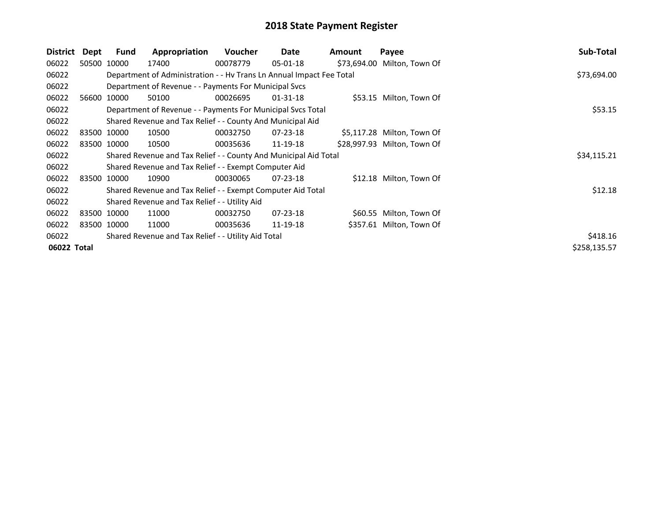| District    | Dept | Fund        | Appropriation                                                        | <b>Voucher</b> | Date           | Amount | Payee                       | Sub-Total    |
|-------------|------|-------------|----------------------------------------------------------------------|----------------|----------------|--------|-----------------------------|--------------|
| 06022       |      | 50500 10000 | 17400                                                                | 00078779       | $05 - 01 - 18$ |        | \$73,694.00 Milton, Town Of |              |
| 06022       |      |             | Department of Administration - - Hv Trans Ln Annual Impact Fee Total |                |                |        |                             | \$73,694.00  |
| 06022       |      |             | Department of Revenue - - Payments For Municipal Svcs                |                |                |        |                             |              |
| 06022       |      | 56600 10000 | 50100                                                                | 00026695       | $01 - 31 - 18$ |        | \$53.15 Milton, Town Of     |              |
| 06022       |      |             | Department of Revenue - - Payments For Municipal Svcs Total          |                |                |        |                             | \$53.15      |
| 06022       |      |             | Shared Revenue and Tax Relief - - County And Municipal Aid           |                |                |        |                             |              |
| 06022       |      | 83500 10000 | 10500                                                                | 00032750       | $07 - 23 - 18$ |        | \$5,117.28 Milton, Town Of  |              |
| 06022       |      | 83500 10000 | 10500                                                                | 00035636       | 11-19-18       |        | \$28,997.93 Milton, Town Of |              |
| 06022       |      |             | Shared Revenue and Tax Relief - - County And Municipal Aid Total     | \$34,115.21    |                |        |                             |              |
| 06022       |      |             | Shared Revenue and Tax Relief - - Exempt Computer Aid                |                |                |        |                             |              |
| 06022       |      | 83500 10000 | 10900                                                                | 00030065       | $07 - 23 - 18$ |        | \$12.18 Milton, Town Of     |              |
| 06022       |      |             | Shared Revenue and Tax Relief - - Exempt Computer Aid Total          |                |                |        |                             | \$12.18      |
| 06022       |      |             | Shared Revenue and Tax Relief - - Utility Aid                        |                |                |        |                             |              |
| 06022       |      | 83500 10000 | 11000                                                                | 00032750       | 07-23-18       |        | \$60.55 Milton, Town Of     |              |
| 06022       |      | 83500 10000 | 11000                                                                | 00035636       | 11-19-18       |        | \$357.61 Milton, Town Of    |              |
| 06022       |      |             | Shared Revenue and Tax Relief - - Utility Aid Total                  |                |                |        |                             | \$418.16     |
| 06022 Total |      |             |                                                                      |                |                |        |                             | \$258,135.57 |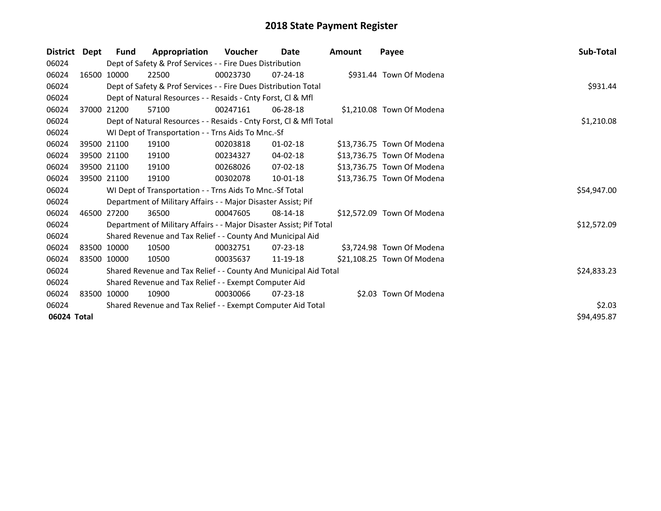| <b>District</b> | Dept        | Fund        | Appropriation                                                       | <b>Voucher</b> | Date           | <b>Amount</b> | Payee                      | Sub-Total   |  |
|-----------------|-------------|-------------|---------------------------------------------------------------------|----------------|----------------|---------------|----------------------------|-------------|--|
| 06024           |             |             | Dept of Safety & Prof Services - - Fire Dues Distribution           |                |                |               |                            |             |  |
| 06024           |             | 16500 10000 | 22500                                                               | 00023730       | $07 - 24 - 18$ |               | \$931.44 Town Of Modena    |             |  |
| 06024           |             |             | Dept of Safety & Prof Services - - Fire Dues Distribution Total     |                |                |               |                            | \$931.44    |  |
| 06024           |             |             | Dept of Natural Resources - - Resaids - Cnty Forst, CI & Mfl        |                |                |               |                            |             |  |
| 06024           |             | 37000 21200 | 57100                                                               | 00247161       | $06 - 28 - 18$ |               | \$1,210.08 Town Of Modena  |             |  |
| 06024           |             |             | Dept of Natural Resources - - Resaids - Cnty Forst, CI & Mfl Total  |                |                |               |                            | \$1,210.08  |  |
| 06024           |             |             | WI Dept of Transportation - - Trns Aids To Mnc.-Sf                  |                |                |               |                            |             |  |
| 06024           |             | 39500 21100 | 19100                                                               | 00203818       | $01 - 02 - 18$ |               | \$13,736.75 Town Of Modena |             |  |
| 06024           |             | 39500 21100 | 19100                                                               | 00234327       | 04-02-18       |               | \$13,736.75 Town Of Modena |             |  |
| 06024           |             | 39500 21100 | 19100                                                               | 00268026       | $07-02-18$     |               | \$13,736.75 Town Of Modena |             |  |
| 06024           | 39500 21100 |             | 19100                                                               | 00302078       | $10 - 01 - 18$ |               | \$13,736.75 Town Of Modena |             |  |
| 06024           |             |             | WI Dept of Transportation - - Trns Aids To Mnc.-Sf Total            |                |                |               |                            | \$54,947.00 |  |
| 06024           |             |             | Department of Military Affairs - - Major Disaster Assist; Pif       |                |                |               |                            |             |  |
| 06024           |             | 46500 27200 | 36500                                                               | 00047605       | 08-14-18       |               | \$12,572.09 Town Of Modena |             |  |
| 06024           |             |             | Department of Military Affairs - - Major Disaster Assist; Pif Total |                |                |               |                            | \$12,572.09 |  |
| 06024           |             |             | Shared Revenue and Tax Relief - - County And Municipal Aid          |                |                |               |                            |             |  |
| 06024           |             | 83500 10000 | 10500                                                               | 00032751       | $07 - 23 - 18$ |               | \$3,724.98 Town Of Modena  |             |  |
| 06024           |             | 83500 10000 | 10500                                                               | 00035637       | 11-19-18       |               | \$21,108.25 Town Of Modena |             |  |
| 06024           |             |             | Shared Revenue and Tax Relief - - County And Municipal Aid Total    |                |                |               |                            | \$24,833.23 |  |
| 06024           |             |             | Shared Revenue and Tax Relief - - Exempt Computer Aid               |                |                |               |                            |             |  |
| 06024           |             | 83500 10000 | 10900                                                               | 00030066       | $07 - 23 - 18$ |               | \$2.03 Town Of Modena      |             |  |
| 06024           |             |             | Shared Revenue and Tax Relief - - Exempt Computer Aid Total         |                |                |               |                            | \$2.03      |  |
| 06024 Total     |             |             |                                                                     |                |                |               |                            | \$94,495.87 |  |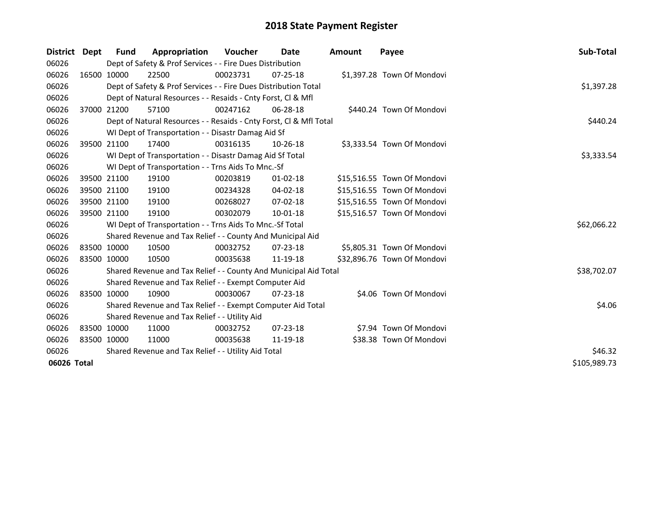| District Dept |             | Fund        | Appropriation                                                      | <b>Voucher</b> | Date           | Amount | Payee                       | Sub-Total   |  |
|---------------|-------------|-------------|--------------------------------------------------------------------|----------------|----------------|--------|-----------------------------|-------------|--|
| 06026         |             |             | Dept of Safety & Prof Services - - Fire Dues Distribution          |                |                |        |                             |             |  |
| 06026         |             | 16500 10000 | 22500                                                              | 00023731       | $07 - 25 - 18$ |        | \$1,397.28 Town Of Mondovi  |             |  |
| 06026         |             |             | Dept of Safety & Prof Services - - Fire Dues Distribution Total    |                |                |        |                             | \$1,397.28  |  |
| 06026         |             |             | Dept of Natural Resources - - Resaids - Cnty Forst, CI & Mfl       |                |                |        |                             |             |  |
| 06026         |             | 37000 21200 | 57100                                                              | 00247162       | 06-28-18       |        | \$440.24 Town Of Mondovi    |             |  |
| 06026         |             |             | Dept of Natural Resources - - Resaids - Cnty Forst, Cl & Mfl Total |                |                |        |                             | \$440.24    |  |
| 06026         |             |             | WI Dept of Transportation - - Disastr Damag Aid Sf                 |                |                |        |                             |             |  |
| 06026         |             | 39500 21100 | 17400                                                              | 00316135       | $10 - 26 - 18$ |        | \$3,333.54 Town Of Mondovi  |             |  |
| 06026         |             |             | WI Dept of Transportation - - Disastr Damag Aid Sf Total           |                |                |        |                             | \$3,333.54  |  |
| 06026         |             |             | WI Dept of Transportation - - Trns Aids To Mnc.-Sf                 |                |                |        |                             |             |  |
| 06026         |             | 39500 21100 | 19100                                                              | 00203819       | $01 - 02 - 18$ |        | \$15,516.55 Town Of Mondovi |             |  |
| 06026         |             | 39500 21100 | 19100                                                              | 00234328       | 04-02-18       |        | \$15,516.55 Town Of Mondovi |             |  |
| 06026         |             | 39500 21100 | 19100                                                              | 00268027       | 07-02-18       |        | \$15,516.55 Town Of Mondovi |             |  |
| 06026         |             | 39500 21100 | 19100                                                              | 00302079       | 10-01-18       |        | \$15,516.57 Town Of Mondovi |             |  |
| 06026         |             |             | WI Dept of Transportation - - Trns Aids To Mnc.-Sf Total           |                |                |        |                             | \$62,066.22 |  |
| 06026         |             |             | Shared Revenue and Tax Relief - - County And Municipal Aid         |                |                |        |                             |             |  |
| 06026         |             | 83500 10000 | 10500                                                              | 00032752       | $07 - 23 - 18$ |        | \$5,805.31 Town Of Mondovi  |             |  |
| 06026         | 83500 10000 |             | 10500                                                              | 00035638       | 11-19-18       |        | \$32,896.76 Town Of Mondovi |             |  |
| 06026         |             |             | Shared Revenue and Tax Relief - - County And Municipal Aid Total   |                |                |        |                             | \$38,702.07 |  |
| 06026         |             |             | Shared Revenue and Tax Relief - - Exempt Computer Aid              |                |                |        |                             |             |  |
| 06026         |             | 83500 10000 | 10900                                                              | 00030067       | $07 - 23 - 18$ |        | \$4.06 Town Of Mondovi      |             |  |
| 06026         |             |             | Shared Revenue and Tax Relief - - Exempt Computer Aid Total        |                |                |        |                             | \$4.06      |  |
| 06026         |             |             | Shared Revenue and Tax Relief - - Utility Aid                      |                |                |        |                             |             |  |
| 06026         |             | 83500 10000 | 11000                                                              | 00032752       | $07 - 23 - 18$ |        | \$7.94 Town Of Mondovi      |             |  |
| 06026         | 83500 10000 |             | 11000                                                              | 00035638       | 11-19-18       |        | \$38.38 Town Of Mondovi     |             |  |
| 06026         |             |             | Shared Revenue and Tax Relief - - Utility Aid Total                | \$46.32        |                |        |                             |             |  |
|               | 06026 Total |             |                                                                    |                |                |        |                             |             |  |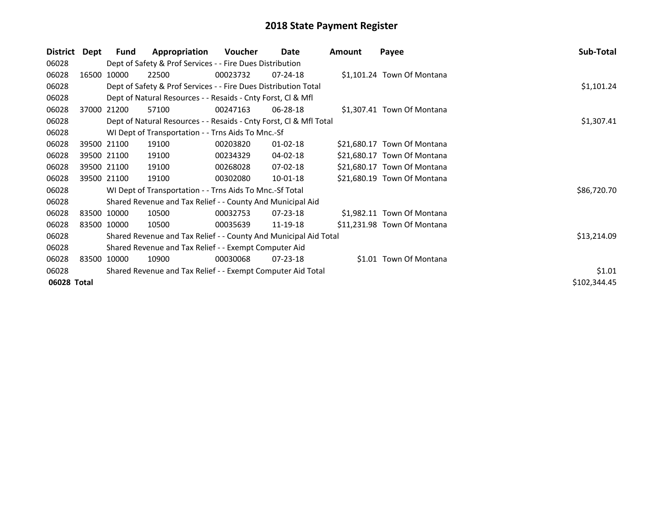| District    | Dept        | Fund                                                        | Appropriation                                                      | Voucher  | Date           | Amount | Payee                       | Sub-Total    |  |
|-------------|-------------|-------------------------------------------------------------|--------------------------------------------------------------------|----------|----------------|--------|-----------------------------|--------------|--|
| 06028       |             |                                                             | Dept of Safety & Prof Services - - Fire Dues Distribution          |          |                |        |                             |              |  |
| 06028       |             | 16500 10000                                                 | 22500                                                              | 00023732 | $07 - 24 - 18$ |        | \$1,101.24 Town Of Montana  |              |  |
| 06028       |             |                                                             | Dept of Safety & Prof Services - - Fire Dues Distribution Total    |          |                |        |                             | \$1,101.24   |  |
| 06028       |             |                                                             | Dept of Natural Resources - - Resaids - Cnty Forst, CI & Mfl       |          |                |        |                             |              |  |
| 06028       |             | 37000 21200                                                 | 57100                                                              | 00247163 | 06-28-18       |        | \$1,307.41 Town Of Montana  |              |  |
| 06028       |             |                                                             | Dept of Natural Resources - - Resaids - Cnty Forst, CI & Mfl Total |          |                |        |                             | \$1,307.41   |  |
| 06028       |             |                                                             | WI Dept of Transportation - - Trns Aids To Mnc.-Sf                 |          |                |        |                             |              |  |
| 06028       |             | 39500 21100                                                 | 19100                                                              | 00203820 | $01 - 02 - 18$ |        | \$21,680.17 Town Of Montana |              |  |
| 06028       |             | 39500 21100                                                 | 19100                                                              | 00234329 | 04-02-18       |        | \$21,680.17 Town Of Montana |              |  |
| 06028       |             | 39500 21100                                                 | 19100                                                              | 00268028 | 07-02-18       |        | \$21,680.17 Town Of Montana |              |  |
| 06028       | 39500 21100 |                                                             | 19100                                                              | 00302080 | $10 - 01 - 18$ |        | \$21,680.19 Town Of Montana |              |  |
| 06028       |             |                                                             | WI Dept of Transportation - - Trns Aids To Mnc.-Sf Total           |          |                |        |                             | \$86,720.70  |  |
| 06028       |             |                                                             | Shared Revenue and Tax Relief - - County And Municipal Aid         |          |                |        |                             |              |  |
| 06028       |             | 83500 10000                                                 | 10500                                                              | 00032753 | $07 - 23 - 18$ |        | \$1,982.11 Town Of Montana  |              |  |
| 06028       | 83500 10000 |                                                             | 10500                                                              | 00035639 | 11-19-18       |        | \$11,231.98 Town Of Montana |              |  |
| 06028       |             |                                                             | Shared Revenue and Tax Relief - - County And Municipal Aid Total   |          |                |        |                             | \$13,214.09  |  |
| 06028       |             |                                                             | Shared Revenue and Tax Relief - - Exempt Computer Aid              |          |                |        |                             |              |  |
| 06028       |             | 83500 10000                                                 | 10900                                                              | 00030068 | $07 - 23 - 18$ |        | \$1.01 Town Of Montana      |              |  |
| 06028       |             | Shared Revenue and Tax Relief - - Exempt Computer Aid Total |                                                                    |          |                |        |                             |              |  |
| 06028 Total |             |                                                             |                                                                    |          |                |        |                             | \$102,344.45 |  |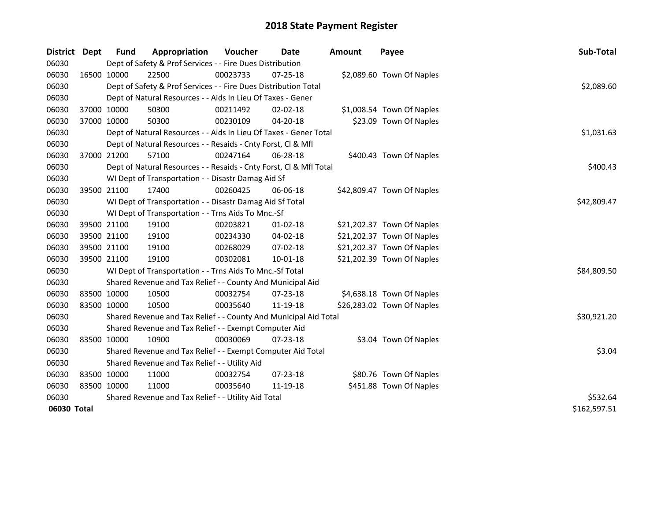| <b>District</b> | <b>Dept</b> | <b>Fund</b>                                                  | Appropriation                                                      | Voucher  | <b>Date</b>    | <b>Amount</b> | Payee                      | Sub-Total    |
|-----------------|-------------|--------------------------------------------------------------|--------------------------------------------------------------------|----------|----------------|---------------|----------------------------|--------------|
| 06030           |             |                                                              | Dept of Safety & Prof Services - - Fire Dues Distribution          |          |                |               |                            |              |
| 06030           | 16500 10000 |                                                              | 22500                                                              | 00023733 | 07-25-18       |               | \$2,089.60 Town Of Naples  |              |
| 06030           |             |                                                              | Dept of Safety & Prof Services - - Fire Dues Distribution Total    |          |                |               |                            | \$2,089.60   |
| 06030           |             |                                                              | Dept of Natural Resources - - Aids In Lieu Of Taxes - Gener        |          |                |               |                            |              |
| 06030           | 37000 10000 |                                                              | 50300                                                              | 00211492 | 02-02-18       |               | \$1,008.54 Town Of Naples  |              |
| 06030           | 37000 10000 |                                                              | 50300                                                              | 00230109 | $04 - 20 - 18$ |               | \$23.09 Town Of Naples     |              |
| 06030           |             |                                                              | Dept of Natural Resources - - Aids In Lieu Of Taxes - Gener Total  |          |                |               |                            | \$1,031.63   |
| 06030           |             | Dept of Natural Resources - - Resaids - Cnty Forst, Cl & Mfl |                                                                    |          |                |               |                            |              |
| 06030           | 37000 21200 |                                                              | 57100                                                              | 00247164 | 06-28-18       |               | \$400.43 Town Of Naples    |              |
| 06030           |             |                                                              | Dept of Natural Resources - - Resaids - Cnty Forst, Cl & Mfl Total |          |                |               |                            | \$400.43     |
| 06030           |             |                                                              | WI Dept of Transportation - - Disastr Damag Aid Sf                 |          |                |               |                            |              |
| 06030           | 39500 21100 |                                                              | 17400                                                              | 00260425 | 06-06-18       |               | \$42,809.47 Town Of Naples |              |
| 06030           |             |                                                              | WI Dept of Transportation - - Disastr Damag Aid Sf Total           |          |                |               |                            | \$42,809.47  |
| 06030           |             |                                                              | WI Dept of Transportation - - Trns Aids To Mnc.-Sf                 |          |                |               |                            |              |
| 06030           | 39500 21100 |                                                              | 19100                                                              | 00203821 | 01-02-18       |               | \$21,202.37 Town Of Naples |              |
| 06030           |             | 39500 21100                                                  | 19100                                                              | 00234330 | 04-02-18       |               | \$21,202.37 Town Of Naples |              |
| 06030           | 39500 21100 |                                                              | 19100                                                              | 00268029 | 07-02-18       |               | \$21,202.37 Town Of Naples |              |
| 06030           | 39500 21100 |                                                              | 19100                                                              | 00302081 | 10-01-18       |               | \$21,202.39 Town Of Naples |              |
| 06030           |             |                                                              | WI Dept of Transportation - - Trns Aids To Mnc.-Sf Total           |          |                |               |                            | \$84,809.50  |
| 06030           |             |                                                              | Shared Revenue and Tax Relief - - County And Municipal Aid         |          |                |               |                            |              |
| 06030           |             | 83500 10000                                                  | 10500                                                              | 00032754 | 07-23-18       |               | \$4,638.18 Town Of Naples  |              |
| 06030           | 83500 10000 |                                                              | 10500                                                              | 00035640 | 11-19-18       |               | \$26,283.02 Town Of Naples |              |
| 06030           |             |                                                              | Shared Revenue and Tax Relief - - County And Municipal Aid Total   |          |                |               |                            | \$30,921.20  |
| 06030           |             |                                                              | Shared Revenue and Tax Relief - - Exempt Computer Aid              |          |                |               |                            |              |
| 06030           | 83500 10000 |                                                              | 10900                                                              | 00030069 | 07-23-18       |               | \$3.04 Town Of Naples      |              |
| 06030           |             |                                                              | Shared Revenue and Tax Relief - - Exempt Computer Aid Total        |          |                |               |                            | \$3.04       |
| 06030           |             |                                                              | Shared Revenue and Tax Relief - - Utility Aid                      |          |                |               |                            |              |
| 06030           | 83500 10000 |                                                              | 11000                                                              | 00032754 | $07 - 23 - 18$ |               | \$80.76 Town Of Naples     |              |
| 06030           | 83500 10000 |                                                              | 11000                                                              | 00035640 | 11-19-18       |               | \$451.88 Town Of Naples    |              |
| 06030           |             |                                                              | Shared Revenue and Tax Relief - - Utility Aid Total                | \$532.64 |                |               |                            |              |
| 06030 Total     |             |                                                              |                                                                    |          |                |               |                            | \$162,597.51 |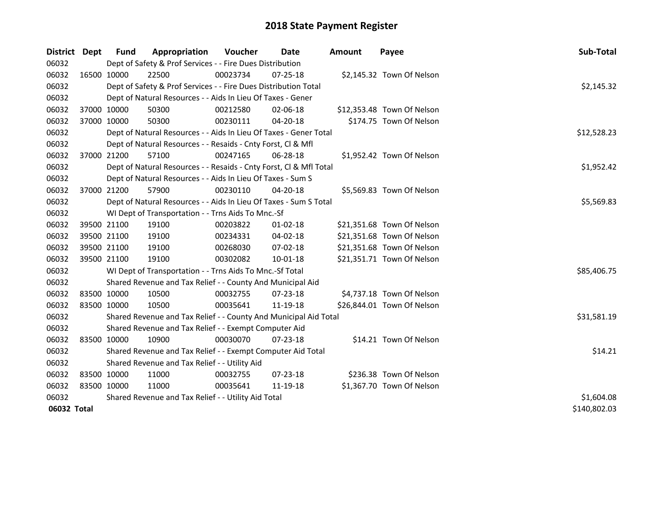| District    | Dept        | Fund        | Appropriation                                                      | Voucher    | Date           | <b>Amount</b> | Payee                      | Sub-Total    |  |  |
|-------------|-------------|-------------|--------------------------------------------------------------------|------------|----------------|---------------|----------------------------|--------------|--|--|
| 06032       |             |             | Dept of Safety & Prof Services - - Fire Dues Distribution          |            |                |               |                            |              |  |  |
| 06032       |             | 16500 10000 | 22500                                                              | 00023734   | 07-25-18       |               | \$2,145.32 Town Of Nelson  |              |  |  |
| 06032       |             |             | Dept of Safety & Prof Services - - Fire Dues Distribution Total    |            |                |               |                            | \$2,145.32   |  |  |
| 06032       |             |             | Dept of Natural Resources - - Aids In Lieu Of Taxes - Gener        |            |                |               |                            |              |  |  |
| 06032       | 37000 10000 |             | 50300                                                              | 00212580   | $02 - 06 - 18$ |               | \$12,353.48 Town Of Nelson |              |  |  |
| 06032       |             | 37000 10000 | 50300                                                              | 00230111   | $04 - 20 - 18$ |               | \$174.75 Town Of Nelson    |              |  |  |
| 06032       |             |             | Dept of Natural Resources - - Aids In Lieu Of Taxes - Gener Total  |            |                |               |                            | \$12,528.23  |  |  |
| 06032       |             |             | Dept of Natural Resources - - Resaids - Cnty Forst, Cl & Mfl       |            |                |               |                            |              |  |  |
| 06032       |             | 37000 21200 | 57100                                                              | 00247165   | 06-28-18       |               | \$1,952.42 Town Of Nelson  |              |  |  |
| 06032       |             |             | Dept of Natural Resources - - Resaids - Cnty Forst, Cl & Mfl Total |            |                |               |                            | \$1,952.42   |  |  |
| 06032       |             |             | Dept of Natural Resources - - Aids In Lieu Of Taxes - Sum S        |            |                |               |                            |              |  |  |
| 06032       |             | 37000 21200 | 57900                                                              | 00230110   | 04-20-18       |               | \$5,569.83 Town Of Nelson  |              |  |  |
| 06032       |             |             | Dept of Natural Resources - - Aids In Lieu Of Taxes - Sum S Total  |            |                |               |                            | \$5,569.83   |  |  |
| 06032       |             |             | WI Dept of Transportation - - Trns Aids To Mnc.-Sf                 |            |                |               |                            |              |  |  |
| 06032       |             | 39500 21100 | 19100                                                              | 00203822   | $01 - 02 - 18$ |               | \$21,351.68 Town Of Nelson |              |  |  |
| 06032       | 39500 21100 |             | 19100                                                              | 00234331   | 04-02-18       |               | \$21,351.68 Town Of Nelson |              |  |  |
| 06032       | 39500 21100 |             | 19100                                                              | 00268030   | 07-02-18       |               | \$21,351.68 Town Of Nelson |              |  |  |
| 06032       |             | 39500 21100 | 19100                                                              | 00302082   | 10-01-18       |               | \$21,351.71 Town Of Nelson |              |  |  |
| 06032       |             |             | WI Dept of Transportation - - Trns Aids To Mnc.-Sf Total           |            |                |               |                            | \$85,406.75  |  |  |
| 06032       |             |             | Shared Revenue and Tax Relief - - County And Municipal Aid         |            |                |               |                            |              |  |  |
| 06032       | 83500 10000 |             | 10500                                                              | 00032755   | 07-23-18       |               | \$4,737.18 Town Of Nelson  |              |  |  |
| 06032       | 83500 10000 |             | 10500                                                              | 00035641   | 11-19-18       |               | \$26,844.01 Town Of Nelson |              |  |  |
| 06032       |             |             | Shared Revenue and Tax Relief - - County And Municipal Aid Total   |            |                |               |                            | \$31,581.19  |  |  |
| 06032       |             |             | Shared Revenue and Tax Relief - - Exempt Computer Aid              |            |                |               |                            |              |  |  |
| 06032       | 83500 10000 |             | 10900                                                              | 00030070   | 07-23-18       |               | \$14.21 Town Of Nelson     |              |  |  |
| 06032       |             |             | Shared Revenue and Tax Relief - - Exempt Computer Aid Total        |            |                |               |                            | \$14.21      |  |  |
| 06032       |             |             | Shared Revenue and Tax Relief - - Utility Aid                      |            |                |               |                            |              |  |  |
| 06032       | 83500 10000 |             | 11000                                                              | 00032755   | 07-23-18       |               | \$236.38 Town Of Nelson    |              |  |  |
| 06032       | 83500 10000 |             | 11000                                                              | 00035641   | 11-19-18       |               | \$1,367.70 Town Of Nelson  |              |  |  |
| 06032       |             |             | Shared Revenue and Tax Relief - - Utility Aid Total                | \$1,604.08 |                |               |                            |              |  |  |
| 06032 Total |             |             |                                                                    |            |                |               |                            | \$140,802.03 |  |  |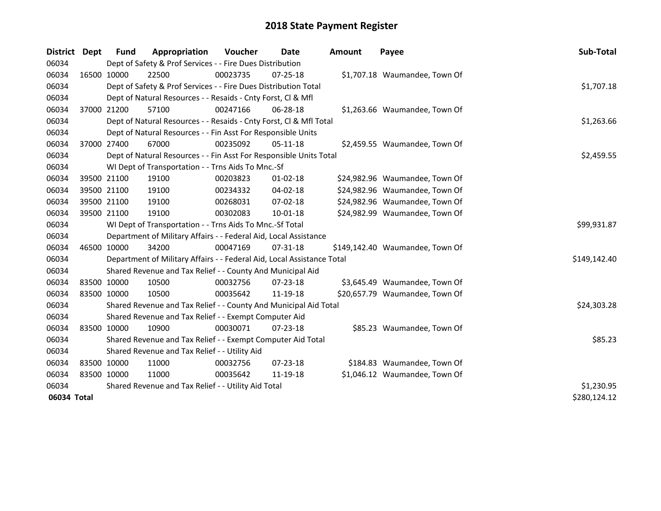| District    | <b>Dept</b> | Fund        | Appropriation                                                          | Voucher  | Date           | <b>Amount</b> | Payee                           | Sub-Total    |
|-------------|-------------|-------------|------------------------------------------------------------------------|----------|----------------|---------------|---------------------------------|--------------|
| 06034       |             |             | Dept of Safety & Prof Services - - Fire Dues Distribution              |          |                |               |                                 |              |
| 06034       |             | 16500 10000 | 22500                                                                  | 00023735 | $07 - 25 - 18$ |               | \$1,707.18 Waumandee, Town Of   |              |
| 06034       |             |             | Dept of Safety & Prof Services - - Fire Dues Distribution Total        |          |                |               |                                 | \$1,707.18   |
| 06034       |             |             | Dept of Natural Resources - - Resaids - Cnty Forst, Cl & Mfl           |          |                |               |                                 |              |
| 06034       |             | 37000 21200 | 57100                                                                  | 00247166 | 06-28-18       |               | \$1,263.66 Waumandee, Town Of   |              |
| 06034       |             |             | Dept of Natural Resources - - Resaids - Cnty Forst, Cl & Mfl Total     |          |                |               |                                 | \$1,263.66   |
| 06034       |             |             | Dept of Natural Resources - - Fin Asst For Responsible Units           |          |                |               |                                 |              |
| 06034       |             | 37000 27400 | 67000                                                                  | 00235092 | 05-11-18       |               | \$2,459.55 Waumandee, Town Of   |              |
| 06034       |             |             | Dept of Natural Resources - - Fin Asst For Responsible Units Total     |          |                |               |                                 | \$2,459.55   |
| 06034       |             |             | WI Dept of Transportation - - Trns Aids To Mnc.-Sf                     |          |                |               |                                 |              |
| 06034       |             | 39500 21100 | 19100                                                                  | 00203823 | $01 - 02 - 18$ |               | \$24,982.96 Waumandee, Town Of  |              |
| 06034       |             | 39500 21100 | 19100                                                                  | 00234332 | 04-02-18       |               | \$24,982.96 Waumandee, Town Of  |              |
| 06034       |             | 39500 21100 | 19100                                                                  | 00268031 | 07-02-18       |               | \$24,982.96 Waumandee, Town Of  |              |
| 06034       |             | 39500 21100 | 19100                                                                  | 00302083 | 10-01-18       |               | \$24,982.99 Waumandee, Town Of  |              |
| 06034       |             |             | WI Dept of Transportation - - Trns Aids To Mnc.-Sf Total               |          |                |               |                                 | \$99,931.87  |
| 06034       |             |             | Department of Military Affairs - - Federal Aid, Local Assistance       |          |                |               |                                 |              |
| 06034       |             | 46500 10000 | 34200                                                                  | 00047169 | $07 - 31 - 18$ |               | \$149,142.40 Waumandee, Town Of |              |
| 06034       |             |             | Department of Military Affairs - - Federal Aid, Local Assistance Total |          |                |               |                                 | \$149,142.40 |
| 06034       |             |             | Shared Revenue and Tax Relief - - County And Municipal Aid             |          |                |               |                                 |              |
| 06034       |             | 83500 10000 | 10500                                                                  | 00032756 | $07 - 23 - 18$ |               | \$3,645.49 Waumandee, Town Of   |              |
| 06034       |             | 83500 10000 | 10500                                                                  | 00035642 | 11-19-18       |               | \$20,657.79 Waumandee, Town Of  |              |
| 06034       |             |             | Shared Revenue and Tax Relief - - County And Municipal Aid Total       |          |                |               |                                 | \$24,303.28  |
| 06034       |             |             | Shared Revenue and Tax Relief - - Exempt Computer Aid                  |          |                |               |                                 |              |
| 06034       | 83500 10000 |             | 10900                                                                  | 00030071 | $07 - 23 - 18$ |               | \$85.23 Waumandee, Town Of      |              |
| 06034       |             |             | Shared Revenue and Tax Relief - - Exempt Computer Aid Total            |          |                |               |                                 | \$85.23      |
| 06034       |             |             | Shared Revenue and Tax Relief - - Utility Aid                          |          |                |               |                                 |              |
| 06034       |             | 83500 10000 | 11000                                                                  | 00032756 | 07-23-18       |               | \$184.83 Waumandee, Town Of     |              |
| 06034       |             | 83500 10000 | 11000                                                                  | 00035642 | 11-19-18       |               | \$1,046.12 Waumandee, Town Of   |              |
| 06034       |             |             | Shared Revenue and Tax Relief - - Utility Aid Total                    |          |                |               |                                 | \$1,230.95   |
| 06034 Total |             |             |                                                                        |          |                |               |                                 | \$280,124.12 |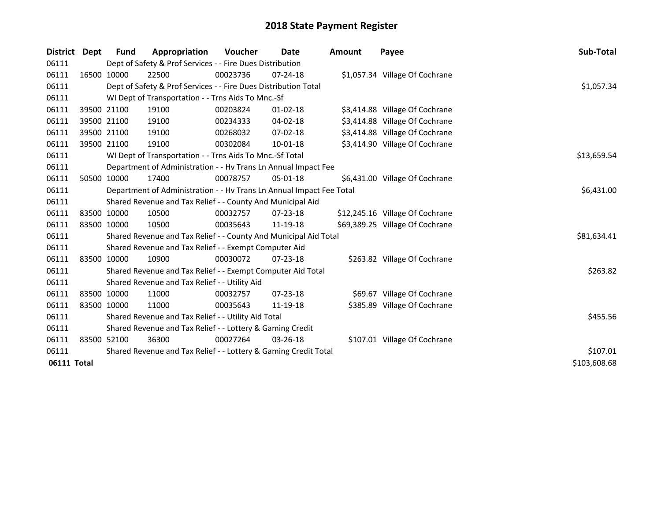| District Dept |             | <b>Fund</b> | Appropriation                                                        | <b>Voucher</b> | Date           | Amount | Payee                           | Sub-Total    |
|---------------|-------------|-------------|----------------------------------------------------------------------|----------------|----------------|--------|---------------------------------|--------------|
| 06111         |             |             | Dept of Safety & Prof Services - - Fire Dues Distribution            |                |                |        |                                 |              |
| 06111         | 16500 10000 |             | 22500                                                                | 00023736       | $07 - 24 - 18$ |        | \$1,057.34 Village Of Cochrane  |              |
| 06111         |             |             | Dept of Safety & Prof Services - - Fire Dues Distribution Total      |                |                |        |                                 | \$1,057.34   |
| 06111         |             |             | WI Dept of Transportation - - Trns Aids To Mnc.-Sf                   |                |                |        |                                 |              |
| 06111         | 39500 21100 |             | 19100                                                                | 00203824       | $01 - 02 - 18$ |        | \$3,414.88 Village Of Cochrane  |              |
| 06111         | 39500 21100 |             | 19100                                                                | 00234333       | 04-02-18       |        | \$3,414.88 Village Of Cochrane  |              |
| 06111         | 39500 21100 |             | 19100                                                                | 00268032       | $07 - 02 - 18$ |        | \$3,414.88 Village Of Cochrane  |              |
| 06111         | 39500 21100 |             | 19100                                                                | 00302084       | 10-01-18       |        | \$3,414.90 Village Of Cochrane  |              |
| 06111         |             |             | WI Dept of Transportation - - Trns Aids To Mnc.-Sf Total             |                |                |        |                                 | \$13,659.54  |
| 06111         |             |             | Department of Administration - - Hv Trans Ln Annual Impact Fee       |                |                |        |                                 |              |
| 06111         | 50500 10000 |             | 17400                                                                | 00078757       | $05 - 01 - 18$ |        | \$6,431.00 Village Of Cochrane  |              |
| 06111         |             |             | Department of Administration - - Hv Trans Ln Annual Impact Fee Total |                |                |        |                                 | \$6,431.00   |
| 06111         |             |             | Shared Revenue and Tax Relief - - County And Municipal Aid           |                |                |        |                                 |              |
| 06111         | 83500 10000 |             | 10500                                                                | 00032757       | $07 - 23 - 18$ |        | \$12,245.16 Village Of Cochrane |              |
| 06111         | 83500 10000 |             | 10500                                                                | 00035643       | 11-19-18       |        | \$69,389.25 Village Of Cochrane |              |
| 06111         |             |             | Shared Revenue and Tax Relief - - County And Municipal Aid Total     |                |                |        |                                 | \$81,634.41  |
| 06111         |             |             | Shared Revenue and Tax Relief - - Exempt Computer Aid                |                |                |        |                                 |              |
| 06111         | 83500 10000 |             | 10900                                                                | 00030072       | 07-23-18       |        | \$263.82 Village Of Cochrane    |              |
| 06111         |             |             | Shared Revenue and Tax Relief - - Exempt Computer Aid Total          |                |                |        |                                 | \$263.82     |
| 06111         |             |             | Shared Revenue and Tax Relief - - Utility Aid                        |                |                |        |                                 |              |
| 06111         | 83500 10000 |             | 11000                                                                | 00032757       | $07 - 23 - 18$ |        | \$69.67 Village Of Cochrane     |              |
| 06111         | 83500 10000 |             | 11000                                                                | 00035643       | 11-19-18       |        | \$385.89 Village Of Cochrane    |              |
| 06111         |             |             | Shared Revenue and Tax Relief - - Utility Aid Total                  |                |                |        |                                 | \$455.56     |
| 06111         |             |             | Shared Revenue and Tax Relief - - Lottery & Gaming Credit            |                |                |        |                                 |              |
| 06111         | 83500 52100 |             | 36300                                                                | 00027264       | $03 - 26 - 18$ |        | \$107.01 Village Of Cochrane    |              |
| 06111         |             |             | Shared Revenue and Tax Relief - - Lottery & Gaming Credit Total      |                |                |        |                                 | \$107.01     |
| 06111 Total   |             |             |                                                                      |                |                |        |                                 | \$103,608.68 |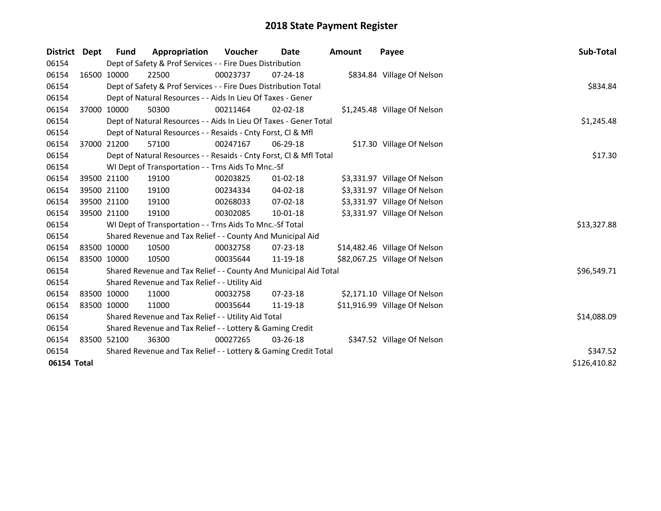| District    | Dept        | <b>Fund</b> | Appropriation                                                      | <b>Voucher</b> | Date           | <b>Amount</b> | Payee                         | Sub-Total    |
|-------------|-------------|-------------|--------------------------------------------------------------------|----------------|----------------|---------------|-------------------------------|--------------|
| 06154       |             |             | Dept of Safety & Prof Services - - Fire Dues Distribution          |                |                |               |                               |              |
| 06154       |             | 16500 10000 | 22500                                                              | 00023737       | $07 - 24 - 18$ |               | \$834.84 Village Of Nelson    |              |
| 06154       |             |             | Dept of Safety & Prof Services - - Fire Dues Distribution Total    |                |                |               |                               | \$834.84     |
| 06154       |             |             | Dept of Natural Resources - - Aids In Lieu Of Taxes - Gener        |                |                |               |                               |              |
| 06154       |             | 37000 10000 | 50300                                                              | 00211464       | $02 - 02 - 18$ |               | \$1,245.48 Village Of Nelson  |              |
| 06154       |             |             | Dept of Natural Resources - - Aids In Lieu Of Taxes - Gener Total  |                |                |               |                               | \$1,245.48   |
| 06154       |             |             | Dept of Natural Resources - - Resaids - Cnty Forst, CI & Mfl       |                |                |               |                               |              |
| 06154       |             | 37000 21200 | 57100                                                              | 00247167       | 06-29-18       |               | \$17.30 Village Of Nelson     |              |
| 06154       |             |             | Dept of Natural Resources - - Resaids - Cnty Forst, CI & Mfl Total |                |                |               |                               | \$17.30      |
| 06154       |             |             | WI Dept of Transportation - - Trns Aids To Mnc.-Sf                 |                |                |               |                               |              |
| 06154       |             | 39500 21100 | 19100                                                              | 00203825       | $01 - 02 - 18$ |               | \$3,331.97 Village Of Nelson  |              |
| 06154       |             | 39500 21100 | 19100                                                              | 00234334       | 04-02-18       |               | \$3,331.97 Village Of Nelson  |              |
| 06154       |             | 39500 21100 | 19100                                                              | 00268033       | $07 - 02 - 18$ |               | \$3,331.97 Village Of Nelson  |              |
| 06154       | 39500 21100 |             | 19100                                                              | 00302085       | $10 - 01 - 18$ |               | \$3,331.97 Village Of Nelson  |              |
| 06154       |             |             | WI Dept of Transportation - - Trns Aids To Mnc.-Sf Total           |                |                |               |                               | \$13,327.88  |
| 06154       |             |             | Shared Revenue and Tax Relief - - County And Municipal Aid         |                |                |               |                               |              |
| 06154       | 83500 10000 |             | 10500                                                              | 00032758       | $07 - 23 - 18$ |               | \$14,482.46 Village Of Nelson |              |
| 06154       | 83500 10000 |             | 10500                                                              | 00035644       | 11-19-18       |               | \$82,067.25 Village Of Nelson |              |
| 06154       |             |             | Shared Revenue and Tax Relief - - County And Municipal Aid Total   |                |                |               |                               | \$96,549.71  |
| 06154       |             |             | Shared Revenue and Tax Relief - - Utility Aid                      |                |                |               |                               |              |
| 06154       |             | 83500 10000 | 11000                                                              | 00032758       | $07 - 23 - 18$ |               | \$2,171.10 Village Of Nelson  |              |
| 06154       | 83500 10000 |             | 11000                                                              | 00035644       | 11-19-18       |               | \$11,916.99 Village Of Nelson |              |
| 06154       |             |             | Shared Revenue and Tax Relief - - Utility Aid Total                |                |                |               |                               | \$14,088.09  |
| 06154       |             |             | Shared Revenue and Tax Relief - - Lottery & Gaming Credit          |                |                |               |                               |              |
| 06154       |             | 83500 52100 | 36300                                                              | 00027265       | 03-26-18       |               | \$347.52 Village Of Nelson    |              |
| 06154       |             |             | Shared Revenue and Tax Relief - - Lottery & Gaming Credit Total    |                |                |               |                               | \$347.52     |
| 06154 Total |             |             |                                                                    |                |                |               |                               | \$126,410.82 |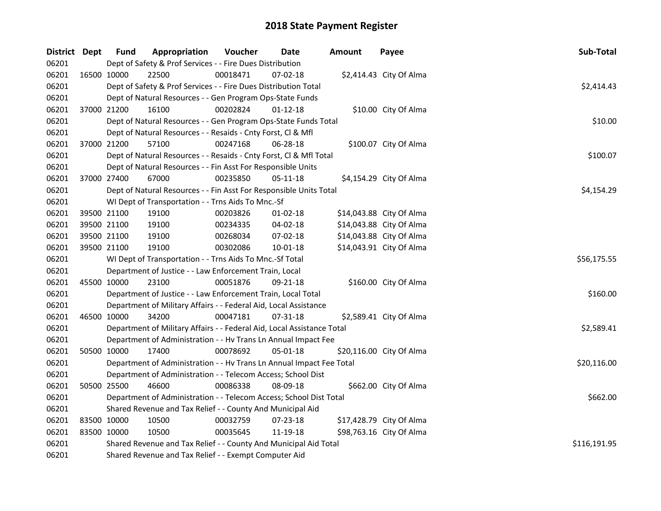| District Dept |             | <b>Fund</b> | Appropriation                                                          | Voucher  | Date           | <b>Amount</b> | Payee                    | Sub-Total    |
|---------------|-------------|-------------|------------------------------------------------------------------------|----------|----------------|---------------|--------------------------|--------------|
| 06201         |             |             | Dept of Safety & Prof Services - - Fire Dues Distribution              |          |                |               |                          |              |
| 06201         | 16500 10000 |             | 22500                                                                  | 00018471 | 07-02-18       |               | \$2,414.43 City Of Alma  |              |
| 06201         |             |             | Dept of Safety & Prof Services - - Fire Dues Distribution Total        |          |                |               |                          | \$2,414.43   |
| 06201         |             |             | Dept of Natural Resources - - Gen Program Ops-State Funds              |          |                |               |                          |              |
| 06201         | 37000 21200 |             | 16100                                                                  | 00202824 | $01 - 12 - 18$ |               | \$10.00 City Of Alma     |              |
| 06201         |             |             | Dept of Natural Resources - - Gen Program Ops-State Funds Total        |          |                |               |                          | \$10.00      |
| 06201         |             |             | Dept of Natural Resources - - Resaids - Cnty Forst, Cl & Mfl           |          |                |               |                          |              |
| 06201         | 37000 21200 |             | 57100                                                                  | 00247168 | 06-28-18       |               | \$100.07 City Of Alma    |              |
| 06201         |             |             | Dept of Natural Resources - - Resaids - Cnty Forst, Cl & Mfl Total     |          |                |               |                          | \$100.07     |
| 06201         |             |             | Dept of Natural Resources - - Fin Asst For Responsible Units           |          |                |               |                          |              |
| 06201         | 37000 27400 |             | 67000                                                                  | 00235850 | 05-11-18       |               | \$4,154.29 City Of Alma  |              |
| 06201         |             |             | Dept of Natural Resources - - Fin Asst For Responsible Units Total     |          |                |               |                          | \$4,154.29   |
| 06201         |             |             | WI Dept of Transportation - - Trns Aids To Mnc.-Sf                     |          |                |               |                          |              |
| 06201         | 39500 21100 |             | 19100                                                                  | 00203826 | 01-02-18       |               | \$14,043.88 City Of Alma |              |
| 06201         | 39500 21100 |             | 19100                                                                  | 00234335 | 04-02-18       |               | \$14,043.88 City Of Alma |              |
| 06201         | 39500 21100 |             | 19100                                                                  | 00268034 | 07-02-18       |               | \$14,043.88 City Of Alma |              |
| 06201         |             | 39500 21100 | 19100                                                                  | 00302086 | 10-01-18       |               | \$14,043.91 City Of Alma |              |
| 06201         |             |             | WI Dept of Transportation - - Trns Aids To Mnc.-Sf Total               |          |                |               |                          | \$56,175.55  |
| 06201         |             |             | Department of Justice - - Law Enforcement Train, Local                 |          |                |               |                          |              |
| 06201         |             | 45500 10000 | 23100                                                                  | 00051876 | 09-21-18       |               | \$160.00 City Of Alma    |              |
| 06201         |             |             | Department of Justice - - Law Enforcement Train, Local Total           |          |                |               |                          | \$160.00     |
| 06201         |             |             | Department of Military Affairs - - Federal Aid, Local Assistance       |          |                |               |                          |              |
| 06201         | 46500 10000 |             | 34200                                                                  | 00047181 | 07-31-18       |               | \$2,589.41 City Of Alma  |              |
| 06201         |             |             | Department of Military Affairs - - Federal Aid, Local Assistance Total |          |                |               |                          | \$2,589.41   |
| 06201         |             |             | Department of Administration - - Hv Trans Ln Annual Impact Fee         |          |                |               |                          |              |
| 06201         | 50500 10000 |             | 17400                                                                  | 00078692 | 05-01-18       |               | \$20,116.00 City Of Alma |              |
| 06201         |             |             | Department of Administration - - Hv Trans Ln Annual Impact Fee Total   |          |                |               |                          | \$20,116.00  |
| 06201         |             |             | Department of Administration - - Telecom Access; School Dist           |          |                |               |                          |              |
| 06201         | 50500 25500 |             | 46600                                                                  | 00086338 | 08-09-18       |               | \$662.00 City Of Alma    |              |
| 06201         |             |             | Department of Administration - - Telecom Access; School Dist Total     |          |                |               |                          | \$662.00     |
| 06201         |             |             | Shared Revenue and Tax Relief - - County And Municipal Aid             |          |                |               |                          |              |
| 06201         | 83500 10000 |             | 10500                                                                  | 00032759 | 07-23-18       |               | \$17,428.79 City Of Alma |              |
| 06201         | 83500 10000 |             | 10500                                                                  | 00035645 | 11-19-18       |               | \$98,763.16 City Of Alma |              |
| 06201         |             |             | Shared Revenue and Tax Relief - - County And Municipal Aid Total       |          |                |               |                          | \$116,191.95 |
| 06201         |             |             | Shared Revenue and Tax Relief - - Exempt Computer Aid                  |          |                |               |                          |              |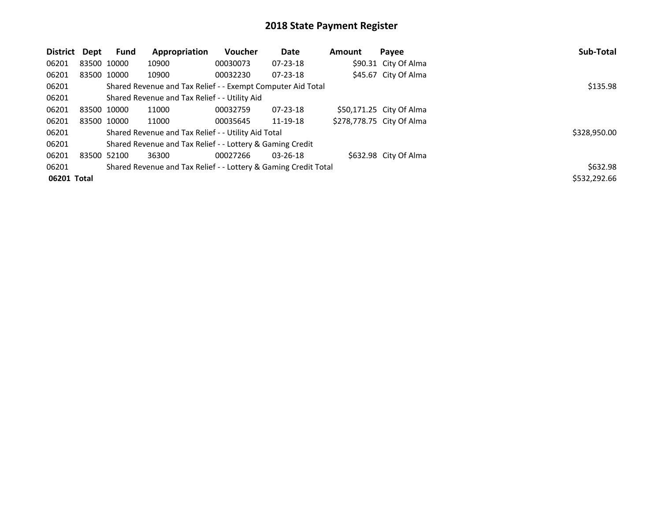| District    | Dept        | <b>Fund</b> | Appropriation                                                   | <b>Voucher</b> | Date           | Amount | Payee                     | Sub-Total    |
|-------------|-------------|-------------|-----------------------------------------------------------------|----------------|----------------|--------|---------------------------|--------------|
| 06201       |             | 83500 10000 | 10900                                                           | 00030073       | $07 - 23 - 18$ |        | \$90.31 City Of Alma      |              |
| 06201       |             | 83500 10000 | 10900                                                           | 00032230       | $07 - 23 - 18$ |        | \$45.67 City Of Alma      |              |
| 06201       |             |             | Shared Revenue and Tax Relief - - Exempt Computer Aid Total     |                |                |        |                           | \$135.98     |
| 06201       |             |             | Shared Revenue and Tax Relief - - Utility Aid                   |                |                |        |                           |              |
| 06201       | 83500 10000 |             | 11000                                                           | 00032759       | $07 - 23 - 18$ |        | \$50,171.25 City Of Alma  |              |
| 06201       |             | 83500 10000 | 11000                                                           | 00035645       | 11-19-18       |        | \$278,778.75 City Of Alma |              |
| 06201       |             |             | Shared Revenue and Tax Relief - - Utility Aid Total             |                |                |        |                           | \$328,950.00 |
| 06201       |             |             | Shared Revenue and Tax Relief - - Lottery & Gaming Credit       |                |                |        |                           |              |
| 06201       | 83500 52100 |             | 36300                                                           | 00027266       | $03 - 26 - 18$ |        | \$632.98 City Of Alma     |              |
| 06201       |             |             | Shared Revenue and Tax Relief - - Lottery & Gaming Credit Total |                |                |        |                           | \$632.98     |
| 06201 Total |             |             |                                                                 |                |                |        |                           | \$532,292.66 |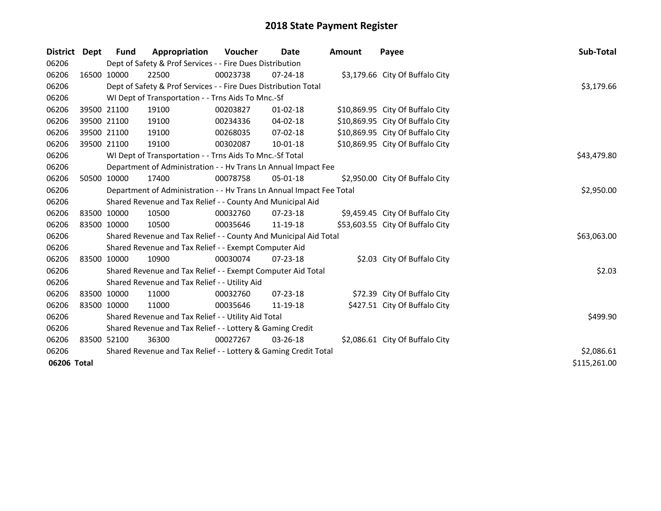| District Dept |             | <b>Fund</b> | Appropriation                                                        | <b>Voucher</b> | Date           | <b>Amount</b> | Payee                            | Sub-Total    |
|---------------|-------------|-------------|----------------------------------------------------------------------|----------------|----------------|---------------|----------------------------------|--------------|
| 06206         |             |             | Dept of Safety & Prof Services - - Fire Dues Distribution            |                |                |               |                                  |              |
| 06206         |             | 16500 10000 | 22500                                                                | 00023738       | $07 - 24 - 18$ |               | \$3,179.66 City Of Buffalo City  |              |
| 06206         |             |             | Dept of Safety & Prof Services - - Fire Dues Distribution Total      |                |                |               |                                  | \$3,179.66   |
| 06206         |             |             | WI Dept of Transportation - - Trns Aids To Mnc.-Sf                   |                |                |               |                                  |              |
| 06206         |             | 39500 21100 | 19100                                                                | 00203827       | $01 - 02 - 18$ |               | \$10,869.95 City Of Buffalo City |              |
| 06206         |             | 39500 21100 | 19100                                                                | 00234336       | 04-02-18       |               | \$10,869.95 City Of Buffalo City |              |
| 06206         |             | 39500 21100 | 19100                                                                | 00268035       | $07 - 02 - 18$ |               | \$10,869.95 City Of Buffalo City |              |
| 06206         | 39500 21100 |             | 19100                                                                | 00302087       | 10-01-18       |               | \$10,869.95 City Of Buffalo City |              |
| 06206         |             |             | WI Dept of Transportation - - Trns Aids To Mnc.-Sf Total             |                |                |               |                                  | \$43,479.80  |
| 06206         |             |             | Department of Administration - - Hv Trans Ln Annual Impact Fee       |                |                |               |                                  |              |
| 06206         |             | 50500 10000 | 17400                                                                | 00078758       | 05-01-18       |               | \$2,950.00 City Of Buffalo City  |              |
| 06206         |             |             | Department of Administration - - Hv Trans Ln Annual Impact Fee Total |                |                |               |                                  | \$2,950.00   |
| 06206         |             |             | Shared Revenue and Tax Relief - - County And Municipal Aid           |                |                |               |                                  |              |
| 06206         |             | 83500 10000 | 10500                                                                | 00032760       | 07-23-18       |               | \$9,459.45 City Of Buffalo City  |              |
| 06206         | 83500 10000 |             | 10500                                                                | 00035646       | 11-19-18       |               | \$53,603.55 City Of Buffalo City |              |
| 06206         |             |             | Shared Revenue and Tax Relief - - County And Municipal Aid Total     |                |                |               |                                  | \$63,063.00  |
| 06206         |             |             | Shared Revenue and Tax Relief - - Exempt Computer Aid                |                |                |               |                                  |              |
| 06206         |             | 83500 10000 | 10900                                                                | 00030074       | 07-23-18       |               | \$2.03 City Of Buffalo City      |              |
| 06206         |             |             | Shared Revenue and Tax Relief - - Exempt Computer Aid Total          |                |                |               |                                  | \$2.03       |
| 06206         |             |             | Shared Revenue and Tax Relief - - Utility Aid                        |                |                |               |                                  |              |
| 06206         |             | 83500 10000 | 11000                                                                | 00032760       | $07 - 23 - 18$ |               | \$72.39 City Of Buffalo City     |              |
| 06206         | 83500 10000 |             | 11000                                                                | 00035646       | 11-19-18       |               | \$427.51 City Of Buffalo City    |              |
| 06206         |             |             | Shared Revenue and Tax Relief - - Utility Aid Total                  |                |                |               |                                  | \$499.90     |
| 06206         |             |             | Shared Revenue and Tax Relief - - Lottery & Gaming Credit            |                |                |               |                                  |              |
| 06206         |             | 83500 52100 | 36300                                                                | 00027267       | 03-26-18       |               | \$2,086.61 City Of Buffalo City  |              |
| 06206         |             |             | Shared Revenue and Tax Relief - - Lottery & Gaming Credit Total      |                |                |               |                                  | \$2,086.61   |
| 06206 Total   |             |             |                                                                      |                |                |               |                                  | \$115,261.00 |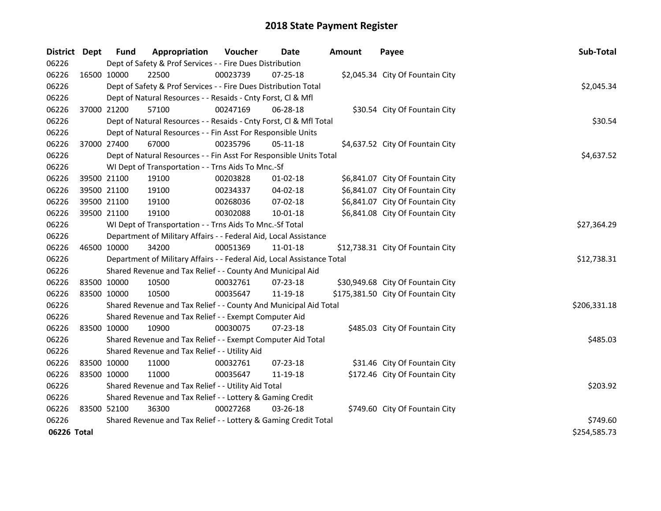| District Dept | <b>Fund</b> | Appropriation                                                          | Voucher  | Date           | <b>Amount</b> | Payee                              | Sub-Total    |
|---------------|-------------|------------------------------------------------------------------------|----------|----------------|---------------|------------------------------------|--------------|
| 06226         |             | Dept of Safety & Prof Services - - Fire Dues Distribution              |          |                |               |                                    |              |
| 06226         | 16500 10000 | 22500                                                                  | 00023739 | 07-25-18       |               | \$2,045.34 City Of Fountain City   |              |
| 06226         |             | Dept of Safety & Prof Services - - Fire Dues Distribution Total        |          |                |               |                                    | \$2,045.34   |
| 06226         |             | Dept of Natural Resources - - Resaids - Cnty Forst, Cl & Mfl           |          |                |               |                                    |              |
| 06226         | 37000 21200 | 57100                                                                  | 00247169 | 06-28-18       |               | \$30.54 City Of Fountain City      |              |
| 06226         |             | Dept of Natural Resources - - Resaids - Cnty Forst, Cl & Mfl Total     |          |                |               |                                    | \$30.54      |
| 06226         |             | Dept of Natural Resources - - Fin Asst For Responsible Units           |          |                |               |                                    |              |
| 06226         | 37000 27400 | 67000                                                                  | 00235796 | $05 - 11 - 18$ |               | \$4,637.52 City Of Fountain City   |              |
| 06226         |             | Dept of Natural Resources - - Fin Asst For Responsible Units Total     |          |                |               |                                    | \$4,637.52   |
| 06226         |             | WI Dept of Transportation - - Trns Aids To Mnc.-Sf                     |          |                |               |                                    |              |
| 06226         | 39500 21100 | 19100                                                                  | 00203828 | $01 - 02 - 18$ |               | \$6,841.07 City Of Fountain City   |              |
| 06226         | 39500 21100 | 19100                                                                  | 00234337 | 04-02-18       |               | \$6,841.07 City Of Fountain City   |              |
| 06226         | 39500 21100 | 19100                                                                  | 00268036 | 07-02-18       |               | \$6,841.07 City Of Fountain City   |              |
| 06226         | 39500 21100 | 19100                                                                  | 00302088 | 10-01-18       |               | \$6,841.08 City Of Fountain City   |              |
| 06226         |             | WI Dept of Transportation - - Trns Aids To Mnc.-Sf Total               |          |                |               |                                    | \$27,364.29  |
| 06226         |             | Department of Military Affairs - - Federal Aid, Local Assistance       |          |                |               |                                    |              |
| 06226         | 46500 10000 | 34200                                                                  | 00051369 | 11-01-18       |               | \$12,738.31 City Of Fountain City  |              |
| 06226         |             | Department of Military Affairs - - Federal Aid, Local Assistance Total |          |                |               |                                    | \$12,738.31  |
| 06226         |             | Shared Revenue and Tax Relief - - County And Municipal Aid             |          |                |               |                                    |              |
| 06226         | 83500 10000 | 10500                                                                  | 00032761 | 07-23-18       |               | \$30,949.68 City Of Fountain City  |              |
| 06226         | 83500 10000 | 10500                                                                  | 00035647 | 11-19-18       |               | \$175,381.50 City Of Fountain City |              |
| 06226         |             | Shared Revenue and Tax Relief - - County And Municipal Aid Total       |          |                |               |                                    | \$206,331.18 |
| 06226         |             | Shared Revenue and Tax Relief - - Exempt Computer Aid                  |          |                |               |                                    |              |
| 06226         | 83500 10000 | 10900                                                                  | 00030075 | 07-23-18       |               | \$485.03 City Of Fountain City     |              |
| 06226         |             | Shared Revenue and Tax Relief - - Exempt Computer Aid Total            |          |                |               |                                    | \$485.03     |
| 06226         |             | Shared Revenue and Tax Relief - - Utility Aid                          |          |                |               |                                    |              |
| 06226         | 83500 10000 | 11000                                                                  | 00032761 | $07 - 23 - 18$ |               | \$31.46 City Of Fountain City      |              |
| 06226         | 83500 10000 | 11000                                                                  | 00035647 | 11-19-18       |               | \$172.46 City Of Fountain City     |              |
| 06226         |             | Shared Revenue and Tax Relief - - Utility Aid Total                    |          |                |               |                                    | \$203.92     |
| 06226         |             | Shared Revenue and Tax Relief - - Lottery & Gaming Credit              |          |                |               |                                    |              |
| 06226         | 83500 52100 | 36300                                                                  | 00027268 | $03 - 26 - 18$ |               | \$749.60 City Of Fountain City     |              |
| 06226         |             | Shared Revenue and Tax Relief - - Lottery & Gaming Credit Total        |          |                |               |                                    | \$749.60     |
| 06226 Total   |             |                                                                        |          |                |               |                                    | \$254,585.73 |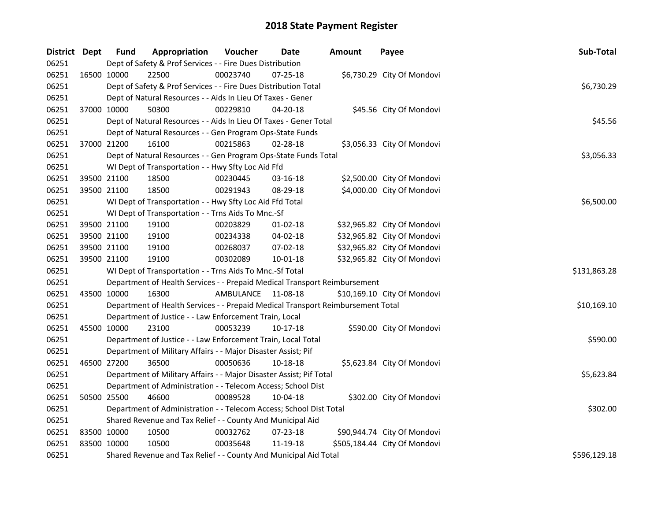| District Dept |             | <b>Fund</b> | Appropriation                                                                   | Voucher   | Date           | <b>Amount</b> | Payee                        | Sub-Total    |
|---------------|-------------|-------------|---------------------------------------------------------------------------------|-----------|----------------|---------------|------------------------------|--------------|
| 06251         |             |             | Dept of Safety & Prof Services - - Fire Dues Distribution                       |           |                |               |                              |              |
| 06251         |             | 16500 10000 | 22500                                                                           | 00023740  | $07 - 25 - 18$ |               | \$6,730.29 City Of Mondovi   |              |
| 06251         |             |             | Dept of Safety & Prof Services - - Fire Dues Distribution Total                 |           |                |               |                              | \$6,730.29   |
| 06251         |             |             | Dept of Natural Resources - - Aids In Lieu Of Taxes - Gener                     |           |                |               |                              |              |
| 06251         | 37000 10000 |             | 50300                                                                           | 00229810  | 04-20-18       |               | \$45.56 City Of Mondovi      |              |
| 06251         |             |             | Dept of Natural Resources - - Aids In Lieu Of Taxes - Gener Total               |           |                |               |                              | \$45.56      |
| 06251         |             |             | Dept of Natural Resources - - Gen Program Ops-State Funds                       |           |                |               |                              |              |
| 06251         |             | 37000 21200 | 16100                                                                           | 00215863  | 02-28-18       |               | \$3,056.33 City Of Mondovi   |              |
| 06251         |             |             | Dept of Natural Resources - - Gen Program Ops-State Funds Total                 |           |                |               |                              | \$3,056.33   |
| 06251         |             |             | WI Dept of Transportation - - Hwy Sfty Loc Aid Ffd                              |           |                |               |                              |              |
| 06251         | 39500 21100 |             | 18500                                                                           | 00230445  | 03-16-18       |               | \$2,500.00 City Of Mondovi   |              |
| 06251         | 39500 21100 |             | 18500                                                                           | 00291943  | 08-29-18       |               | \$4,000.00 City Of Mondovi   |              |
| 06251         |             |             | WI Dept of Transportation - - Hwy Sfty Loc Aid Ffd Total                        |           |                |               |                              | \$6,500.00   |
| 06251         |             |             | WI Dept of Transportation - - Trns Aids To Mnc.-Sf                              |           |                |               |                              |              |
| 06251         | 39500 21100 |             | 19100                                                                           | 00203829  | 01-02-18       |               | \$32,965.82 City Of Mondovi  |              |
| 06251         | 39500 21100 |             | 19100                                                                           | 00234338  | 04-02-18       |               | \$32,965.82 City Of Mondovi  |              |
| 06251         | 39500 21100 |             | 19100                                                                           | 00268037  | 07-02-18       |               | \$32,965.82 City Of Mondovi  |              |
| 06251         | 39500 21100 |             | 19100                                                                           | 00302089  | 10-01-18       |               | \$32,965.82 City Of Mondovi  |              |
| 06251         |             |             | WI Dept of Transportation - - Trns Aids To Mnc.-Sf Total                        |           |                |               |                              | \$131,863.28 |
| 06251         |             |             | Department of Health Services - - Prepaid Medical Transport Reimbursement       |           |                |               |                              |              |
| 06251         | 43500 10000 |             | 16300                                                                           | AMBULANCE | 11-08-18       |               | \$10,169.10 City Of Mondovi  |              |
| 06251         |             |             | Department of Health Services - - Prepaid Medical Transport Reimbursement Total |           |                |               |                              | \$10,169.10  |
| 06251         |             |             | Department of Justice - - Law Enforcement Train, Local                          |           |                |               |                              |              |
| 06251         | 45500 10000 |             | 23100                                                                           | 00053239  | 10-17-18       |               | \$590.00 City Of Mondovi     |              |
| 06251         |             |             | Department of Justice - - Law Enforcement Train, Local Total                    |           |                |               |                              | \$590.00     |
| 06251         |             |             | Department of Military Affairs - - Major Disaster Assist; Pif                   |           |                |               |                              |              |
| 06251         | 46500 27200 |             | 36500                                                                           | 00050636  | 10-18-18       |               | \$5,623.84 City Of Mondovi   |              |
| 06251         |             |             | Department of Military Affairs - - Major Disaster Assist; Pif Total             |           |                |               |                              | \$5,623.84   |
| 06251         |             |             | Department of Administration - - Telecom Access; School Dist                    |           |                |               |                              |              |
| 06251         | 50500 25500 |             | 46600                                                                           | 00089528  | 10-04-18       |               | \$302.00 City Of Mondovi     |              |
| 06251         |             |             | Department of Administration - - Telecom Access; School Dist Total              |           |                |               |                              | \$302.00     |
| 06251         |             |             | Shared Revenue and Tax Relief - - County And Municipal Aid                      |           |                |               |                              |              |
| 06251         | 83500 10000 |             | 10500                                                                           | 00032762  | 07-23-18       |               | \$90,944.74 City Of Mondovi  |              |
| 06251         | 83500 10000 |             | 10500                                                                           | 00035648  | 11-19-18       |               | \$505,184.44 City Of Mondovi |              |
| 06251         |             |             | Shared Revenue and Tax Relief - - County And Municipal Aid Total                |           |                |               |                              | \$596,129.18 |